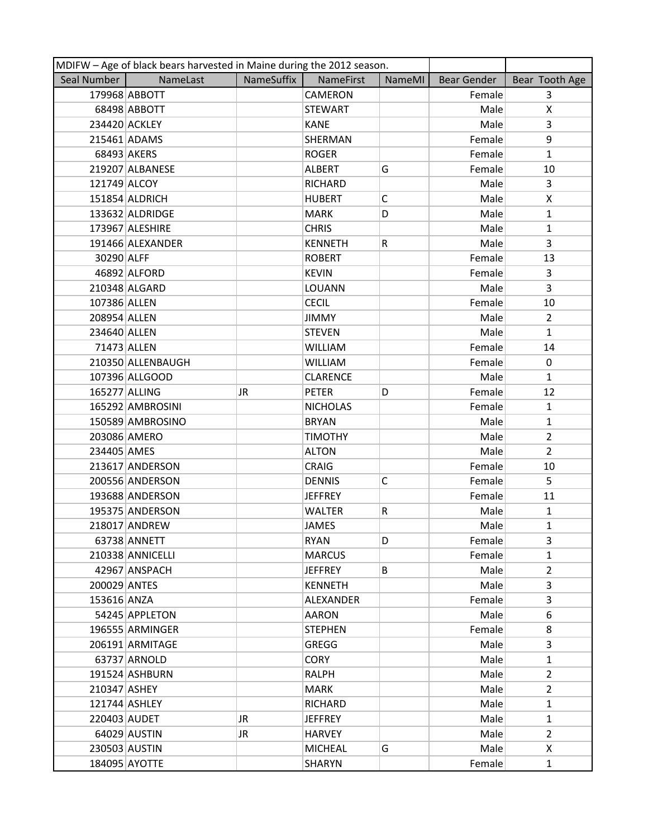|               | MDIFW - Age of black bears harvested in Maine during the 2012 season. |            |                  |        |             |                |  |  |
|---------------|-----------------------------------------------------------------------|------------|------------------|--------|-------------|----------------|--|--|
| Seal Number   | NameLast                                                              | NameSuffix | NameFirst        | NameMI | Bear Gender | Bear Tooth Age |  |  |
|               | 179968 ABBOTT                                                         |            | <b>CAMERON</b>   |        | Female      | $\overline{3}$ |  |  |
|               | 68498 ABBOTT                                                          |            | <b>STEWART</b>   |        | Male        | X              |  |  |
|               | 234420 ACKLEY                                                         |            | <b>KANE</b>      |        | Male        | $\overline{3}$ |  |  |
|               | 215461 ADAMS                                                          |            | SHERMAN          |        | Female      | 9              |  |  |
|               | 68493 AKERS                                                           |            | <b>ROGER</b>     |        | Female      | $\mathbf{1}$   |  |  |
|               | 219207 ALBANESE                                                       |            | <b>ALBERT</b>    | G      | Female      | 10             |  |  |
| 121749 ALCOY  |                                                                       |            | <b>RICHARD</b>   |        | Male        | 3              |  |  |
|               | 151854 ALDRICH                                                        |            | <b>HUBERT</b>    | C      | Male        | X              |  |  |
|               | 133632 ALDRIDGE                                                       |            | <b>MARK</b>      | D      | Male        | $\mathbf{1}$   |  |  |
|               | 173967 ALESHIRE                                                       |            | <b>CHRIS</b>     |        | Male        | $\mathbf{1}$   |  |  |
|               | 191466 ALEXANDER                                                      |            | <b>KENNETH</b>   | R      | Male        | 3              |  |  |
| 30290 ALFF    |                                                                       |            | <b>ROBERT</b>    |        | Female      | 13             |  |  |
|               | 46892 ALFORD                                                          |            | <b>KEVIN</b>     |        | Female      | 3              |  |  |
|               | 210348 ALGARD                                                         |            | LOUANN           |        | Male        | 3              |  |  |
| 107386 ALLEN  |                                                                       |            | <b>CECIL</b>     |        | Female      | 10             |  |  |
| 208954 ALLEN  |                                                                       |            | <b>JIMMY</b>     |        | Male        | $\overline{2}$ |  |  |
| 234640 ALLEN  |                                                                       |            | <b>STEVEN</b>    |        | Male        | $\mathbf{1}$   |  |  |
|               | 71473 ALLEN                                                           |            | <b>WILLIAM</b>   |        | Female      | 14             |  |  |
|               | 210350 ALLENBAUGH                                                     |            | <b>WILLIAM</b>   |        | Female      | 0              |  |  |
|               | 107396 ALLGOOD                                                        |            | <b>CLARENCE</b>  |        | Male        | $\mathbf{1}$   |  |  |
| 165277 ALLING |                                                                       | JR         | <b>PETER</b>     | D      | Female      | 12             |  |  |
|               | 165292 AMBROSINI                                                      |            | <b>NICHOLAS</b>  |        | Female      | $\mathbf{1}$   |  |  |
|               | 150589 AMBROSINO                                                      |            | <b>BRYAN</b>     |        | Male        | 1              |  |  |
|               | 203086 AMERO                                                          |            | <b>TIMOTHY</b>   |        | Male        | $\overline{2}$ |  |  |
| 234405 AMES   |                                                                       |            | <b>ALTON</b>     |        | Male        | $\overline{2}$ |  |  |
|               | 213617 ANDERSON                                                       |            | <b>CRAIG</b>     |        | Female      | 10             |  |  |
|               | 200556 ANDERSON                                                       |            | <b>DENNIS</b>    | C      | Female      | 5              |  |  |
|               | 193688 ANDERSON                                                       |            | <b>JEFFREY</b>   |        | Female      | 11             |  |  |
|               | 195375 ANDERSON                                                       |            | <b>WALTER</b>    | R      | Male        | $\mathbf{1}$   |  |  |
|               | 218017 ANDREW                                                         |            | <b>JAMES</b>     |        | Male        | $\mathbf{1}$   |  |  |
|               | 63738 ANNETT                                                          |            | <b>RYAN</b>      | D      | Female      | 3              |  |  |
|               | 210338 ANNICELLI                                                      |            | <b>MARCUS</b>    |        | Female      | $\mathbf{1}$   |  |  |
|               | 42967 ANSPACH                                                         |            | <b>JEFFREY</b>   | B      | Male        | $\overline{2}$ |  |  |
| 200029 ANTES  |                                                                       |            | <b>KENNETH</b>   |        | Male        | 3              |  |  |
| 153616 ANZA   |                                                                       |            | <b>ALEXANDER</b> |        | Female      | 3              |  |  |
|               | 54245 APPLETON                                                        |            | <b>AARON</b>     |        | Male        | 6              |  |  |
|               | 196555 ARMINGER                                                       |            | <b>STEPHEN</b>   |        | Female      | 8              |  |  |
|               | 206191 ARMITAGE                                                       |            | GREGG            |        | Male        | 3              |  |  |
|               | 63737 ARNOLD                                                          |            | <b>CORY</b>      |        | Male        | $\mathbf{1}$   |  |  |
|               | 191524 ASHBURN                                                        |            | <b>RALPH</b>     |        | Male        | $\overline{2}$ |  |  |
| 210347 ASHEY  |                                                                       |            | <b>MARK</b>      |        | Male        | $\overline{2}$ |  |  |
|               | 121744 ASHLEY                                                         |            | <b>RICHARD</b>   |        | Male        | $\mathbf{1}$   |  |  |
| 220403 AUDET  |                                                                       | JR         | <b>JEFFREY</b>   |        | Male        | $\mathbf{1}$   |  |  |
|               | 64029 AUSTIN                                                          | JR         | <b>HARVEY</b>    |        | Male        | $\overline{2}$ |  |  |
|               | 230503 AUSTIN                                                         |            | <b>MICHEAL</b>   | G      | Male        | X              |  |  |
|               | 184095 AYOTTE                                                         |            | SHARYN           |        | Female      | $\mathbf{1}$   |  |  |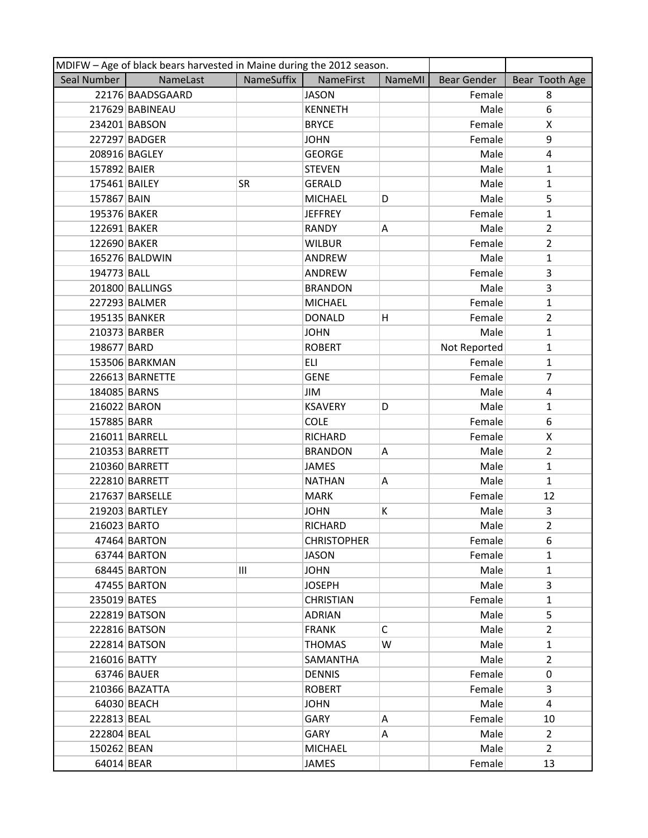| MDIFW - Age of black bears harvested in Maine during the 2012 season. |                  |            |                    |        |              |                |  |
|-----------------------------------------------------------------------|------------------|------------|--------------------|--------|--------------|----------------|--|
| Seal Number                                                           | NameLast         | NameSuffix | NameFirst          | NameMI | Bear Gender  | Bear Tooth Age |  |
|                                                                       | 22176 BAADSGAARD |            | <b>JASON</b>       |        | Female       | 8              |  |
|                                                                       | 217629 BABINEAU  |            | <b>KENNETH</b>     |        | Male         | 6              |  |
|                                                                       | 234201 BABSON    |            | <b>BRYCE</b>       |        | Female       | X              |  |
|                                                                       | 227297 BADGER    |            | <b>JOHN</b>        |        | Female       | 9              |  |
|                                                                       | 208916 BAGLEY    |            | <b>GEORGE</b>      |        | Male         | 4              |  |
| 157892 BAIER                                                          |                  |            | <b>STEVEN</b>      |        | Male         | $\mathbf{1}$   |  |
| 175461 BAILEY                                                         |                  | <b>SR</b>  | <b>GERALD</b>      |        | Male         | $\mathbf{1}$   |  |
| 157867 BAIN                                                           |                  |            | <b>MICHAEL</b>     | D      | Male         | 5              |  |
| 195376 BAKER                                                          |                  |            | <b>JEFFREY</b>     |        | Female       | $\mathbf{1}$   |  |
| 122691 BAKER                                                          |                  |            | <b>RANDY</b>       | Α      | Male         | $\overline{2}$ |  |
| 122690 BAKER                                                          |                  |            | <b>WILBUR</b>      |        | Female       | $\overline{2}$ |  |
|                                                                       | 165276 BALDWIN   |            | ANDREW             |        | Male         | $\mathbf{1}$   |  |
| 194773 BALL                                                           |                  |            | ANDREW             |        | Female       | 3              |  |
|                                                                       | 201800 BALLINGS  |            | <b>BRANDON</b>     |        | Male         | 3              |  |
|                                                                       | 227293 BALMER    |            | <b>MICHAEL</b>     |        | Female       | $\mathbf{1}$   |  |
|                                                                       | 195135 BANKER    |            | <b>DONALD</b>      | Η      | Female       | $\overline{2}$ |  |
|                                                                       | 210373 BARBER    |            | <b>JOHN</b>        |        | Male         | $\mathbf{1}$   |  |
| 198677 BARD                                                           |                  |            | <b>ROBERT</b>      |        | Not Reported | $\mathbf{1}$   |  |
|                                                                       | 153506 BARKMAN   |            | ELI                |        | Female       | $\mathbf{1}$   |  |
|                                                                       | 226613 BARNETTE  |            | <b>GENE</b>        |        | Female       | $\overline{7}$ |  |
| 184085 BARNS                                                          |                  |            | <b>JIM</b>         |        | Male         | $\overline{4}$ |  |
| 216022 BARON                                                          |                  |            | <b>KSAVERY</b>     | D      | Male         | $\mathbf{1}$   |  |
| 157885 BARR                                                           |                  |            | <b>COLE</b>        |        | Female       | 6              |  |
|                                                                       | 216011 BARRELL   |            | RICHARD            |        | Female       | X              |  |
|                                                                       | 210353 BARRETT   |            | <b>BRANDON</b>     | Α      | Male         | $\overline{2}$ |  |
|                                                                       | 210360 BARRETT   |            | <b>JAMES</b>       |        | Male         | $\mathbf{1}$   |  |
|                                                                       | 222810 BARRETT   |            | <b>NATHAN</b>      | Α      | Male         | $\mathbf{1}$   |  |
|                                                                       | 217637 BARSELLE  |            | <b>MARK</b>        |        | Female       | 12             |  |
|                                                                       | 219203 BARTLEY   |            | <b>JOHN</b>        | К      | Male         | 3              |  |
| 216023 BARTO                                                          |                  |            | <b>RICHARD</b>     |        | Male         | $\overline{2}$ |  |
|                                                                       | 47464 BARTON     |            | <b>CHRISTOPHER</b> |        | Female       | 6              |  |
|                                                                       | 63744 BARTON     |            | JASON              |        | Female       | $\mathbf{1}$   |  |
|                                                                       | 68445 BARTON     | Ш          | <b>JOHN</b>        |        | Male         | $\mathbf{1}$   |  |
|                                                                       | 47455 BARTON     |            | <b>JOSEPH</b>      |        | Male         | 3              |  |
| 235019 BATES                                                          |                  |            | <b>CHRISTIAN</b>   |        | Female       | $\mathbf{1}$   |  |
|                                                                       | 222819 BATSON    |            | <b>ADRIAN</b>      |        | Male         | 5              |  |
|                                                                       | 222816 BATSON    |            | <b>FRANK</b>       | C      | Male         | $\overline{2}$ |  |
|                                                                       | 222814 BATSON    |            | <b>THOMAS</b>      | W      | Male         | 1              |  |
| 216016 BATTY                                                          |                  |            | SAMANTHA           |        | Male         | $\overline{2}$ |  |
|                                                                       | 63746 BAUER      |            | <b>DENNIS</b>      |        | Female       | $\mathbf 0$    |  |
|                                                                       | 210366 BAZATTA   |            | <b>ROBERT</b>      |        | Female       | 3              |  |
|                                                                       | 64030 BEACH      |            | <b>JOHN</b>        |        | Male         | 4              |  |
| 222813 BEAL                                                           |                  |            | GARY               | Α      | Female       | 10             |  |
| 222804 BEAL                                                           |                  |            | GARY               | Α      | Male         | $\overline{2}$ |  |
| 150262 BEAN                                                           |                  |            | <b>MICHAEL</b>     |        | Male         | $\overline{2}$ |  |
| 64014 BEAR                                                            |                  |            | JAMES              |        | Female       | 13             |  |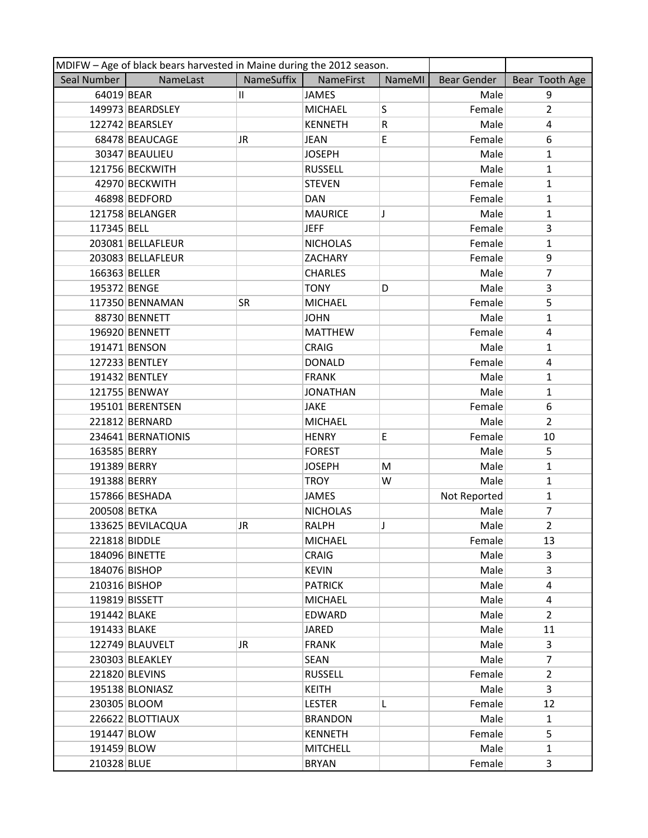| MDIFW - Age of black bears harvested in Maine during the 2012 season. |                    |            |                 |               |                    |                         |  |
|-----------------------------------------------------------------------|--------------------|------------|-----------------|---------------|--------------------|-------------------------|--|
| Seal Number                                                           | NameLast           | NameSuffix | NameFirst       | <b>NameMI</b> | <b>Bear Gender</b> | Bear Tooth Age          |  |
| 64019 BEAR                                                            |                    | П.         | <b>JAMES</b>    |               | Male               | 9                       |  |
|                                                                       | 149973 BEARDSLEY   |            | <b>MICHAEL</b>  | S             | Female             | $\overline{2}$          |  |
|                                                                       | 122742 BEARSLEY    |            | <b>KENNETH</b>  | R             | Male               | 4                       |  |
|                                                                       | 68478 BEAUCAGE     | JR         | <b>JEAN</b>     | E             | Female             | 6                       |  |
|                                                                       | 30347 BEAULIEU     |            | <b>JOSEPH</b>   |               | Male               | $\mathbf{1}$            |  |
|                                                                       | 121756 BECKWITH    |            | <b>RUSSELL</b>  |               | Male               | $\mathbf{1}$            |  |
|                                                                       | 42970 BECKWITH     |            | <b>STEVEN</b>   |               | Female             | $\mathbf{1}$            |  |
|                                                                       | 46898 BEDFORD      |            | <b>DAN</b>      |               | Female             | $\mathbf{1}$            |  |
|                                                                       | 121758 BELANGER    |            | <b>MAURICE</b>  | J             | Male               | 1                       |  |
| 117345 BELL                                                           |                    |            | <b>JEFF</b>     |               | Female             | 3                       |  |
|                                                                       | 203081 BELLAFLEUR  |            | <b>NICHOLAS</b> |               | Female             | $\mathbf{1}$            |  |
|                                                                       | 203083 BELLAFLEUR  |            | ZACHARY         |               | Female             | 9                       |  |
| 166363 BELLER                                                         |                    |            | <b>CHARLES</b>  |               | Male               | 7                       |  |
| 195372 BENGE                                                          |                    |            | <b>TONY</b>     | D             | Male               | 3                       |  |
|                                                                       | 117350 BENNAMAN    | SR         | <b>MICHAEL</b>  |               | Female             | 5                       |  |
|                                                                       | 88730 BENNETT      |            | <b>JOHN</b>     |               | Male               | $\mathbf{1}$            |  |
|                                                                       | 196920 BENNETT     |            | <b>MATTHEW</b>  |               | Female             | 4                       |  |
|                                                                       | 191471 BENSON      |            | <b>CRAIG</b>    |               | Male               | $\mathbf{1}$            |  |
|                                                                       | 127233 BENTLEY     |            | <b>DONALD</b>   |               | Female             | $\overline{\mathbf{4}}$ |  |
|                                                                       | 191432 BENTLEY     |            | <b>FRANK</b>    |               | Male               | $\mathbf{1}$            |  |
|                                                                       | 121755 BENWAY      |            | <b>JONATHAN</b> |               | Male               | $\mathbf{1}$            |  |
|                                                                       | 195101 BERENTSEN   |            | <b>JAKE</b>     |               | Female             | 6                       |  |
|                                                                       | 221812 BERNARD     |            | <b>MICHAEL</b>  |               | Male               | $\overline{2}$          |  |
|                                                                       | 234641 BERNATIONIS |            | <b>HENRY</b>    | E             | Female             | 10                      |  |
| 163585 BERRY                                                          |                    |            | <b>FOREST</b>   |               | Male               | 5                       |  |
| 191389 BERRY                                                          |                    |            | <b>JOSEPH</b>   | M             | Male               | $\mathbf{1}$            |  |
| 191388 BERRY                                                          |                    |            | <b>TROY</b>     | W             | Male               | $\mathbf{1}$            |  |
|                                                                       | 157866 BESHADA     |            | JAMES           |               | Not Reported       | $\mathbf{1}$            |  |
| 200508 BETKA                                                          |                    |            | <b>NICHOLAS</b> |               | Male               | 7                       |  |
|                                                                       | 133625 BEVILACQUA  | JR         | <b>RALPH</b>    | J             | Male               | $\overline{2}$          |  |
| 221818 BIDDLE                                                         |                    |            | <b>MICHAEL</b>  |               | Female             | 13                      |  |
|                                                                       | 184096 BINETTE     |            | <b>CRAIG</b>    |               | Male               | 3                       |  |
|                                                                       | 184076 BISHOP      |            | <b>KEVIN</b>    |               | Male               | 3                       |  |
|                                                                       | 210316 BISHOP      |            | <b>PATRICK</b>  |               | Male               | 4                       |  |
|                                                                       | 119819 BISSETT     |            | <b>MICHAEL</b>  |               | Male               | 4                       |  |
| 191442 BLAKE                                                          |                    |            | EDWARD          |               | Male               | $\overline{2}$          |  |
| 191433 BLAKE                                                          |                    |            | JARED           |               | Male               | 11                      |  |
|                                                                       | 122749 BLAUVELT    | JR         | <b>FRANK</b>    |               | Male               | 3                       |  |
|                                                                       | 230303 BLEAKLEY    |            | <b>SEAN</b>     |               | Male               | $\overline{7}$          |  |
|                                                                       | 221820 BLEVINS     |            | <b>RUSSELL</b>  |               | Female             | $\overline{2}$          |  |
|                                                                       | 195138 BLONIASZ    |            | <b>KEITH</b>    |               | Male               | 3                       |  |
|                                                                       | 230305 BLOOM       |            | <b>LESTER</b>   | L             | Female             | 12                      |  |
|                                                                       | 226622 BLOTTIAUX   |            | <b>BRANDON</b>  |               | Male               | 1                       |  |
| 191447 BLOW                                                           |                    |            | <b>KENNETH</b>  |               | Female             | 5                       |  |
| 191459 BLOW                                                           |                    |            | <b>MITCHELL</b> |               | Male               | $\mathbf{1}$            |  |
| 210328 BLUE                                                           |                    |            | <b>BRYAN</b>    |               | Female             | 3                       |  |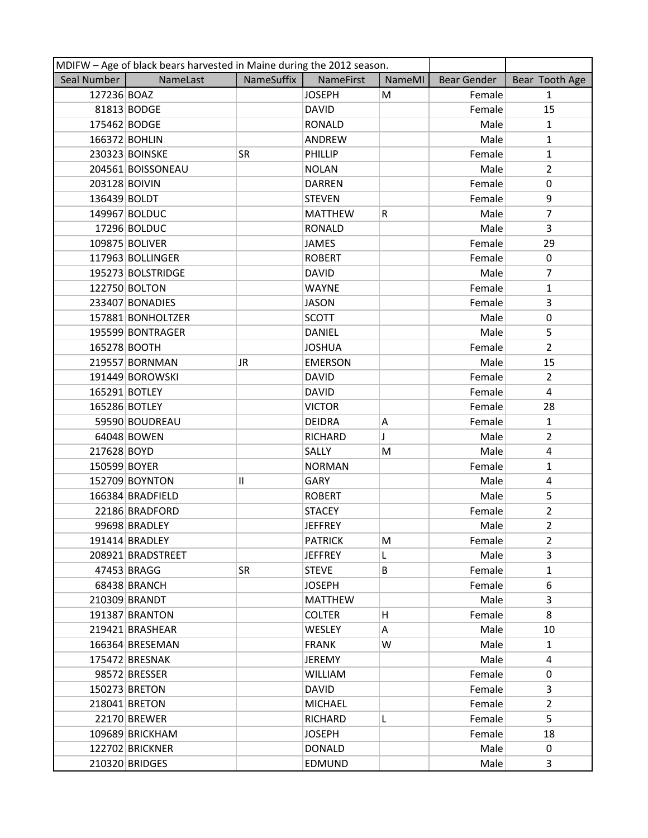|               | MDIFW - Age of black bears harvested in Maine during the 2012 season. |            |                  |        |             |                |  |  |
|---------------|-----------------------------------------------------------------------|------------|------------------|--------|-------------|----------------|--|--|
| Seal Number   | NameLast                                                              | NameSuffix | <b>NameFirst</b> | NameMI | Bear Gender | Bear Tooth Age |  |  |
| 127236 BOAZ   |                                                                       |            | <b>JOSEPH</b>    | M      | Female      | $\mathbf{1}$   |  |  |
|               | 81813 BODGE                                                           |            | <b>DAVID</b>     |        | Female      | 15             |  |  |
| 175462 BODGE  |                                                                       |            | <b>RONALD</b>    |        | Male        | $\mathbf{1}$   |  |  |
|               | 166372 BOHLIN                                                         |            | ANDREW           |        | Male        | $\mathbf{1}$   |  |  |
|               | 230323 BOINSKE                                                        | SR         | PHILLIP          |        | Female      | $\mathbf{1}$   |  |  |
|               | 204561 BOISSONEAU                                                     |            | <b>NOLAN</b>     |        | Male        | $\overline{2}$ |  |  |
| 203128 BOIVIN |                                                                       |            | <b>DARREN</b>    |        | Female      | 0              |  |  |
| 136439 BOLDT  |                                                                       |            | <b>STEVEN</b>    |        | Female      | 9              |  |  |
|               | 149967 BOLDUC                                                         |            | <b>MATTHEW</b>   | R      | Male        | $\overline{7}$ |  |  |
|               | 17296 BOLDUC                                                          |            | <b>RONALD</b>    |        | Male        | 3              |  |  |
|               | 109875 BOLIVER                                                        |            | <b>JAMES</b>     |        | Female      | 29             |  |  |
|               | 117963 BOLLINGER                                                      |            | <b>ROBERT</b>    |        | Female      | 0              |  |  |
|               | 195273 BOLSTRIDGE                                                     |            | <b>DAVID</b>     |        | Male        | 7              |  |  |
|               | 122750 BOLTON                                                         |            | <b>WAYNE</b>     |        | Female      | $\mathbf{1}$   |  |  |
|               | 233407 BONADIES                                                       |            | <b>JASON</b>     |        | Female      | 3              |  |  |
|               | 157881 BONHOLTZER                                                     |            | <b>SCOTT</b>     |        | Male        | 0              |  |  |
|               | 195599 BONTRAGER                                                      |            | <b>DANIEL</b>    |        | Male        | 5              |  |  |
| 165278 BOOTH  |                                                                       |            | <b>JOSHUA</b>    |        | Female      | $\overline{2}$ |  |  |
|               | 219557 BORNMAN                                                        | JR         | <b>EMERSON</b>   |        | Male        | 15             |  |  |
|               | 191449 BOROWSKI                                                       |            | <b>DAVID</b>     |        | Female      | $\overline{2}$ |  |  |
|               | 165291 BOTLEY                                                         |            | <b>DAVID</b>     |        | Female      | $\overline{4}$ |  |  |
|               | 165286 BOTLEY                                                         |            | <b>VICTOR</b>    |        | Female      | 28             |  |  |
|               | 59590 BOUDREAU                                                        |            | <b>DEIDRA</b>    | Α      | Female      | $\mathbf{1}$   |  |  |
|               | 64048 BOWEN                                                           |            | <b>RICHARD</b>   | J      | Male        | $\overline{2}$ |  |  |
| 217628 BOYD   |                                                                       |            | SALLY            | M      | Male        | 4              |  |  |
| 150599 BOYER  |                                                                       |            | <b>NORMAN</b>    |        | Female      | $\mathbf{1}$   |  |  |
|               | 152709 BOYNTON                                                        | 11         | <b>GARY</b>      |        | Male        | 4              |  |  |
|               | 166384 BRADFIELD                                                      |            | <b>ROBERT</b>    |        | Male        | 5              |  |  |
|               | 22186 BRADFORD                                                        |            | <b>STACEY</b>    |        | Female      | 2              |  |  |
|               | 99698 BRADLEY                                                         |            | <b>JEFFREY</b>   |        | Male        | $\overline{2}$ |  |  |
|               | 191414 BRADLEY                                                        |            | <b>PATRICK</b>   | M      | Female      | 2              |  |  |
|               | 208921 BRADSTREET                                                     |            | <b>JEFFREY</b>   | L      | Male        | 3              |  |  |
|               | 47453 BRAGG                                                           | <b>SR</b>  | <b>STEVE</b>     | B      | Female      | $\mathbf{1}$   |  |  |
|               | 68438 BRANCH                                                          |            | <b>JOSEPH</b>    |        | Female      | 6              |  |  |
|               | 210309 BRANDT                                                         |            | <b>MATTHEW</b>   |        | Male        | 3              |  |  |
|               | 191387 BRANTON                                                        |            | <b>COLTER</b>    | H      | Female      | 8              |  |  |
|               | 219421 BRASHEAR                                                       |            | <b>WESLEY</b>    | A      | Male        | 10             |  |  |
|               | 166364 BRESEMAN                                                       |            | <b>FRANK</b>     | W      | Male        | $\mathbf{1}$   |  |  |
|               | 175472 BRESNAK                                                        |            | <b>JEREMY</b>    |        | Male        | 4              |  |  |
|               | 98572 BRESSER                                                         |            | <b>WILLIAM</b>   |        | Female      | 0              |  |  |
|               | 150273 BRETON                                                         |            | <b>DAVID</b>     |        | Female      | 3              |  |  |
|               | 218041 BRETON                                                         |            | <b>MICHAEL</b>   |        | Female      | $\overline{2}$ |  |  |
|               | 22170 BREWER                                                          |            | <b>RICHARD</b>   | L      | Female      | 5              |  |  |
|               | 109689 BRICKHAM                                                       |            | <b>JOSEPH</b>    |        | Female      | 18             |  |  |
|               | 122702 BRICKNER                                                       |            | <b>DONALD</b>    |        | Male        | 0              |  |  |
|               | 210320 BRIDGES                                                        |            | EDMUND           |        | Male        | 3              |  |  |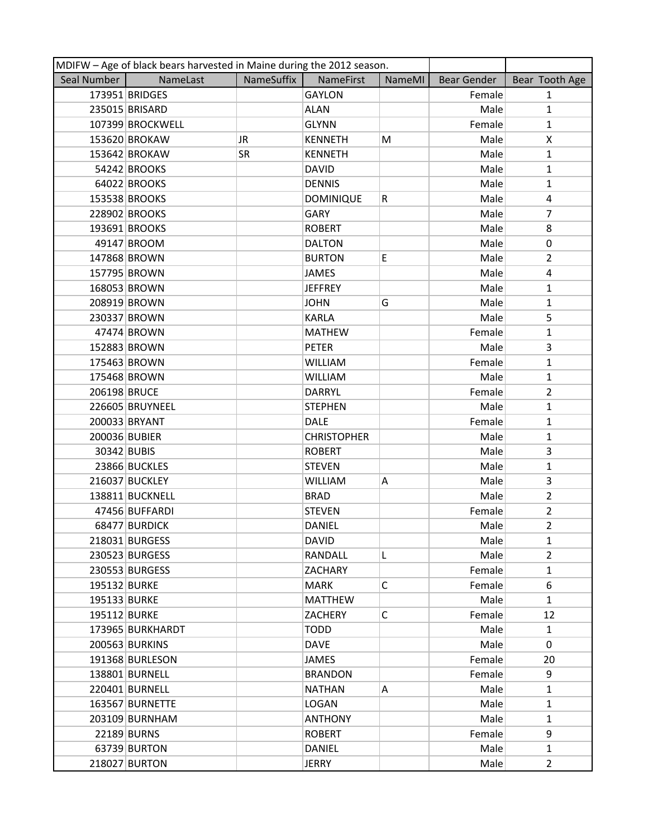| MDIFW - Age of black bears harvested in Maine during the 2012 season. |                  |            |                    |              |                    |                       |  |
|-----------------------------------------------------------------------|------------------|------------|--------------------|--------------|--------------------|-----------------------|--|
| Seal Number                                                           | NameLast         | NameSuffix | NameFirst          | NameMI       | <b>Bear Gender</b> | Bear Tooth Age        |  |
|                                                                       | 173951 BRIDGES   |            | <b>GAYLON</b>      |              | Female             | $\mathbf{1}$          |  |
|                                                                       | 235015 BRISARD   |            | <b>ALAN</b>        |              | Male               | $\mathbf{1}$          |  |
|                                                                       | 107399 BROCKWELL |            | <b>GLYNN</b>       |              | Female             | $\mathbf{1}$          |  |
|                                                                       | 153620 BROKAW    | JR         | <b>KENNETH</b>     | M            | Male               | X                     |  |
|                                                                       | 153642 BROKAW    | SR         | <b>KENNETH</b>     |              | Male               | $\mathbf{1}$          |  |
|                                                                       | 54242 BROOKS     |            | <b>DAVID</b>       |              | Male               | $\mathbf{1}$          |  |
|                                                                       | 64022 BROOKS     |            | <b>DENNIS</b>      |              | Male               | $\mathbf{1}$          |  |
|                                                                       | 153538 BROOKS    |            | <b>DOMINIQUE</b>   | R            | Male               | 4                     |  |
|                                                                       | 228902 BROOKS    |            | GARY               |              | Male               | $\overline{7}$        |  |
|                                                                       | 193691 BROOKS    |            | <b>ROBERT</b>      |              | Male               | 8                     |  |
|                                                                       | 49147 BROOM      |            | <b>DALTON</b>      |              | Male               | 0                     |  |
|                                                                       | 147868 BROWN     |            | <b>BURTON</b>      | E            | Male               | $\overline{2}$        |  |
|                                                                       | 157795 BROWN     |            | JAMES              |              | Male               | 4                     |  |
|                                                                       | 168053 BROWN     |            | <b>JEFFREY</b>     |              | Male               | $\mathbf{1}$          |  |
|                                                                       | 208919 BROWN     |            | <b>JOHN</b>        | G            | Male               | 1                     |  |
|                                                                       | 230337 BROWN     |            | <b>KARLA</b>       |              | Male               | 5                     |  |
|                                                                       | 47474 BROWN      |            | <b>MATHEW</b>      |              | Female             | $\mathbf{1}$          |  |
|                                                                       | 152883 BROWN     |            | <b>PETER</b>       |              | Male               | 3                     |  |
|                                                                       | 175463 BROWN     |            | <b>WILLIAM</b>     |              | Female             | $\mathbf{1}$          |  |
|                                                                       | 175468 BROWN     |            | <b>WILLIAM</b>     |              | Male               | $\mathbf{1}$          |  |
| 206198 BRUCE                                                          |                  |            | <b>DARRYL</b>      |              | Female             | $\overline{2}$        |  |
|                                                                       | 226605 BRUYNEEL  |            | <b>STEPHEN</b>     |              | Male               | $\mathbf{1}$          |  |
|                                                                       | 200033 BRYANT    |            | <b>DALE</b>        |              | Female             | $\mathbf{1}$          |  |
| 200036 BUBIER                                                         |                  |            | <b>CHRISTOPHER</b> |              | Male               | $\mathbf{1}$          |  |
| 30342 BUBIS                                                           |                  |            | <b>ROBERT</b>      |              | Male               | 3                     |  |
|                                                                       | 23866 BUCKLES    |            | <b>STEVEN</b>      |              | Male               | $\mathbf{1}$          |  |
|                                                                       | 216037 BUCKLEY   |            | <b>WILLIAM</b>     | Α            | Male               | 3                     |  |
|                                                                       | 138811 BUCKNELL  |            | <b>BRAD</b>        |              | Male               | $\overline{2}$        |  |
|                                                                       | 47456 BUFFARDI   |            | <b>STEVEN</b>      |              | Female             | $\overline{2}$        |  |
|                                                                       | 68477 BURDICK    |            | <b>DANIEL</b>      |              | Male               | $\overline{2}$        |  |
|                                                                       | 218031 BURGESS   |            | <b>DAVID</b>       |              | Male               | $\mathbf{1}$          |  |
|                                                                       | 230523 BURGESS   |            | RANDALL            | L            | Male               | $\mathbf{2}^{\prime}$ |  |
|                                                                       | 230553 BURGESS   |            | <b>ZACHARY</b>     |              | Female             | $\mathbf{1}$          |  |
| 195132 BURKE                                                          |                  |            | <b>MARK</b>        | C            | Female             | 6                     |  |
| 195133 BURKE                                                          |                  |            | <b>MATTHEW</b>     |              | Male               | $\mathbf{1}$          |  |
| 195112 BURKE                                                          |                  |            | <b>ZACHERY</b>     | $\mathsf{C}$ | Female             | 12                    |  |
|                                                                       | 173965 BURKHARDT |            | <b>TODD</b>        |              | Male               | $\mathbf{1}$          |  |
|                                                                       | 200563 BURKINS   |            | <b>DAVE</b>        |              | Male               | 0                     |  |
|                                                                       | 191368 BURLESON  |            | <b>JAMES</b>       |              | Female             | 20                    |  |
|                                                                       | 138801 BURNELL   |            | <b>BRANDON</b>     |              | Female             | 9                     |  |
|                                                                       | 220401 BURNELL   |            | <b>NATHAN</b>      | A            | Male               | $\mathbf{1}$          |  |
|                                                                       | 163567 BURNETTE  |            | <b>LOGAN</b>       |              | Male               | $\mathbf{1}$          |  |
|                                                                       | 203109 BURNHAM   |            | <b>ANTHONY</b>     |              | Male               | $\mathbf{1}$          |  |
|                                                                       | 22189 BURNS      |            | <b>ROBERT</b>      |              | Female             | 9                     |  |
|                                                                       | 63739 BURTON     |            | <b>DANIEL</b>      |              | Male               | $\mathbf{1}$          |  |
|                                                                       | 218027 BURTON    |            | <b>JERRY</b>       |              | Male               | $\overline{2}$        |  |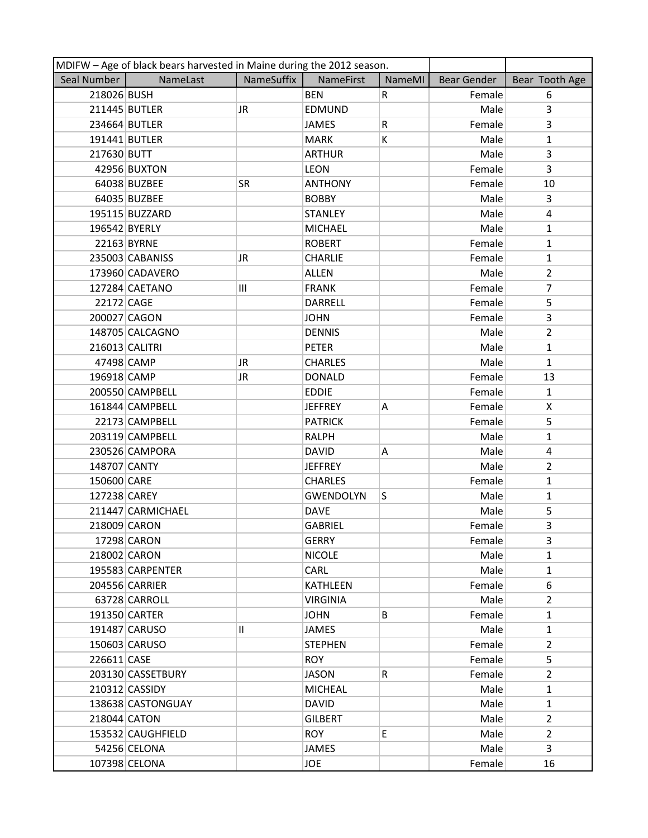|                | MDIFW - Age of black bears harvested in Maine during the 2012 season. |            |                  |        |             |                |  |  |
|----------------|-----------------------------------------------------------------------|------------|------------------|--------|-------------|----------------|--|--|
| Seal Number    | NameLast                                                              | NameSuffix | NameFirst        | NameMI | Bear Gender | Bear Tooth Age |  |  |
| 218026 BUSH    |                                                                       |            | <b>BEN</b>       | R.     | Female      | 6              |  |  |
|                | 211445 BUTLER                                                         | JR         | <b>EDMUND</b>    |        | Male        | 3              |  |  |
|                | 234664 BUTLER                                                         |            | <b>JAMES</b>     | R      | Female      | $\overline{3}$ |  |  |
|                | 191441 BUTLER                                                         |            | <b>MARK</b>      | K      | Male        | $\mathbf{1}$   |  |  |
| 217630 BUTT    |                                                                       |            | <b>ARTHUR</b>    |        | Male        | 3              |  |  |
|                | 42956 BUXTON                                                          |            | <b>LEON</b>      |        | Female      | 3              |  |  |
|                | 64038 BUZBEE                                                          | <b>SR</b>  | <b>ANTHONY</b>   |        | Female      | 10             |  |  |
|                | 64035 BUZBEE                                                          |            | <b>BOBBY</b>     |        | Male        | 3              |  |  |
|                | 195115 BUZZARD                                                        |            | <b>STANLEY</b>   |        | Male        | 4              |  |  |
| 196542 BYERLY  |                                                                       |            | <b>MICHAEL</b>   |        | Male        | $\mathbf{1}$   |  |  |
|                | 22163 BYRNE                                                           |            | <b>ROBERT</b>    |        | Female      | 1              |  |  |
|                | 235003 CABANISS                                                       | JR.        | <b>CHARLIE</b>   |        | Female      | $\mathbf{1}$   |  |  |
|                | 173960 CADAVERO                                                       |            | <b>ALLEN</b>     |        | Male        | $\overline{2}$ |  |  |
|                | 127284 CAETANO                                                        | Ш          | <b>FRANK</b>     |        | Female      | $\overline{7}$ |  |  |
| 22172 CAGE     |                                                                       |            | <b>DARRELL</b>   |        | Female      | 5              |  |  |
| 200027 CAGON   |                                                                       |            | <b>JOHN</b>      |        | Female      | 3              |  |  |
|                | 148705 CALCAGNO                                                       |            | <b>DENNIS</b>    |        | Male        | $\overline{2}$ |  |  |
| 216013 CALITRI |                                                                       |            | <b>PETER</b>     |        | Male        | $\mathbf{1}$   |  |  |
| 47498 CAMP     |                                                                       | JR         | <b>CHARLES</b>   |        | Male        | $\mathbf{1}$   |  |  |
| 196918 CAMP    |                                                                       | JR         | <b>DONALD</b>    |        | Female      | 13             |  |  |
|                | 200550 CAMPBELL                                                       |            | <b>EDDIE</b>     |        | Female      | $\mathbf{1}$   |  |  |
|                | 161844 CAMPBELL                                                       |            | <b>JEFFREY</b>   | Α      | Female      | X              |  |  |
|                | 22173 CAMPBELL                                                        |            | <b>PATRICK</b>   |        | Female      | 5              |  |  |
|                | 203119 CAMPBELL                                                       |            | <b>RALPH</b>     |        | Male        | $\mathbf{1}$   |  |  |
|                | 230526 CAMPORA                                                        |            | <b>DAVID</b>     | Α      | Male        | 4              |  |  |
| 148707 CANTY   |                                                                       |            | <b>JEFFREY</b>   |        | Male        | $\overline{2}$ |  |  |
| 150600 CARE    |                                                                       |            | <b>CHARLES</b>   |        | Female      | $\mathbf{1}$   |  |  |
| 127238 CAREY   |                                                                       |            | <b>GWENDOLYN</b> | S      | Male        | $\mathbf{1}$   |  |  |
|                | 211447 CARMICHAEL                                                     |            | <b>DAVE</b>      |        | Male        | 5              |  |  |
| 218009 CARON   |                                                                       |            | <b>GABRIEL</b>   |        | Female      | 3              |  |  |
|                | 17298 CARON                                                           |            | <b>GERRY</b>     |        | Female      | 3              |  |  |
| 218002 CARON   |                                                                       |            | <b>NICOLE</b>    |        | Male        | $\mathbf{1}$   |  |  |
|                | 195583 CARPENTER                                                      |            | CARL             |        | Male        | $\mathbf{1}$   |  |  |
|                | 204556 CARRIER                                                        |            | <b>KATHLEEN</b>  |        | Female      | 6              |  |  |
|                | 63728 CARROLL                                                         |            | <b>VIRGINIA</b>  |        | Male        | $\overline{2}$ |  |  |
|                | 191350 CARTER                                                         |            | <b>JOHN</b>      | B      | Female      | $\mathbf{1}$   |  |  |
|                | 191487 CARUSO                                                         | 11         | JAMES            |        | Male        | $\mathbf{1}$   |  |  |
|                | 150603 CARUSO                                                         |            | <b>STEPHEN</b>   |        | Female      | $\overline{2}$ |  |  |
| 226611 CASE    |                                                                       |            | <b>ROY</b>       |        | Female      | 5              |  |  |
|                | 203130 CASSETBURY                                                     |            | <b>JASON</b>     | R      | Female      | $\mathbf{2}$   |  |  |
|                | 210312 CASSIDY                                                        |            | <b>MICHEAL</b>   |        | Male        | $\mathbf{1}$   |  |  |
|                | 138638 CASTONGUAY                                                     |            | <b>DAVID</b>     |        | Male        | $\mathbf{1}$   |  |  |
| 218044 CATON   |                                                                       |            | <b>GILBERT</b>   |        | Male        | $\mathbf{2}$   |  |  |
|                | 153532 CAUGHFIELD                                                     |            | <b>ROY</b>       | E      | Male        | $\overline{2}$ |  |  |
|                | 54256 CELONA                                                          |            | <b>JAMES</b>     |        | Male        | 3              |  |  |
|                | 107398 CELONA                                                         |            | JOE              |        | Female      | 16             |  |  |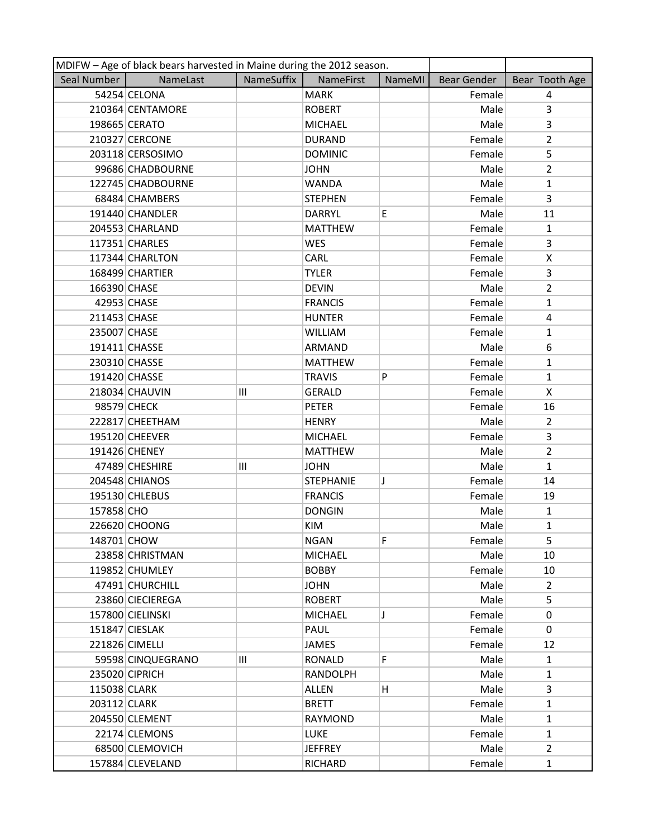|              | MDIFW - Age of black bears harvested in Maine during the 2012 season. |            |                  |               |             |                |
|--------------|-----------------------------------------------------------------------|------------|------------------|---------------|-------------|----------------|
| Seal Number  | NameLast                                                              | NameSuffix | <b>NameFirst</b> | <b>NameMI</b> | Bear Gender | Bear Tooth Age |
|              | 54254 CELONA                                                          |            | <b>MARK</b>      |               | Female      | 4              |
|              | 210364 CENTAMORE                                                      |            | <b>ROBERT</b>    |               | Male        | 3              |
|              | 198665 CERATO                                                         |            | <b>MICHAEL</b>   |               | Male        | 3              |
|              | 210327 CERCONE                                                        |            | <b>DURAND</b>    |               | Female      | $\overline{2}$ |
|              | 203118 CERSOSIMO                                                      |            | <b>DOMINIC</b>   |               | Female      | 5              |
|              | 99686 CHADBOURNE                                                      |            | <b>JOHN</b>      |               | Male        | $\overline{2}$ |
|              | 122745 CHADBOURNE                                                     |            | <b>WANDA</b>     |               | Male        | $\mathbf{1}$   |
|              | 68484 CHAMBERS                                                        |            | <b>STEPHEN</b>   |               | Female      | 3              |
|              | 191440 CHANDLER                                                       |            | <b>DARRYL</b>    | E             | Male        | 11             |
|              | 204553 CHARLAND                                                       |            | <b>MATTHEW</b>   |               | Female      | $\mathbf{1}$   |
|              | 117351 CHARLES                                                        |            | <b>WES</b>       |               | Female      | 3              |
|              | 117344 CHARLTON                                                       |            | CARL             |               | Female      | X              |
|              | 168499 CHARTIER                                                       |            | <b>TYLER</b>     |               | Female      | 3              |
| 166390 CHASE |                                                                       |            | <b>DEVIN</b>     |               | Male        | $\overline{2}$ |
|              | 42953 CHASE                                                           |            | <b>FRANCIS</b>   |               | Female      | $\mathbf{1}$   |
| 211453 CHASE |                                                                       |            | <b>HUNTER</b>    |               | Female      | 4              |
| 235007 CHASE |                                                                       |            | <b>WILLIAM</b>   |               | Female      | 1              |
|              | 191411 CHASSE                                                         |            | ARMAND           |               | Male        | 6              |
|              | 230310 CHASSE                                                         |            | <b>MATTHEW</b>   |               | Female      | $\mathbf{1}$   |
|              | 191420 CHASSE                                                         |            | <b>TRAVIS</b>    | P             | Female      | $\mathbf{1}$   |
|              | 218034 CHAUVIN                                                        | Ш          | <b>GERALD</b>    |               | Female      | X              |
|              | 98579 CHECK                                                           |            | <b>PETER</b>     |               | Female      | 16             |
|              | 222817 CHEETHAM                                                       |            | <b>HENRY</b>     |               | Male        | $\overline{2}$ |
|              | 195120 CHEEVER                                                        |            | <b>MICHAEL</b>   |               | Female      | 3              |
|              | 191426 CHENEY                                                         |            | <b>MATTHEW</b>   |               | Male        | $\overline{2}$ |
|              | 47489 CHESHIRE                                                        | Ш          | <b>JOHN</b>      |               | Male        | $\mathbf{1}$   |
|              | 204548 CHIANOS                                                        |            | <b>STEPHANIE</b> | J             | Female      | 14             |
|              | 195130 CHLEBUS                                                        |            | <b>FRANCIS</b>   |               | Female      | 19             |
| 157858 CHO   |                                                                       |            | <b>DONGIN</b>    |               | Male        | $\mathbf{1}$   |
|              | 226620 CHOONG                                                         |            | KIM              |               | Male        | $\mathbf{1}$   |
| 148701 CHOW  |                                                                       |            | <b>NGAN</b>      | F             | Female      | 5              |
|              | 23858 CHRISTMAN                                                       |            | <b>MICHAEL</b>   |               | Male        | 10             |
|              | 119852 CHUMLEY                                                        |            | <b>BOBBY</b>     |               | Female      | 10             |
|              | 47491 CHURCHILL                                                       |            | <b>JOHN</b>      |               | Male        | $\overline{2}$ |
|              | 23860 CIECIEREGA                                                      |            | <b>ROBERT</b>    |               | Male        | 5              |
|              | 157800 CIELINSKI                                                      |            | <b>MICHAEL</b>   | J             | Female      | $\Omega$       |
|              | 151847 CIESLAK                                                        |            | PAUL             |               | Female      | 0              |
|              | 221826 CIMELLI                                                        |            | <b>JAMES</b>     |               | Female      | 12             |
|              | 59598 CINQUEGRANO                                                     | Ш          | RONALD           | F             | Male        | $\mathbf{1}$   |
|              | 235020 CIPRICH                                                        |            | <b>RANDOLPH</b>  |               | Male        | 1              |
| 115038 CLARK |                                                                       |            | <b>ALLEN</b>     | H             | Male        | 3              |
| 203112 CLARK |                                                                       |            | <b>BRETT</b>     |               | Female      | $\mathbf{1}$   |
|              | 204550 CLEMENT                                                        |            | RAYMOND          |               | Male        | $\mathbf{1}$   |
|              | 22174 CLEMONS                                                         |            | <b>LUKE</b>      |               | Female      | $\mathbf{1}$   |
|              | 68500 CLEMOVICH                                                       |            | <b>JEFFREY</b>   |               | Male        | $\overline{2}$ |
|              | 157884 CLEVELAND                                                      |            | RICHARD          |               | Female      | $\mathbf{1}$   |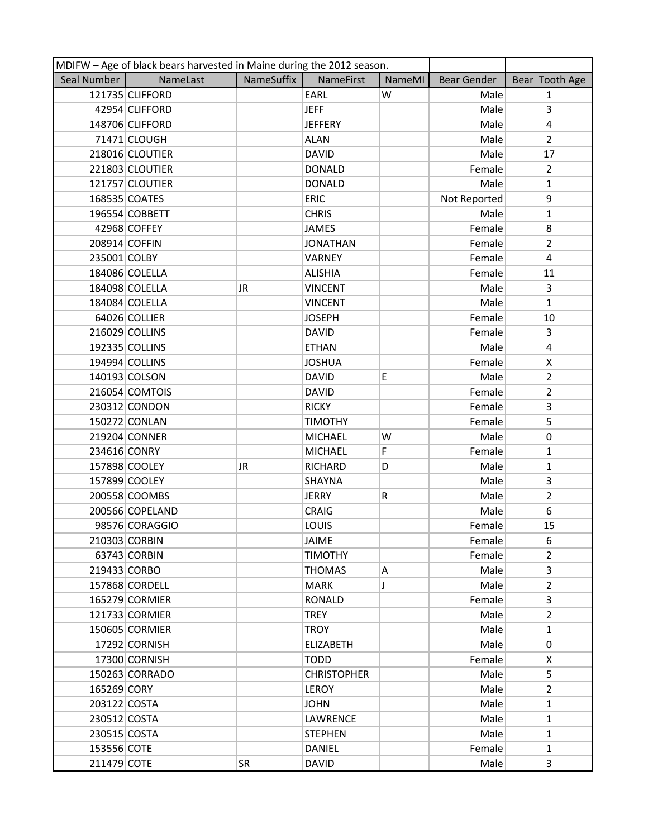|               | MDIFW - Age of black bears harvested in Maine during the 2012 season. |            |                    |        |                    |                |
|---------------|-----------------------------------------------------------------------|------------|--------------------|--------|--------------------|----------------|
| Seal Number   | NameLast                                                              | NameSuffix | <b>NameFirst</b>   | NameMI | <b>Bear Gender</b> | Bear Tooth Age |
|               | 121735 CLIFFORD                                                       |            | EARL               | W      | Male               | $\mathbf{1}$   |
|               | 42954 CLIFFORD                                                        |            | <b>JEFF</b>        |        | Male               | 3              |
|               | 148706 CLIFFORD                                                       |            | <b>JEFFERY</b>     |        | Male               | 4              |
|               | 71471 CLOUGH                                                          |            | <b>ALAN</b>        |        | Male               | $\overline{2}$ |
|               | 218016 CLOUTIER                                                       |            | <b>DAVID</b>       |        | Male               | 17             |
|               | 221803 CLOUTIER                                                       |            | <b>DONALD</b>      |        | Female             | $\overline{2}$ |
|               | 121757 CLOUTIER                                                       |            | <b>DONALD</b>      |        | Male               | $\mathbf{1}$   |
|               | 168535 COATES                                                         |            | <b>ERIC</b>        |        | Not Reported       | 9              |
|               | 196554 COBBETT                                                        |            | <b>CHRIS</b>       |        | Male               | $\mathbf{1}$   |
|               | 42968 COFFEY                                                          |            | <b>JAMES</b>       |        | Female             | 8              |
| 208914 COFFIN |                                                                       |            | <b>JONATHAN</b>    |        | Female             | $\overline{2}$ |
| 235001 COLBY  |                                                                       |            | VARNEY             |        | Female             | 4              |
|               | 184086 COLELLA                                                        |            | <b>ALISHIA</b>     |        | Female             | 11             |
|               | 184098 COLELLA                                                        | JR.        | <b>VINCENT</b>     |        | Male               | 3              |
|               | 184084 COLELLA                                                        |            | <b>VINCENT</b>     |        | Male               | $\mathbf{1}$   |
|               | 64026 COLLIER                                                         |            | <b>JOSEPH</b>      |        | Female             | 10             |
|               | 216029 COLLINS                                                        |            | <b>DAVID</b>       |        | Female             | 3              |
|               | 192335 COLLINS                                                        |            | <b>ETHAN</b>       |        | Male               | 4              |
|               | 194994 COLLINS                                                        |            | <b>JOSHUA</b>      |        | Female             | X              |
|               | 140193 COLSON                                                         |            | <b>DAVID</b>       | E      | Male               | $\overline{2}$ |
|               | 216054 COMTOIS                                                        |            | <b>DAVID</b>       |        | Female             | $\overline{2}$ |
|               | 230312 CONDON                                                         |            | <b>RICKY</b>       |        | Female             | 3              |
|               | 150272 CONLAN                                                         |            | <b>TIMOTHY</b>     |        | Female             | 5              |
|               | 219204 CONNER                                                         |            | <b>MICHAEL</b>     | W      | Male               | $\mathbf 0$    |
| 234616 CONRY  |                                                                       |            | <b>MICHAEL</b>     | F      | Female             | $\mathbf{1}$   |
|               | 157898 COOLEY                                                         | JR         | RICHARD            | D      | Male               | $\mathbf{1}$   |
|               | 157899 COOLEY                                                         |            | <b>SHAYNA</b>      |        | Male               | $\overline{3}$ |
|               | 200558 COOMBS                                                         |            | <b>JERRY</b>       | R      | Male               | $\overline{2}$ |
|               | 200566 COPELAND                                                       |            | <b>CRAIG</b>       |        | Male               | 6              |
|               | 98576 CORAGGIO                                                        |            | LOUIS              |        | Female             | 15             |
|               | 210303 CORBIN                                                         |            | <b>JAIME</b>       |        | Female             | 6              |
|               | 63743 CORBIN                                                          |            | <b>TIMOTHY</b>     |        | Female             | $\overline{2}$ |
| 219433 CORBO  |                                                                       |            | <b>THOMAS</b>      | Α      | Male               | 3              |
|               | 157868 CORDELL                                                        |            | <b>MARK</b>        | J      | Male               | $\overline{2}$ |
|               | 165279 CORMIER                                                        |            | RONALD             |        | Female             | 3              |
|               | 121733 CORMIER                                                        |            | <b>TREY</b>        |        | Male               | $\overline{2}$ |
|               | 150605 CORMIER                                                        |            | <b>TROY</b>        |        | Male               | $\mathbf{1}$   |
|               | 17292 CORNISH                                                         |            | <b>ELIZABETH</b>   |        | Male               | 0              |
|               | 17300 CORNISH                                                         |            | <b>TODD</b>        |        | Female             | X              |
|               | 150263 CORRADO                                                        |            | <b>CHRISTOPHER</b> |        | Male               | 5              |
| 165269 CORY   |                                                                       |            | LEROY              |        | Male               | $\overline{2}$ |
| 203122 COSTA  |                                                                       |            | <b>JOHN</b>        |        | Male               | $\mathbf{1}$   |
| 230512 COSTA  |                                                                       |            | LAWRENCE           |        | Male               | $\mathbf{1}$   |
| 230515 COSTA  |                                                                       |            | <b>STEPHEN</b>     |        | Male               | $\mathbf{1}$   |
| 153556 COTE   |                                                                       |            | <b>DANIEL</b>      |        | Female             | $\mathbf{1}$   |
| 211479 COTE   |                                                                       | SR         | <b>DAVID</b>       |        | Male               | 3              |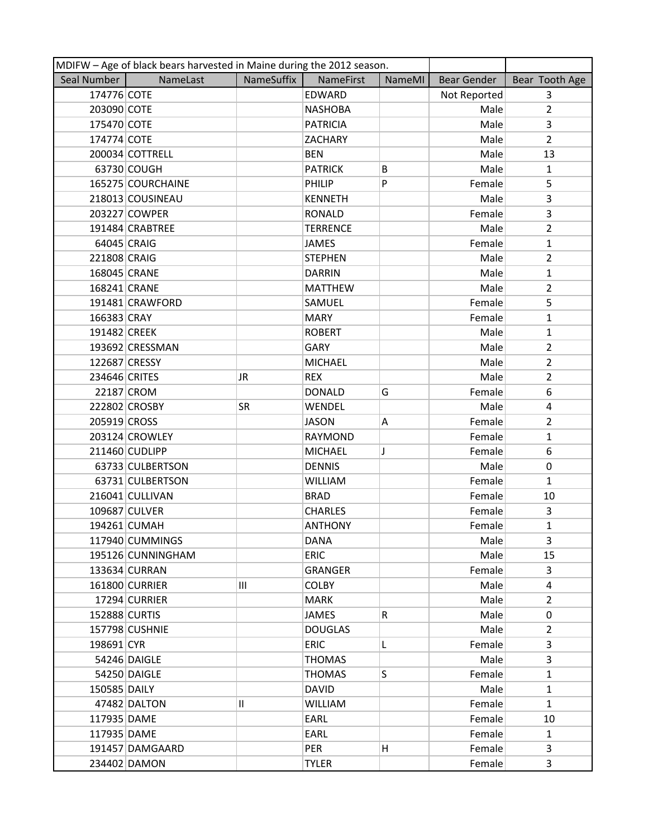|               | MDIFW - Age of black bears harvested in Maine during the 2012 season. |            |                  |               |              |                |
|---------------|-----------------------------------------------------------------------|------------|------------------|---------------|--------------|----------------|
| Seal Number   | NameLast                                                              | NameSuffix | <b>NameFirst</b> | <b>NameMI</b> | Bear Gender  | Bear Tooth Age |
| 174776 COTE   |                                                                       |            | EDWARD           |               | Not Reported | $\overline{3}$ |
| 203090 COTE   |                                                                       |            | <b>NASHOBA</b>   |               | Male         | $\overline{2}$ |
| 175470 COTE   |                                                                       |            | <b>PATRICIA</b>  |               | Male         | $\overline{3}$ |
| 174774 COTE   |                                                                       |            | <b>ZACHARY</b>   |               | Male         | $\overline{2}$ |
|               | 200034 COTTRELL                                                       |            | <b>BEN</b>       |               | Male         | 13             |
|               | 63730 COUGH                                                           |            | <b>PATRICK</b>   | В             | Male         | $\mathbf{1}$   |
|               | 165275 COURCHAINE                                                     |            | PHILIP           | P             | Female       | 5              |
|               | 218013 COUSINEAU                                                      |            | <b>KENNETH</b>   |               | Male         | 3              |
|               | 203227 COWPER                                                         |            | <b>RONALD</b>    |               | Female       | 3              |
|               | 191484 CRABTREE                                                       |            | <b>TERRENCE</b>  |               | Male         | $\overline{2}$ |
| 64045 CRAIG   |                                                                       |            | JAMES            |               | Female       | $\mathbf{1}$   |
| 221808 CRAIG  |                                                                       |            | <b>STEPHEN</b>   |               | Male         | $\overline{2}$ |
| 168045 CRANE  |                                                                       |            | <b>DARRIN</b>    |               | Male         | $\mathbf{1}$   |
| 168241 CRANE  |                                                                       |            | <b>MATTHEW</b>   |               | Male         | $\overline{2}$ |
|               | 191481 CRAWFORD                                                       |            | SAMUEL           |               | Female       | 5              |
| 166383 CRAY   |                                                                       |            | <b>MARY</b>      |               | Female       | $\mathbf{1}$   |
| 191482 CREEK  |                                                                       |            | <b>ROBERT</b>    |               | Male         | $\mathbf{1}$   |
|               | 193692 CRESSMAN                                                       |            | GARY             |               | Male         | $\overline{2}$ |
| 122687 CRESSY |                                                                       |            | <b>MICHAEL</b>   |               | Male         | $\overline{2}$ |
| 234646 CRITES |                                                                       | JR         | <b>REX</b>       |               | Male         | $\overline{2}$ |
|               | 22187 CROM                                                            |            | <b>DONALD</b>    | G             | Female       | 6              |
|               | 222802 CROSBY                                                         | SR         | WENDEL           |               | Male         | $\overline{4}$ |
| 205919 CROSS  |                                                                       |            | <b>JASON</b>     | Α             | Female       | $\overline{2}$ |
|               | 203124 CROWLEY                                                        |            | RAYMOND          |               | Female       | $\mathbf{1}$   |
|               | 211460 CUDLIPP                                                        |            | <b>MICHAEL</b>   | J             | Female       | 6              |
|               | 63733 CULBERTSON                                                      |            | <b>DENNIS</b>    |               | Male         | 0              |
|               | 63731 CULBERTSON                                                      |            | <b>WILLIAM</b>   |               | Female       | $\mathbf{1}$   |
|               | 216041 CULLIVAN                                                       |            | <b>BRAD</b>      |               | Female       | 10             |
|               | 109687 CULVER                                                         |            | <b>CHARLES</b>   |               | Female       | 3              |
|               | 194261 CUMAH                                                          |            | <b>ANTHONY</b>   |               | Female       | $\mathbf{1}$   |
|               | 117940 CUMMINGS                                                       |            | <b>DANA</b>      |               | Male         | 3              |
|               | 195126 CUNNINGHAM                                                     |            | <b>ERIC</b>      |               | Male         | 15             |
|               | 133634 CURRAN                                                         |            | <b>GRANGER</b>   |               | Female       | 3              |
|               | 161800 CURRIER                                                        | Ш          | <b>COLBY</b>     |               | Male         | 4              |
|               | 17294 CURRIER                                                         |            | <b>MARK</b>      |               | Male         | $\overline{2}$ |
| 152888 CURTIS |                                                                       |            | <b>JAMES</b>     | R.            | Male         | 0              |
|               | 157798 CUSHNIE                                                        |            | <b>DOUGLAS</b>   |               | Male         | $\overline{2}$ |
| 198691 CYR    |                                                                       |            | <b>ERIC</b>      | L             | Female       | 3              |
|               | 54246 DAIGLE                                                          |            | <b>THOMAS</b>    |               | Male         | 3              |
|               | 54250 DAIGLE                                                          |            | THOMAS           | S             | Female       | $\mathbf{1}$   |
| 150585 DAILY  |                                                                       |            | <b>DAVID</b>     |               | Male         | $\mathbf{1}$   |
|               | 47482 DALTON                                                          | 11         | <b>WILLIAM</b>   |               | Female       | $\mathbf{1}$   |
| 117935 DAME   |                                                                       |            | EARL             |               | Female       | 10             |
| 117935 DAME   |                                                                       |            | EARL             |               | Female       | $\mathbf{1}$   |
|               | 191457 DAMGAARD                                                       |            | PER              | H             | Female       | 3              |
|               | 234402 DAMON                                                          |            | <b>TYLER</b>     |               | Female       | 3              |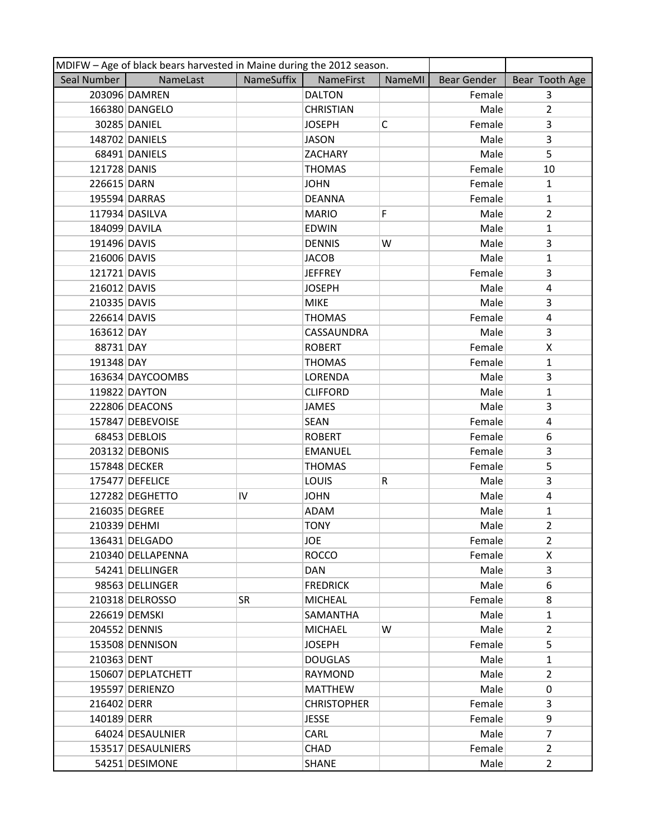|               | MDIFW - Age of black bears harvested in Maine during the 2012 season. |            |                    |        |                    |                |  |  |
|---------------|-----------------------------------------------------------------------|------------|--------------------|--------|--------------------|----------------|--|--|
| Seal Number   | NameLast                                                              | NameSuffix | <b>NameFirst</b>   | NameMI | <b>Bear Gender</b> | Bear Tooth Age |  |  |
|               | 203096 DAMREN                                                         |            | <b>DALTON</b>      |        | Female             | $\overline{3}$ |  |  |
|               | 166380 DANGELO                                                        |            | <b>CHRISTIAN</b>   |        | Male               | $\overline{2}$ |  |  |
|               | 30285 DANIEL                                                          |            | <b>JOSEPH</b>      | C      | Female             | 3              |  |  |
|               | 148702 DANIELS                                                        |            | <b>JASON</b>       |        | Male               | $\overline{3}$ |  |  |
|               | 68491 DANIELS                                                         |            | ZACHARY            |        | Male               | 5              |  |  |
| 121728 DANIS  |                                                                       |            | <b>THOMAS</b>      |        | Female             | 10             |  |  |
| 226615 DARN   |                                                                       |            | <b>JOHN</b>        |        | Female             | $\mathbf{1}$   |  |  |
|               | 195594 DARRAS                                                         |            | <b>DEANNA</b>      |        | Female             | $\mathbf{1}$   |  |  |
|               | 117934 DASILVA                                                        |            | <b>MARIO</b>       | F.     | Male               | $\overline{2}$ |  |  |
| 184099 DAVILA |                                                                       |            | <b>EDWIN</b>       |        | Male               | $\mathbf{1}$   |  |  |
| 191496 DAVIS  |                                                                       |            | <b>DENNIS</b>      | W      | Male               | 3              |  |  |
| 216006 DAVIS  |                                                                       |            | <b>JACOB</b>       |        | Male               | $\mathbf{1}$   |  |  |
| 121721 DAVIS  |                                                                       |            | <b>JEFFREY</b>     |        | Female             | 3              |  |  |
| 216012 DAVIS  |                                                                       |            | <b>JOSEPH</b>      |        | Male               | 4              |  |  |
| 210335 DAVIS  |                                                                       |            | <b>MIKE</b>        |        | Male               | 3              |  |  |
| 226614 DAVIS  |                                                                       |            | <b>THOMAS</b>      |        | Female             | $\overline{4}$ |  |  |
| 163612 DAY    |                                                                       |            | CASSAUNDRA         |        | Male               | 3              |  |  |
| 88731 DAY     |                                                                       |            | <b>ROBERT</b>      |        | Female             | X              |  |  |
| 191348 DAY    |                                                                       |            | <b>THOMAS</b>      |        | Female             | $\mathbf{1}$   |  |  |
|               | 163634 DAYCOOMBS                                                      |            | LORENDA            |        | Male               | 3              |  |  |
|               | 119822 DAYTON                                                         |            | <b>CLIFFORD</b>    |        | Male               | $\mathbf{1}$   |  |  |
|               | 222806 DEACONS                                                        |            | <b>JAMES</b>       |        | Male               | 3              |  |  |
|               | 157847 DEBEVOISE                                                      |            | <b>SEAN</b>        |        | Female             | 4              |  |  |
|               | 68453 DEBLOIS                                                         |            | <b>ROBERT</b>      |        | Female             | 6              |  |  |
|               | 203132 DEBONIS                                                        |            | <b>EMANUEL</b>     |        | Female             | 3              |  |  |
|               | 157848 DECKER                                                         |            | <b>THOMAS</b>      |        | Female             | 5              |  |  |
|               | 175477 DEFELICE                                                       |            | LOUIS              | R      | Male               | 3              |  |  |
|               | 127282 DEGHETTO                                                       | IV         | <b>JOHN</b>        |        | Male               | 4              |  |  |
|               | 216035 DEGREE                                                         |            | ADAM               |        | Male               | 1              |  |  |
| 210339 DEHMI  |                                                                       |            | <b>TONY</b>        |        | Male               | $\overline{2}$ |  |  |
|               | 136431 DELGADO                                                        |            | <b>JOE</b>         |        | Female             | $\overline{2}$ |  |  |
|               | 210340 DELLAPENNA                                                     |            | <b>ROCCO</b>       |        | Female             | X              |  |  |
|               | 54241 DELLINGER                                                       |            | DAN                |        | Male               | 3              |  |  |
|               | 98563 DELLINGER                                                       |            | <b>FREDRICK</b>    |        | Male               | 6              |  |  |
|               | 210318 DELROSSO                                                       | <b>SR</b>  | <b>MICHEAL</b>     |        | Female             | 8              |  |  |
|               | 226619 DEMSKI                                                         |            | SAMANTHA           |        | Male               | $\mathbf{1}$   |  |  |
|               | 204552 DENNIS                                                         |            | <b>MICHAEL</b>     | W      | Male               | $\overline{2}$ |  |  |
|               | 153508 DENNISON                                                       |            | <b>JOSEPH</b>      |        | Female             | 5              |  |  |
| 210363 DENT   |                                                                       |            | <b>DOUGLAS</b>     |        | Male               | $\mathbf{1}$   |  |  |
|               | 150607 DEPLATCHETT                                                    |            | RAYMOND            |        | Male               | $\overline{2}$ |  |  |
|               | 195597 DERIENZO                                                       |            | <b>MATTHEW</b>     |        | Male               | 0              |  |  |
| 216402 DERR   |                                                                       |            | <b>CHRISTOPHER</b> |        | Female             | $\overline{3}$ |  |  |
| 140189 DERR   |                                                                       |            | <b>JESSE</b>       |        | Female             | 9              |  |  |
|               | 64024 DESAULNIER                                                      |            | <b>CARL</b>        |        | Male               | $\overline{7}$ |  |  |
|               | 153517 DESAULNIERS                                                    |            | <b>CHAD</b>        |        | Female             | $\overline{2}$ |  |  |
|               | 54251 DESIMONE                                                        |            | <b>SHANE</b>       |        | Male               | $\overline{2}$ |  |  |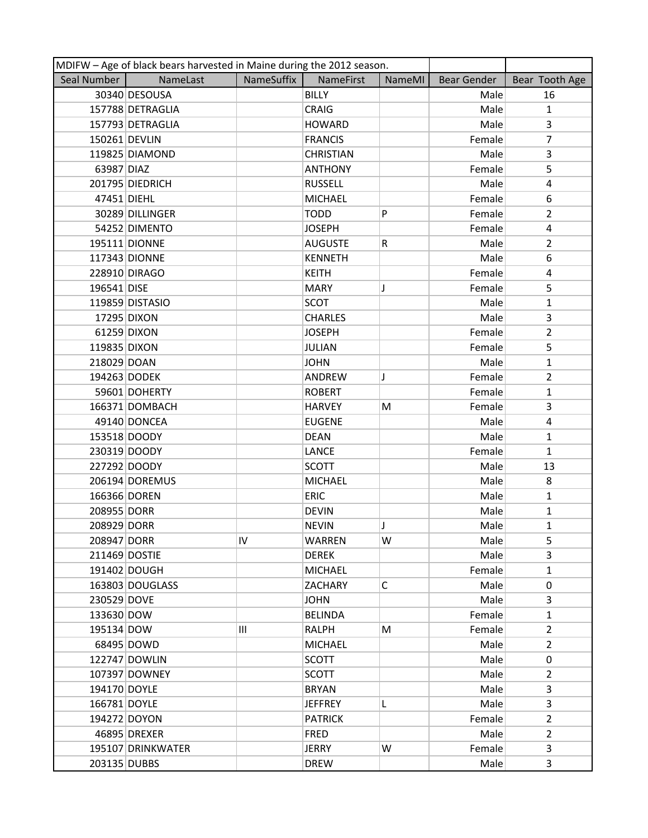|               | MDIFW - Age of black bears harvested in Maine during the 2012 season. |            |                  |              |                    |                |
|---------------|-----------------------------------------------------------------------|------------|------------------|--------------|--------------------|----------------|
| Seal Number   | NameLast                                                              | NameSuffix | NameFirst        | NameMI       | <b>Bear Gender</b> | Bear Tooth Age |
|               | 30340 DESOUSA                                                         |            | <b>BILLY</b>     |              | Male               | 16             |
|               | 157788 DETRAGLIA                                                      |            | <b>CRAIG</b>     |              | Male               | $\mathbf{1}$   |
|               | 157793 DETRAGLIA                                                      |            | <b>HOWARD</b>    |              | Male               | $\overline{3}$ |
| 150261 DEVLIN |                                                                       |            | <b>FRANCIS</b>   |              | Female             | $\overline{7}$ |
|               | 119825 DIAMOND                                                        |            | <b>CHRISTIAN</b> |              | Male               | 3              |
| 63987 DIAZ    |                                                                       |            | <b>ANTHONY</b>   |              | Female             | 5              |
|               | 201795 DIEDRICH                                                       |            | <b>RUSSELL</b>   |              | Male               | 4              |
| 47451 DIEHL   |                                                                       |            | <b>MICHAEL</b>   |              | Female             | 6              |
|               | 30289 DILLINGER                                                       |            | <b>TODD</b>      | P            | Female             | $\overline{2}$ |
|               | 54252 DIMENTO                                                         |            | <b>JOSEPH</b>    |              | Female             | $\overline{4}$ |
|               | 195111 DIONNE                                                         |            | <b>AUGUSTE</b>   | R            | Male               | $\overline{2}$ |
|               | 117343 DIONNE                                                         |            | <b>KENNETH</b>   |              | Male               | 6              |
|               | 228910 DIRAGO                                                         |            | <b>KEITH</b>     |              | Female             | 4              |
| 196541 DISE   |                                                                       |            | <b>MARY</b>      | J            | Female             | 5              |
|               | 119859 DISTASIO                                                       |            | <b>SCOT</b>      |              | Male               | $\mathbf{1}$   |
|               | 17295 DIXON                                                           |            | <b>CHARLES</b>   |              | Male               | 3              |
|               | 61259 DIXON                                                           |            | <b>JOSEPH</b>    |              | Female             | $\overline{2}$ |
| 119835 DIXON  |                                                                       |            | <b>JULIAN</b>    |              | Female             | 5              |
| 218029 DOAN   |                                                                       |            | <b>JOHN</b>      |              | Male               | $\mathbf{1}$   |
| 194263 DODEK  |                                                                       |            | ANDREW           | J            | Female             | $\overline{2}$ |
|               | 59601 DOHERTY                                                         |            | <b>ROBERT</b>    |              | Female             | $\mathbf{1}$   |
|               | 166371 DOMBACH                                                        |            | <b>HARVEY</b>    | M            | Female             | 3              |
|               | 49140 DONCEA                                                          |            | <b>EUGENE</b>    |              | Male               | 4              |
|               | 153518 DOODY                                                          |            | <b>DEAN</b>      |              | Male               | $\mathbf{1}$   |
|               | 230319 DOODY                                                          |            | <b>LANCE</b>     |              | Female             | $\mathbf{1}$   |
| 227292 DOODY  |                                                                       |            | <b>SCOTT</b>     |              | Male               | 13             |
|               | 206194 DOREMUS                                                        |            | <b>MICHAEL</b>   |              | Male               | 8              |
| 166366 DOREN  |                                                                       |            | <b>ERIC</b>      |              | Male               | $\mathbf{1}$   |
| 208955 DORR   |                                                                       |            | <b>DEVIN</b>     |              | Male               | 1              |
| 208929 DORR   |                                                                       |            | <b>NEVIN</b>     |              | Male               | $\mathbf{1}$   |
| 208947 DORR   |                                                                       | IV         | <b>WARREN</b>    | W            | Male               | 5              |
| 211469 DOSTIE |                                                                       |            | <b>DEREK</b>     |              | Male               | 3              |
|               | 191402 DOUGH                                                          |            | <b>MICHAEL</b>   |              | Female             | $\mathbf{1}$   |
|               | 163803 DOUGLASS                                                       |            | <b>ZACHARY</b>   | $\mathsf{C}$ | Male               | 0              |
| 230529 DOVE   |                                                                       |            | <b>JOHN</b>      |              | Male               | 3              |
| 133630 DOW    |                                                                       |            | <b>BELINDA</b>   |              | Female             | $\mathbf{1}$   |
| 195134 DOW    |                                                                       | Ш          | RALPH            | M            | Female             | $\overline{2}$ |
|               | 68495 DOWD                                                            |            | <b>MICHAEL</b>   |              | Male               | $\overline{2}$ |
|               | 122747 DOWLIN                                                         |            | <b>SCOTT</b>     |              | Male               | $\Omega$       |
|               | 107397 DOWNEY                                                         |            | <b>SCOTT</b>     |              | Male               | $\overline{2}$ |
| 194170 DOYLE  |                                                                       |            | <b>BRYAN</b>     |              | Male               | 3              |
| 166781 DOYLE  |                                                                       |            | <b>JEFFREY</b>   | L            | Male               | 3              |
|               | 194272 DOYON                                                          |            | <b>PATRICK</b>   |              | Female             | $\overline{2}$ |
|               | 46895 DREXER                                                          |            | <b>FRED</b>      |              | Male               | $\overline{2}$ |
|               | 195107 DRINKWATER                                                     |            | <b>JERRY</b>     | W            | Female             | 3              |
| 203135 DUBBS  |                                                                       |            | <b>DREW</b>      |              | Male               | 3              |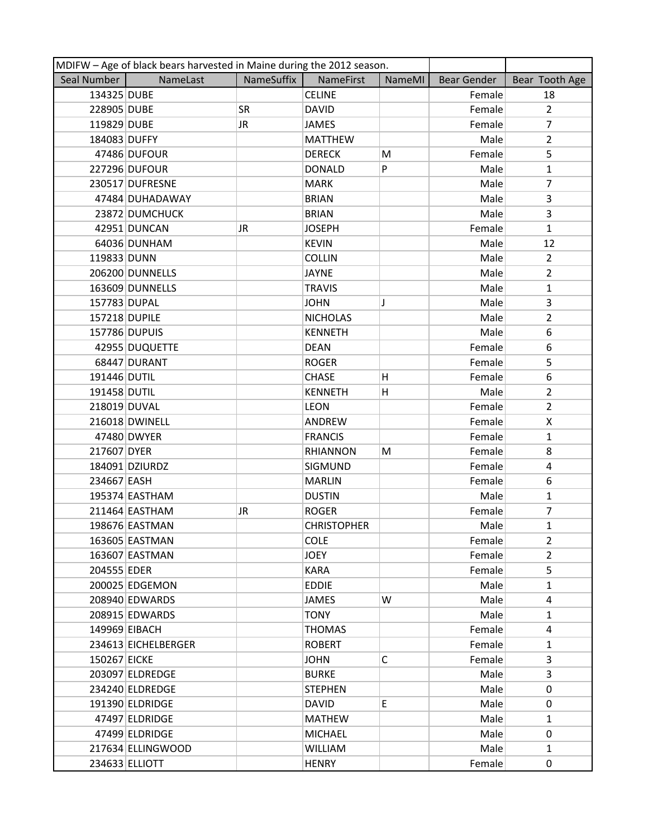|               | MDIFW - Age of black bears harvested in Maine during the 2012 season. |            |                    |        |                    |                |
|---------------|-----------------------------------------------------------------------|------------|--------------------|--------|--------------------|----------------|
| Seal Number   | NameLast                                                              | NameSuffix | <b>NameFirst</b>   | NameMI | <b>Bear Gender</b> | Bear Tooth Age |
| 134325 DUBE   |                                                                       |            | <b>CELINE</b>      |        | Female             | 18             |
| 228905 DUBE   |                                                                       | <b>SR</b>  | <b>DAVID</b>       |        | Female             | $\overline{2}$ |
| 119829 DUBE   |                                                                       | JR.        | <b>JAMES</b>       |        | Female             | $\overline{7}$ |
| 184083 DUFFY  |                                                                       |            | <b>MATTHEW</b>     |        | Male               | $\overline{2}$ |
|               | 47486 DUFOUR                                                          |            | <b>DERECK</b>      | M      | Female             | 5              |
|               | 227296 DUFOUR                                                         |            | <b>DONALD</b>      | P      | Male               | $\mathbf{1}$   |
|               | 230517 DUFRESNE                                                       |            | <b>MARK</b>        |        | Male               | 7              |
|               | 47484 DUHADAWAY                                                       |            | <b>BRIAN</b>       |        | Male               | 3              |
|               | 23872 DUMCHUCK                                                        |            | <b>BRIAN</b>       |        | Male               | 3              |
|               | 42951 DUNCAN                                                          | JR         | <b>JOSEPH</b>      |        | Female             | $\mathbf{1}$   |
|               | 64036 DUNHAM                                                          |            | <b>KEVIN</b>       |        | Male               | 12             |
| 119833 DUNN   |                                                                       |            | <b>COLLIN</b>      |        | Male               | $\overline{2}$ |
|               | 206200 DUNNELLS                                                       |            | <b>JAYNE</b>       |        | Male               | $\overline{2}$ |
|               | 163609 DUNNELLS                                                       |            | <b>TRAVIS</b>      |        | Male               | $\mathbf{1}$   |
| 157783 DUPAL  |                                                                       |            | <b>JOHN</b>        | J      | Male               | 3              |
| 157218 DUPILE |                                                                       |            | <b>NICHOLAS</b>    |        | Male               | $\overline{2}$ |
|               | 157786 DUPUIS                                                         |            | <b>KENNETH</b>     |        | Male               | 6              |
|               | 42955 DUQUETTE                                                        |            | <b>DEAN</b>        |        | Female             | 6              |
|               | 68447 DURANT                                                          |            | <b>ROGER</b>       |        | Female             | 5              |
| 191446 DUTIL  |                                                                       |            | <b>CHASE</b>       | H.     | Female             | 6              |
| 191458 DUTIL  |                                                                       |            | <b>KENNETH</b>     | н      | Male               | $\overline{2}$ |
| 218019 DUVAL  |                                                                       |            | <b>LEON</b>        |        | Female             | $\overline{2}$ |
|               | 216018 DWINELL                                                        |            | ANDREW             |        | Female             | X              |
|               | 47480 DWYER                                                           |            | <b>FRANCIS</b>     |        | Female             | $\mathbf{1}$   |
| 217607 DYER   |                                                                       |            | <b>RHIANNON</b>    | M      | Female             | 8              |
|               | 184091 DZIURDZ                                                        |            | SIGMUND            |        | Female             | 4              |
| 234667 EASH   |                                                                       |            | <b>MARLIN</b>      |        | Female             | 6              |
|               | 195374 EASTHAM                                                        |            | <b>DUSTIN</b>      |        | Male               | $\mathbf{1}$   |
|               | 211464 EASTHAM                                                        | JR         | <b>ROGER</b>       |        | Female             | 7              |
|               | 198676 EASTMAN                                                        |            | <b>CHRISTOPHER</b> |        | Male               | $\mathbf{1}$   |
|               | 163605 EASTMAN                                                        |            | <b>COLE</b>        |        | Female             | $\overline{2}$ |
|               | 163607 EASTMAN                                                        |            | <b>JOEY</b>        |        | Female             | $\overline{2}$ |
| 204555 EDER   |                                                                       |            | <b>KARA</b>        |        | Female             | 5              |
|               | 200025 EDGEMON                                                        |            | <b>EDDIE</b>       |        | Male               | $\mathbf{1}$   |
|               | 208940 EDWARDS                                                        |            | JAMES              | W      | Male               | 4              |
|               | 208915 EDWARDS                                                        |            | <b>TONY</b>        |        | Male               | $\mathbf{1}$   |
| 149969 EIBACH |                                                                       |            | <b>THOMAS</b>      |        | Female             | 4              |
|               | 234613 EICHELBERGER                                                   |            | <b>ROBERT</b>      |        | Female             | $\mathbf{1}$   |
| 150267 EICKE  |                                                                       |            | <b>JOHN</b>        | C      | Female             | 3              |
|               | 203097 ELDREDGE                                                       |            | <b>BURKE</b>       |        | Male               | 3              |
|               | 234240 ELDREDGE                                                       |            | <b>STEPHEN</b>     |        | Male               | 0              |
|               | 191390 ELDRIDGE                                                       |            | <b>DAVID</b>       | E.     | Male               | $\Omega$       |
|               | 47497 ELDRIDGE                                                        |            | <b>MATHEW</b>      |        | Male               | 1              |
|               | 47499 ELDRIDGE                                                        |            | <b>MICHAEL</b>     |        | Male               | 0              |
|               | 217634 ELLINGWOOD                                                     |            | <b>WILLIAM</b>     |        | Male               | $\mathbf{1}$   |
|               | 234633 ELLIOTT                                                        |            | <b>HENRY</b>       |        | Female             | 0              |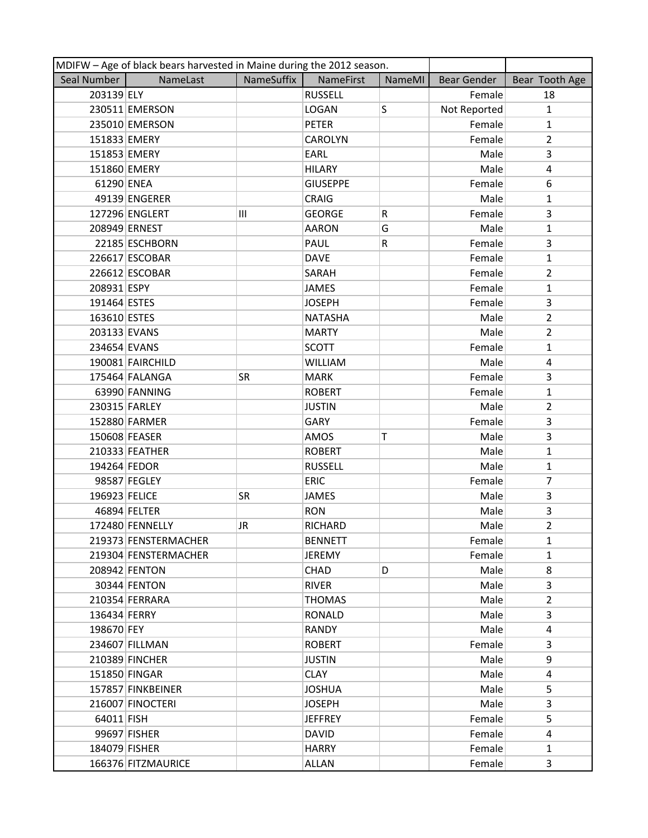|               | MDIFW - Age of black bears harvested in Maine during the 2012 season. |            |                 |        |                    |                |
|---------------|-----------------------------------------------------------------------|------------|-----------------|--------|--------------------|----------------|
| Seal Number   | NameLast                                                              | NameSuffix | NameFirst       | NameMI | <b>Bear Gender</b> | Bear Tooth Age |
| 203139 ELY    |                                                                       |            | <b>RUSSELL</b>  |        | Female             | 18             |
|               | 230511 EMERSON                                                        |            | <b>LOGAN</b>    | S      | Not Reported       | $\mathbf{1}$   |
|               | 235010 EMERSON                                                        |            | <b>PETER</b>    |        | Female             | $\mathbf{1}$   |
| 151833 EMERY  |                                                                       |            | <b>CAROLYN</b>  |        | Female             | $\overline{2}$ |
| 151853 EMERY  |                                                                       |            | EARL            |        | Male               | 3              |
| 151860 EMERY  |                                                                       |            | <b>HILARY</b>   |        | Male               | 4              |
| 61290 ENEA    |                                                                       |            | <b>GIUSEPPE</b> |        | Female             | 6              |
|               | 49139 ENGERER                                                         |            | <b>CRAIG</b>    |        | Male               | $\mathbf{1}$   |
|               | 127296 ENGLERT                                                        | Ш          | <b>GEORGE</b>   | R      | Female             | 3              |
|               | 208949 ERNEST                                                         |            | <b>AARON</b>    | G      | Male               | $\mathbf{1}$   |
|               | 22185 ESCHBORN                                                        |            | <b>PAUL</b>     | R      | Female             | 3              |
|               | 226617 ESCOBAR                                                        |            | <b>DAVE</b>     |        | Female             | $\mathbf{1}$   |
|               | 226612 ESCOBAR                                                        |            | SARAH           |        | Female             | $\overline{2}$ |
| 208931 ESPY   |                                                                       |            | <b>JAMES</b>    |        | Female             | $\mathbf{1}$   |
| 191464 ESTES  |                                                                       |            | <b>JOSEPH</b>   |        | Female             | 3              |
| 163610 ESTES  |                                                                       |            | <b>NATASHA</b>  |        | Male               | $\overline{2}$ |
| 203133 EVANS  |                                                                       |            | <b>MARTY</b>    |        | Male               | $\overline{2}$ |
| 234654 EVANS  |                                                                       |            | <b>SCOTT</b>    |        | Female             | $\mathbf{1}$   |
|               | 190081 FAIRCHILD                                                      |            | <b>WILLIAM</b>  |        | Male               | 4              |
|               | 175464 FALANGA                                                        | SR.        | <b>MARK</b>     |        | Female             | 3              |
|               | 63990 FANNING                                                         |            | <b>ROBERT</b>   |        | Female             | $\mathbf{1}$   |
| 230315 FARLEY |                                                                       |            | <b>JUSTIN</b>   |        | Male               | $\overline{2}$ |
|               | 152880 FARMER                                                         |            | GARY            |        | Female             | 3              |
|               | 150608 FEASER                                                         |            | AMOS            | Τ      | Male               | 3              |
|               | 210333 FEATHER                                                        |            | <b>ROBERT</b>   |        | Male               | $\mathbf{1}$   |
| 194264 FEDOR  |                                                                       |            | <b>RUSSELL</b>  |        | Male               | $\mathbf{1}$   |
|               | 98587 FEGLEY                                                          |            | <b>ERIC</b>     |        | Female             | 7              |
| 196923 FELICE |                                                                       | <b>SR</b>  | <b>JAMES</b>    |        | Male               | 3              |
|               | 46894 FELTER                                                          |            | <b>RON</b>      |        | Male               | 3              |
|               | 172480 FENNELLY                                                       | JR.        | <b>RICHARD</b>  |        | Male               | $\overline{2}$ |
|               | 219373 FENSTERMACHER                                                  |            | <b>BENNETT</b>  |        | Female             | $\mathbf{1}$   |
|               | 219304 FENSTERMACHER                                                  |            | <b>JEREMY</b>   |        | Female             | 1              |
|               | 208942 FENTON                                                         |            | <b>CHAD</b>     | D      | Male               | 8              |
|               | 30344 FENTON                                                          |            | <b>RIVER</b>    |        | Male               | 3              |
|               | 210354 FERRARA                                                        |            | THOMAS          |        | Male               | $\overline{2}$ |
| 136434 FERRY  |                                                                       |            | <b>RONALD</b>   |        | Male               | $\overline{3}$ |
| 198670 FEY    |                                                                       |            | <b>RANDY</b>    |        | Male               | 4              |
|               | 234607 FILLMAN                                                        |            | <b>ROBERT</b>   |        | Female             | 3              |
|               | 210389 FINCHER                                                        |            | <b>JUSTIN</b>   |        | Male               | 9              |
|               | 151850 FINGAR                                                         |            | <b>CLAY</b>     |        | Male               | 4              |
|               | 157857 FINKBEINER                                                     |            | <b>JOSHUA</b>   |        | Male               | 5              |
|               | 216007 FINOCTERI                                                      |            | <b>JOSEPH</b>   |        | Male               | 3              |
| 64011 FISH    |                                                                       |            | <b>JEFFREY</b>  |        | Female             | 5              |
|               | 99697 FISHER                                                          |            | <b>DAVID</b>    |        | Female             | 4              |
| 184079 FISHER |                                                                       |            | <b>HARRY</b>    |        | Female             | $\mathbf{1}$   |
|               | 166376 FITZMAURICE                                                    |            | ALLAN           |        | Female             | 3              |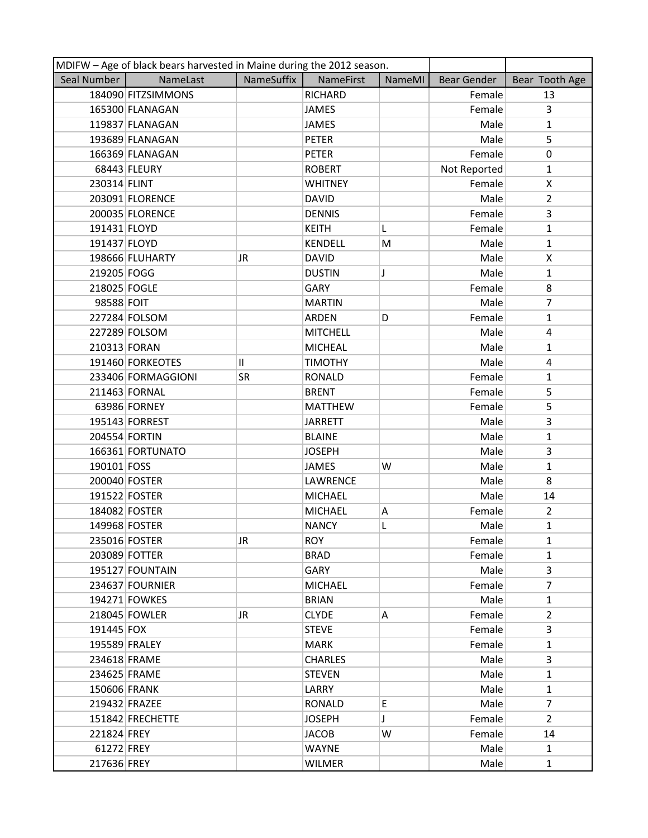|               | MDIFW - Age of black bears harvested in Maine during the 2012 season. |              |                 |        |                    |                |
|---------------|-----------------------------------------------------------------------|--------------|-----------------|--------|--------------------|----------------|
| Seal Number   | NameLast                                                              | NameSuffix   | NameFirst       | NameMI | <b>Bear Gender</b> | Bear Tooth Age |
|               | 184090 FITZSIMMONS                                                    |              | <b>RICHARD</b>  |        | Female             | 13             |
|               | 165300 FLANAGAN                                                       |              | <b>JAMES</b>    |        | Female             | 3              |
|               | 119837 FLANAGAN                                                       |              | <b>JAMES</b>    |        | Male               | $\mathbf{1}$   |
|               | 193689 FLANAGAN                                                       |              | <b>PETER</b>    |        | Male               | 5              |
|               | 166369 FLANAGAN                                                       |              | PETER           |        | Female             | 0              |
|               | 68443 FLEURY                                                          |              | <b>ROBERT</b>   |        | Not Reported       | $\mathbf{1}$   |
| 230314 FLINT  |                                                                       |              | <b>WHITNEY</b>  |        | Female             | X              |
|               | 203091 FLORENCE                                                       |              | <b>DAVID</b>    |        | Male               | $\overline{2}$ |
|               | 200035 FLORENCE                                                       |              | <b>DENNIS</b>   |        | Female             | 3              |
| 191431 FLOYD  |                                                                       |              | <b>KEITH</b>    | L      | Female             | $\mathbf{1}$   |
| 191437 FLOYD  |                                                                       |              | <b>KENDELL</b>  | M      | Male               | $\mathbf{1}$   |
|               | 198666 FLUHARTY                                                       | JR.          | <b>DAVID</b>    |        | Male               | X              |
| 219205 FOGG   |                                                                       |              | <b>DUSTIN</b>   | J      | Male               | $\mathbf{1}$   |
| 218025 FOGLE  |                                                                       |              | GARY            |        | Female             | 8              |
| 98588 FOIT    |                                                                       |              | <b>MARTIN</b>   |        | Male               | $\overline{7}$ |
|               | 227284 FOLSOM                                                         |              | <b>ARDEN</b>    | D      | Female             | $\mathbf{1}$   |
|               | 227289 FOLSOM                                                         |              | <b>MITCHELL</b> |        | Male               | 4              |
| 210313 FORAN  |                                                                       |              | <b>MICHEAL</b>  |        | Male               | $\mathbf{1}$   |
|               | 191460 FORKEOTES                                                      | $\mathbf{H}$ | <b>TIMOTHY</b>  |        | Male               | 4              |
|               | 233406 FORMAGGIONI                                                    | SR.          | <b>RONALD</b>   |        | Female             | $\mathbf{1}$   |
|               | 211463 FORNAL                                                         |              | <b>BRENT</b>    |        | Female             | 5              |
|               | 63986 FORNEY                                                          |              | <b>MATTHEW</b>  |        | Female             | 5              |
|               | 195143 FORREST                                                        |              | <b>JARRETT</b>  |        | Male               | 3              |
| 204554 FORTIN |                                                                       |              | <b>BLAINE</b>   |        | Male               | $\mathbf{1}$   |
|               | 166361 FORTUNATO                                                      |              | <b>JOSEPH</b>   |        | Male               | 3              |
| 190101 FOSS   |                                                                       |              | <b>JAMES</b>    | W      | Male               | $\mathbf{1}$   |
| 200040 FOSTER |                                                                       |              | LAWRENCE        |        | Male               | 8              |
| 191522 FOSTER |                                                                       |              | <b>MICHAEL</b>  |        | Male               | 14             |
| 184082 FOSTER |                                                                       |              | <b>MICHAEL</b>  | Α      | Female             | $\overline{2}$ |
| 149968 FOSTER |                                                                       |              | <b>NANCY</b>    | L      | Male               | $\mathbf{1}$   |
| 235016 FOSTER |                                                                       | JR           | <b>ROY</b>      |        | Female             | $\mathbf{1}$   |
|               | 203089 FOTTER                                                         |              | <b>BRAD</b>     |        | Female             | 1              |
|               | 195127 FOUNTAIN                                                       |              | GARY            |        | Male               | 3              |
|               | 234637 FOURNIER                                                       |              | <b>MICHAEL</b>  |        | Female             | $\overline{7}$ |
|               | 194271 FOWKES                                                         |              | <b>BRIAN</b>    |        | Male               | $\mathbf{1}$   |
|               | 218045 FOWLER                                                         | JR.          | <b>CLYDE</b>    | Α      | Female             | $\overline{2}$ |
| 191445 FOX    |                                                                       |              | <b>STEVE</b>    |        | Female             | 3              |
| 195589 FRALEY |                                                                       |              | <b>MARK</b>     |        | Female             | 1              |
| 234618 FRAME  |                                                                       |              | <b>CHARLES</b>  |        | Male               | 3              |
| 234625 FRAME  |                                                                       |              | <b>STEVEN</b>   |        | Male               | $\mathbf{1}$   |
| 150606 FRANK  |                                                                       |              | LARRY           |        | Male               | $\mathbf{1}$   |
| 219432 FRAZEE |                                                                       |              | RONALD          | E      | Male               | $\overline{7}$ |
|               | 151842 FRECHETTE                                                      |              | <b>JOSEPH</b>   | J      | Female             | $\overline{2}$ |
| 221824 FREY   |                                                                       |              | <b>JACOB</b>    | W      | Female             | 14             |
| 61272 FREY    |                                                                       |              | <b>WAYNE</b>    |        | Male               | $\mathbf{1}$   |
| 217636 FREY   |                                                                       |              | <b>WILMER</b>   |        | Male               | $\mathbf{1}$   |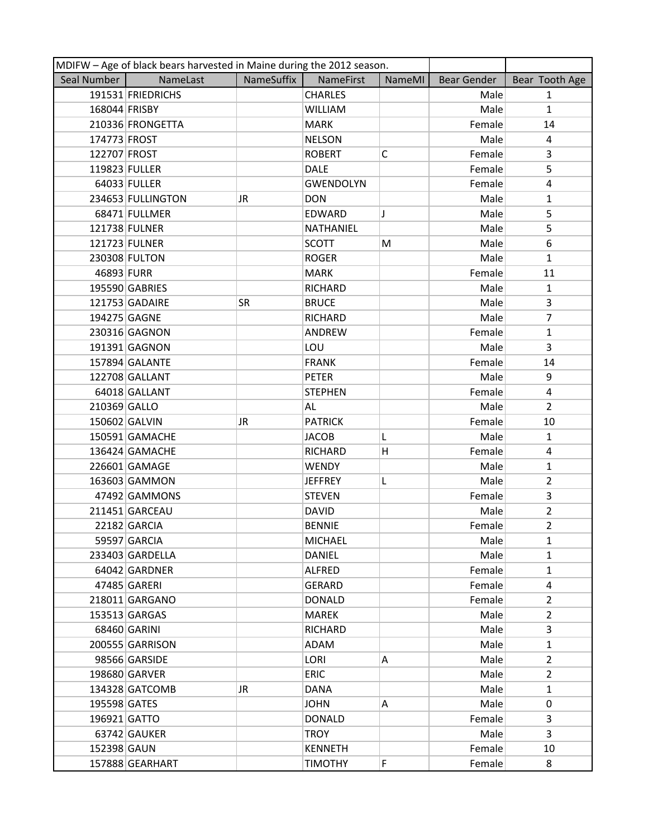|               | MDIFW - Age of black bears harvested in Maine during the 2012 season. |            |                  |        |             |                |  |  |
|---------------|-----------------------------------------------------------------------|------------|------------------|--------|-------------|----------------|--|--|
| Seal Number   | NameLast                                                              | NameSuffix | <b>NameFirst</b> | NameMI | Bear Gender | Bear Tooth Age |  |  |
|               | 191531 FRIEDRICHS                                                     |            | <b>CHARLES</b>   |        | Male        | $\mathbf{1}$   |  |  |
| 168044 FRISBY |                                                                       |            | <b>WILLIAM</b>   |        | Male        | $\mathbf{1}$   |  |  |
|               | 210336 FRONGETTA                                                      |            | <b>MARK</b>      |        | Female      | 14             |  |  |
| 174773 FROST  |                                                                       |            | <b>NELSON</b>    |        | Male        | 4              |  |  |
| 122707 FROST  |                                                                       |            | <b>ROBERT</b>    | C      | Female      | 3              |  |  |
| 119823 FULLER |                                                                       |            | <b>DALE</b>      |        | Female      | 5              |  |  |
|               | 64033 FULLER                                                          |            | <b>GWENDOLYN</b> |        | Female      | 4              |  |  |
|               | 234653 FULLINGTON                                                     | JR         | <b>DON</b>       |        | Male        | $\mathbf{1}$   |  |  |
|               | 68471 FULLMER                                                         |            | EDWARD           | J      | Male        | 5              |  |  |
|               | 121738 FULNER                                                         |            | NATHANIEL        |        | Male        | 5              |  |  |
|               | 121723 FULNER                                                         |            | <b>SCOTT</b>     | М      | Male        | 6              |  |  |
|               | 230308 FULTON                                                         |            | <b>ROGER</b>     |        | Male        | $\mathbf{1}$   |  |  |
| 46893 FURR    |                                                                       |            | <b>MARK</b>      |        | Female      | 11             |  |  |
|               | 195590 GABRIES                                                        |            | RICHARD          |        | Male        | $\mathbf{1}$   |  |  |
|               | 121753 GADAIRE                                                        | SR         | <b>BRUCE</b>     |        | Male        | 3              |  |  |
| 194275 GAGNE  |                                                                       |            | <b>RICHARD</b>   |        | Male        | $\overline{7}$ |  |  |
|               | 230316 GAGNON                                                         |            | ANDREW           |        | Female      | $\mathbf{1}$   |  |  |
|               | 191391 GAGNON                                                         |            | LOU              |        | Male        | $\overline{3}$ |  |  |
|               | 157894 GALANTE                                                        |            | <b>FRANK</b>     |        | Female      | 14             |  |  |
|               | 122708 GALLANT                                                        |            | <b>PETER</b>     |        | Male        | 9              |  |  |
|               | 64018 GALLANT                                                         |            | <b>STEPHEN</b>   |        | Female      | 4              |  |  |
| 210369 GALLO  |                                                                       |            | AL               |        | Male        | $\overline{2}$ |  |  |
|               | 150602 GALVIN                                                         | JR.        | <b>PATRICK</b>   |        | Female      | 10             |  |  |
|               | 150591 GAMACHE                                                        |            | <b>JACOB</b>     | L      | Male        | $\mathbf{1}$   |  |  |
|               | 136424 GAMACHE                                                        |            | <b>RICHARD</b>   | н      | Female      | 4              |  |  |
|               | 226601 GAMAGE                                                         |            | <b>WENDY</b>     |        | Male        | $\mathbf{1}$   |  |  |
|               | 163603 GAMMON                                                         |            | <b>JEFFREY</b>   | L      | Male        | $\overline{2}$ |  |  |
|               | 47492 GAMMONS                                                         |            | <b>STEVEN</b>    |        | Female      | 3              |  |  |
|               | 211451 GARCEAU                                                        |            | <b>DAVID</b>     |        | Male        | $\overline{2}$ |  |  |
|               | 22182 GARCIA                                                          |            | <b>BENNIE</b>    |        | Female      | $\overline{2}$ |  |  |
|               | 59597 GARCIA                                                          |            | <b>MICHAEL</b>   |        | Male        | 1              |  |  |
|               | 233403 GARDELLA                                                       |            | <b>DANIEL</b>    |        | Male        | $\mathbf{1}$   |  |  |
|               | 64042 GARDNER                                                         |            | <b>ALFRED</b>    |        | Female      | $\mathbf{1}$   |  |  |
|               | 47485 GARERI                                                          |            | <b>GERARD</b>    |        | Female      | 4              |  |  |
|               | 218011 GARGANO                                                        |            | <b>DONALD</b>    |        | Female      | $\mathbf{2}$   |  |  |
|               | 153513 GARGAS                                                         |            | <b>MAREK</b>     |        | Male        | $\overline{2}$ |  |  |
|               | 68460 GARINI                                                          |            | <b>RICHARD</b>   |        | Male        | 3              |  |  |
|               | 200555 GARRISON                                                       |            | ADAM             |        | Male        | 1              |  |  |
|               | 98566 GARSIDE                                                         |            | LORI             | Α      | Male        | $\overline{2}$ |  |  |
|               | 198680 GARVER                                                         |            | <b>ERIC</b>      |        | Male        | $\overline{2}$ |  |  |
|               | 134328 GATCOMB                                                        | JR         | <b>DANA</b>      |        | Male        | $\mathbf{1}$   |  |  |
| 195598 GATES  |                                                                       |            | <b>JOHN</b>      | Α      | Male        | 0              |  |  |
| 196921 GATTO  |                                                                       |            | <b>DONALD</b>    |        | Female      | 3              |  |  |
|               | 63742 GAUKER                                                          |            | <b>TROY</b>      |        | Male        | 3              |  |  |
| 152398 GAUN   |                                                                       |            | <b>KENNETH</b>   |        | Female      | 10             |  |  |
|               | 157888 GEARHART                                                       |            | <b>TIMOTHY</b>   | F      | Female      | 8              |  |  |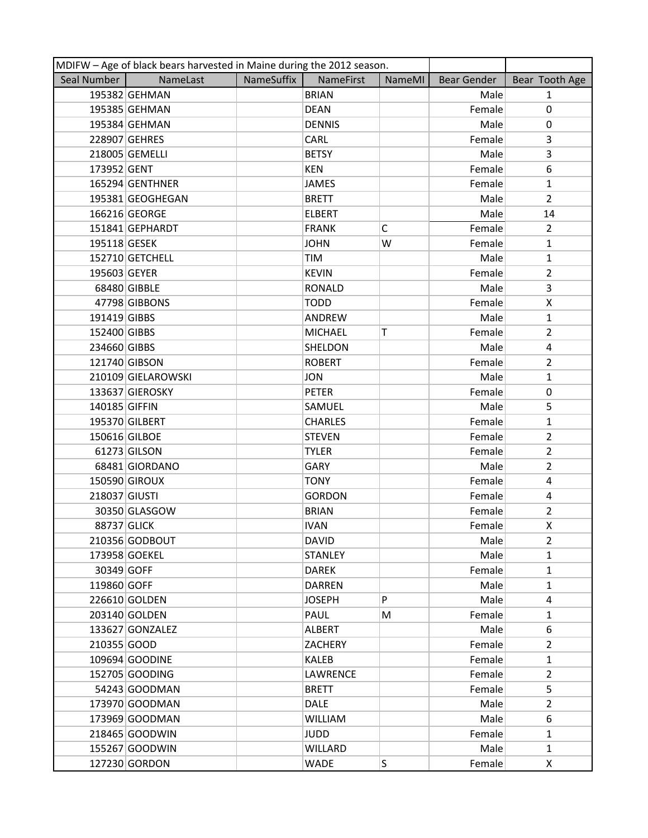| MDIFW - Age of black bears harvested in Maine during the 2012 season. |                    |            |                |              |                    |                |
|-----------------------------------------------------------------------|--------------------|------------|----------------|--------------|--------------------|----------------|
| Seal Number                                                           | NameLast           | NameSuffix | NameFirst      | NameMI       | <b>Bear Gender</b> | Bear Tooth Age |
|                                                                       | 195382 GEHMAN      |            | <b>BRIAN</b>   |              | Male               | $\mathbf{1}$   |
|                                                                       | 195385 GEHMAN      |            | <b>DEAN</b>    |              | Female             | $\pmb{0}$      |
|                                                                       | 195384 GEHMAN      |            | <b>DENNIS</b>  |              | Male               | 0              |
|                                                                       | 228907 GEHRES      |            | CARL           |              | Female             | 3              |
|                                                                       | 218005 GEMELLI     |            | <b>BETSY</b>   |              | Male               | 3              |
| 173952 GENT                                                           |                    |            | KEN            |              | Female             | 6              |
|                                                                       | 165294 GENTHNER    |            | <b>JAMES</b>   |              | Female             | $\mathbf{1}$   |
|                                                                       | 195381 GEOGHEGAN   |            | <b>BRETT</b>   |              | Male               | $\overline{2}$ |
|                                                                       | 166216 GEORGE      |            | <b>ELBERT</b>  |              | Male               | 14             |
|                                                                       | 151841 GEPHARDT    |            | <b>FRANK</b>   | $\mathsf{C}$ | Female             | $\overline{2}$ |
| 195118 GESEK                                                          |                    |            | <b>JOHN</b>    | W            | Female             | $\mathbf{1}$   |
|                                                                       | 152710 GETCHELL    |            | TIM            |              | Male               | $\mathbf{1}$   |
| 195603 GEYER                                                          |                    |            | <b>KEVIN</b>   |              | Female             | $\overline{2}$ |
|                                                                       | 68480 GIBBLE       |            | <b>RONALD</b>  |              | Male               | 3              |
|                                                                       | 47798 GIBBONS      |            | <b>TODD</b>    |              | Female             | X              |
| 191419 GIBBS                                                          |                    |            | ANDREW         |              | Male               | $\mathbf{1}$   |
| 152400 GIBBS                                                          |                    |            | <b>MICHAEL</b> | Т            | Female             | $\overline{2}$ |
| 234660 GIBBS                                                          |                    |            | SHELDON        |              | Male               | 4              |
|                                                                       | 121740 GIBSON      |            | <b>ROBERT</b>  |              | Female             | $\overline{2}$ |
|                                                                       | 210109 GIELAROWSKI |            | <b>JON</b>     |              | Male               | $\mathbf{1}$   |
|                                                                       | 133637 GIEROSKY    |            | <b>PETER</b>   |              | Female             | 0              |
| 140185 GIFFIN                                                         |                    |            | SAMUEL         |              | Male               | 5              |
|                                                                       | 195370 GILBERT     |            | <b>CHARLES</b> |              | Female             | $\mathbf{1}$   |
|                                                                       | 150616 GILBOE      |            | <b>STEVEN</b>  |              | Female             | $\overline{2}$ |
|                                                                       | 61273 GILSON       |            | <b>TYLER</b>   |              | Female             | $\overline{2}$ |
|                                                                       | 68481 GIORDANO     |            | GARY           |              | Male               | $\overline{2}$ |
|                                                                       | 150590 GIROUX      |            | <b>TONY</b>    |              | Female             | 4              |
| 218037 GIUSTI                                                         |                    |            | <b>GORDON</b>  |              | Female             | $\overline{a}$ |
|                                                                       | 30350 GLASGOW      |            | <b>BRIAN</b>   |              | Female             | $\overline{2}$ |
| 88737 GLICK                                                           |                    |            | <b>IVAN</b>    |              | Female             | X              |
|                                                                       | 210356 GODBOUT     |            | <b>DAVID</b>   |              | Male               | $\overline{2}$ |
|                                                                       | 173958 GOEKEL      |            | <b>STANLEY</b> |              | Male               | $\mathbf{1}$   |
| 30349 GOFF                                                            |                    |            | DAREK          |              | Female             | $\mathbf{1}$   |
| 119860 GOFF                                                           |                    |            | DARREN         |              | Male               | $\mathbf{1}$   |
|                                                                       | 226610 GOLDEN      |            | <b>JOSEPH</b>  | P            | Male               | 4              |
|                                                                       | 203140 GOLDEN      |            | PAUL           | M            | Female             | $\mathbf{1}$   |
|                                                                       | 133627 GONZALEZ    |            | ALBERT         |              | Male               | 6              |
| 210355 GOOD                                                           |                    |            | ZACHERY        |              | Female             | $\overline{2}$ |
|                                                                       | 109694 GOODINE     |            | KALEB          |              | Female             | $\mathbf{1}$   |
|                                                                       | 152705 GOODING     |            | LAWRENCE       |              | Female             | $\overline{2}$ |
|                                                                       | 54243 GOODMAN      |            | <b>BRETT</b>   |              | Female             | 5              |
|                                                                       | 173970 GOODMAN     |            | <b>DALE</b>    |              | Male               | $\overline{2}$ |
|                                                                       | 173969 GOODMAN     |            | <b>WILLIAM</b> |              | Male               | 6              |
|                                                                       | 218465 GOODWIN     |            | <b>JUDD</b>    |              | Female             | $\mathbf{1}$   |
|                                                                       | 155267 GOODWIN     |            | <b>WILLARD</b> |              | Male               | $\mathbf{1}$   |
|                                                                       | 127230 GORDON      |            | WADE           | S            | Female             | X              |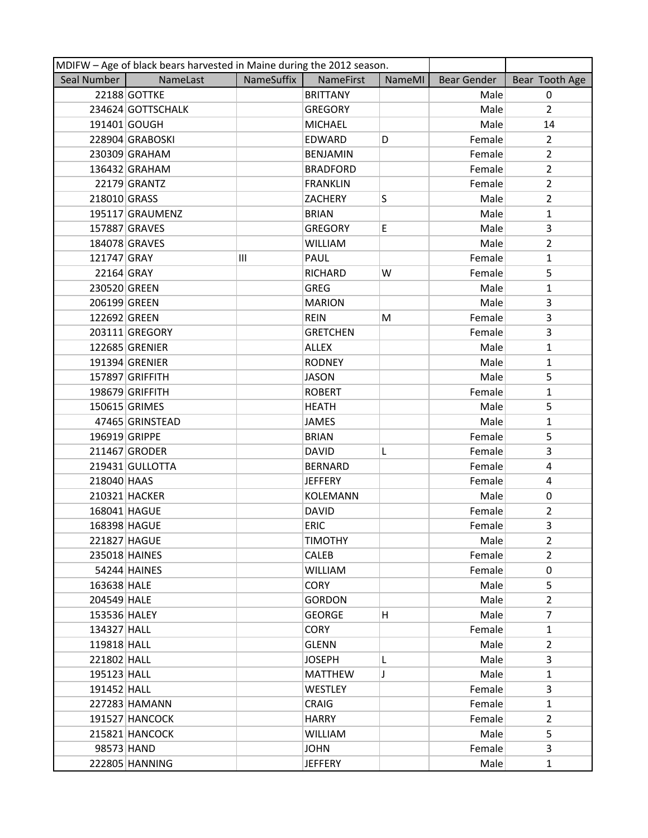|               | MDIFW - Age of black bears harvested in Maine during the 2012 season. |            |                  |        |             |                |  |  |
|---------------|-----------------------------------------------------------------------|------------|------------------|--------|-------------|----------------|--|--|
| Seal Number   | NameLast                                                              | NameSuffix | <b>NameFirst</b> | NameMI | Bear Gender | Bear Tooth Age |  |  |
|               | 22188 GOTTKE                                                          |            | <b>BRITTANY</b>  |        | Male        | $\Omega$       |  |  |
|               | 234624 GOTTSCHALK                                                     |            | <b>GREGORY</b>   |        | Male        | $\overline{2}$ |  |  |
|               | 191401 GOUGH                                                          |            | <b>MICHAEL</b>   |        | Male        | 14             |  |  |
|               | 228904 GRABOSKI                                                       |            | EDWARD           | D      | Female      | $\overline{2}$ |  |  |
|               | 230309 GRAHAM                                                         |            | <b>BENJAMIN</b>  |        | Female      | $\overline{2}$ |  |  |
|               | 136432 GRAHAM                                                         |            | <b>BRADFORD</b>  |        | Female      | $\overline{2}$ |  |  |
|               | 22179 GRANTZ                                                          |            | <b>FRANKLIN</b>  |        | Female      | $\overline{2}$ |  |  |
| 218010 GRASS  |                                                                       |            | ZACHERY          | S      | Male        | $\overline{2}$ |  |  |
|               | 195117 GRAUMENZ                                                       |            | <b>BRIAN</b>     |        | Male        | $\mathbf{1}$   |  |  |
|               | 157887 GRAVES                                                         |            | <b>GREGORY</b>   | E      | Male        | 3              |  |  |
|               | 184078 GRAVES                                                         |            | WILLIAM          |        | Male        | $\overline{2}$ |  |  |
| 121747 GRAY   |                                                                       | Ш          | PAUL             |        | Female      | $\mathbf{1}$   |  |  |
| 22164 GRAY    |                                                                       |            | <b>RICHARD</b>   | W      | Female      | 5              |  |  |
| 230520 GREEN  |                                                                       |            | <b>GREG</b>      |        | Male        | $\mathbf{1}$   |  |  |
| 206199 GREEN  |                                                                       |            | <b>MARION</b>    |        | Male        | 3              |  |  |
| 122692 GREEN  |                                                                       |            | <b>REIN</b>      | M      | Female      | 3              |  |  |
|               | 203111 GREGORY                                                        |            | <b>GRETCHEN</b>  |        | Female      | 3              |  |  |
|               | 122685 GRENIER                                                        |            | <b>ALLEX</b>     |        | Male        | $\mathbf{1}$   |  |  |
|               | 191394 GRENIER                                                        |            | <b>RODNEY</b>    |        | Male        | $\mathbf{1}$   |  |  |
|               | 157897 GRIFFITH                                                       |            | <b>JASON</b>     |        | Male        | 5              |  |  |
|               | 198679 GRIFFITH                                                       |            | <b>ROBERT</b>    |        | Female      | $\mathbf{1}$   |  |  |
|               | 150615 GRIMES                                                         |            | <b>HEATH</b>     |        | Male        | 5              |  |  |
|               | 47465 GRINSTEAD                                                       |            | JAMES            |        | Male        | 1              |  |  |
| 196919 GRIPPE |                                                                       |            | <b>BRIAN</b>     |        | Female      | 5              |  |  |
|               | 211467 GRODER                                                         |            | <b>DAVID</b>     | L      | Female      | 3              |  |  |
|               | 219431 GULLOTTA                                                       |            | <b>BERNARD</b>   |        | Female      | 4              |  |  |
| 218040 HAAS   |                                                                       |            | <b>JEFFERY</b>   |        | Female      | 4              |  |  |
|               | 210321 HACKER                                                         |            | <b>KOLEMANN</b>  |        | Male        | 0              |  |  |
| 168041 HAGUE  |                                                                       |            | <b>DAVID</b>     |        | Female      | 2              |  |  |
| 168398 HAGUE  |                                                                       |            | <b>ERIC</b>      |        | Female      | 3              |  |  |
| 221827 HAGUE  |                                                                       |            | <b>TIMOTHY</b>   |        | Male        | $\overline{2}$ |  |  |
|               | 235018 HAINES                                                         |            | <b>CALEB</b>     |        | Female      | $\overline{2}$ |  |  |
|               | 54244 HAINES                                                          |            | <b>WILLIAM</b>   |        | Female      | 0              |  |  |
| 163638 HALE   |                                                                       |            | <b>CORY</b>      |        | Male        | 5              |  |  |
| 204549 HALE   |                                                                       |            | <b>GORDON</b>    |        | Male        | $\overline{2}$ |  |  |
| 153536 HALEY  |                                                                       |            | <b>GEORGE</b>    | H.     | Male        | $\overline{7}$ |  |  |
| 134327 HALL   |                                                                       |            | <b>CORY</b>      |        | Female      | $\mathbf{1}$   |  |  |
| 119818 HALL   |                                                                       |            | <b>GLENN</b>     |        | Male        | $\overline{2}$ |  |  |
| 221802 HALL   |                                                                       |            | <b>JOSEPH</b>    | L      | Male        | 3              |  |  |
| 195123 HALL   |                                                                       |            | <b>MATTHEW</b>   | J      | Male        | $\mathbf{1}$   |  |  |
| 191452 HALL   |                                                                       |            | <b>WESTLEY</b>   |        | Female      | 3              |  |  |
|               | 227283 HAMANN                                                         |            | <b>CRAIG</b>     |        | Female      | $\mathbf{1}$   |  |  |
|               | 191527 HANCOCK                                                        |            | <b>HARRY</b>     |        | Female      | $\overline{2}$ |  |  |
|               | 215821 HANCOCK                                                        |            | <b>WILLIAM</b>   |        | Male        | 5              |  |  |
| 98573 HAND    |                                                                       |            | <b>JOHN</b>      |        | Female      | 3              |  |  |
|               | 222805 HANNING                                                        |            | <b>JEFFERY</b>   |        | Male        | $\mathbf{1}$   |  |  |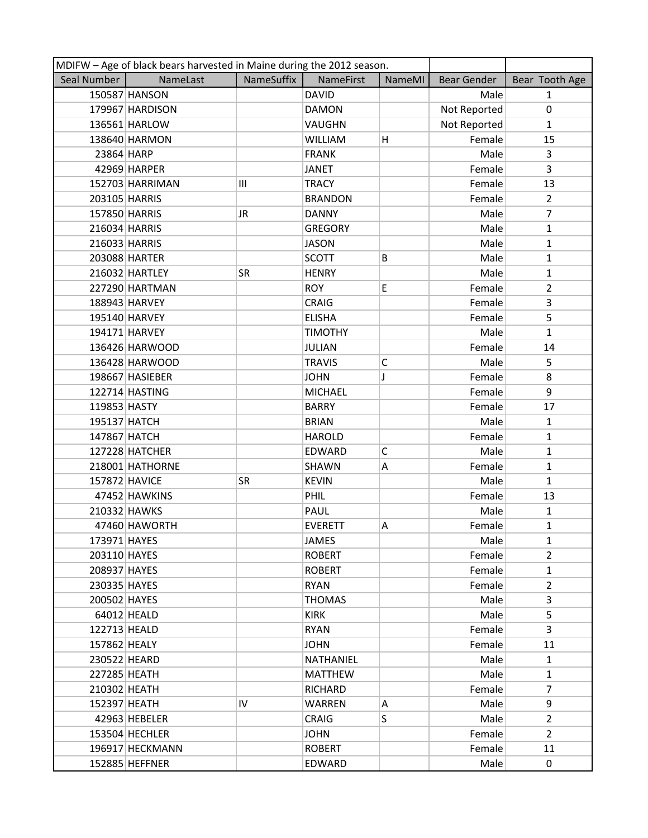| MDIFW - Age of black bears harvested in Maine during the 2012 season. |                 |            |                |               |              |                |
|-----------------------------------------------------------------------|-----------------|------------|----------------|---------------|--------------|----------------|
| Seal Number                                                           | NameLast        | NameSuffix | NameFirst      | <b>NameMI</b> | Bear Gender  | Bear Tooth Age |
|                                                                       | 150587 HANSON   |            | <b>DAVID</b>   |               | Male         | $\mathbf{1}$   |
|                                                                       | 179967 HARDISON |            | <b>DAMON</b>   |               | Not Reported | $\pmb{0}$      |
|                                                                       | 136561 HARLOW   |            | VAUGHN         |               | Not Reported | $\mathbf{1}$   |
|                                                                       | 138640 HARMON   |            | <b>WILLIAM</b> | Η             | Female       | 15             |
| 23864 HARP                                                            |                 |            | <b>FRANK</b>   |               | Male         | 3              |
|                                                                       | 42969 HARPER    |            | <b>JANET</b>   |               | Female       | 3              |
|                                                                       | 152703 HARRIMAN | Ш          | <b>TRACY</b>   |               | Female       | 13             |
| 203105 HARRIS                                                         |                 |            | <b>BRANDON</b> |               | Female       | $\overline{2}$ |
| 157850 HARRIS                                                         |                 | JR.        | <b>DANNY</b>   |               | Male         | $\overline{7}$ |
| 216034 HARRIS                                                         |                 |            | <b>GREGORY</b> |               | Male         | $\mathbf{1}$   |
| 216033 HARRIS                                                         |                 |            | <b>JASON</b>   |               | Male         | $\mathbf{1}$   |
|                                                                       | 203088 HARTER   |            | <b>SCOTT</b>   | B             | Male         | $\mathbf{1}$   |
|                                                                       | 216032 HARTLEY  | <b>SR</b>  | <b>HENRY</b>   |               | Male         | $\mathbf{1}$   |
|                                                                       | 227290 HARTMAN  |            | <b>ROY</b>     | E             | Female       | $\overline{2}$ |
|                                                                       | 188943 HARVEY   |            | <b>CRAIG</b>   |               | Female       | 3              |
|                                                                       | 195140 HARVEY   |            | <b>ELISHA</b>  |               | Female       | 5              |
|                                                                       | 194171 HARVEY   |            | <b>TIMOTHY</b> |               | Male         | $\mathbf{1}$   |
|                                                                       | 136426 HARWOOD  |            | <b>JULIAN</b>  |               | Female       | 14             |
|                                                                       | 136428 HARWOOD  |            | <b>TRAVIS</b>  | $\mathsf{C}$  | Male         | 5              |
|                                                                       | 198667 HASIEBER |            | <b>JOHN</b>    | J             | Female       | 8              |
|                                                                       | 122714 HASTING  |            | <b>MICHAEL</b> |               | Female       | 9              |
| 119853 HASTY                                                          |                 |            | <b>BARRY</b>   |               | Female       | 17             |
| 195137 HATCH                                                          |                 |            | <b>BRIAN</b>   |               | Male         | $\mathbf{1}$   |
| 147867 HATCH                                                          |                 |            | <b>HAROLD</b>  |               | Female       | $\mathbf{1}$   |
|                                                                       | 127228 HATCHER  |            | EDWARD         | C             | Male         | 1              |
|                                                                       | 218001 HATHORNE |            | SHAWN          | Α             | Female       | $\mathbf{1}$   |
| 157872 HAVICE                                                         |                 | SR         | <b>KEVIN</b>   |               | Male         | $\mathbf{1}$   |
|                                                                       | 47452 HAWKINS   |            | PHIL           |               | Female       | 13             |
| 210332 HAWKS                                                          |                 |            | PAUL           |               | Male         | $\mathbf{1}$   |
|                                                                       | 47460 HAWORTH   |            | <b>EVERETT</b> | Α             | Female       | $\mathbf{1}$   |
| 173971 HAYES                                                          |                 |            | JAMES          |               | Male         | $\mathbf{1}$   |
| 203110 HAYES                                                          |                 |            | <b>ROBERT</b>  |               | Female       | $\overline{2}$ |
| 208937 HAYES                                                          |                 |            | <b>ROBERT</b>  |               | Female       | $\mathbf{1}$   |
| 230335 HAYES                                                          |                 |            | <b>RYAN</b>    |               | Female       | $\overline{2}$ |
| 200502 HAYES                                                          |                 |            | <b>THOMAS</b>  |               | Male         | 3              |
|                                                                       | 64012 HEALD     |            | <b>KIRK</b>    |               | Male         | 5              |
| 122713 HEALD                                                          |                 |            | <b>RYAN</b>    |               | Female       | 3              |
| 157862 HEALY                                                          |                 |            | <b>JOHN</b>    |               | Female       | 11             |
| 230522 HEARD                                                          |                 |            | NATHANIEL      |               | Male         | $\mathbf{1}$   |
| 227285 HEATH                                                          |                 |            | <b>MATTHEW</b> |               | Male         | $\mathbf{1}$   |
| 210302 HEATH                                                          |                 |            | <b>RICHARD</b> |               | Female       | $\overline{7}$ |
| 152397 HEATH                                                          |                 | IV         | <b>WARREN</b>  | Α             | Male         | 9              |
|                                                                       | 42963 HEBELER   |            | <b>CRAIG</b>   | S             | Male         | $\overline{2}$ |
|                                                                       | 153504 HECHLER  |            | <b>JOHN</b>    |               | Female       | $\overline{2}$ |
|                                                                       | 196917 HECKMANN |            | <b>ROBERT</b>  |               | Female       | 11             |
|                                                                       | 152885 HEFFNER  |            | EDWARD         |               | Male         | 0              |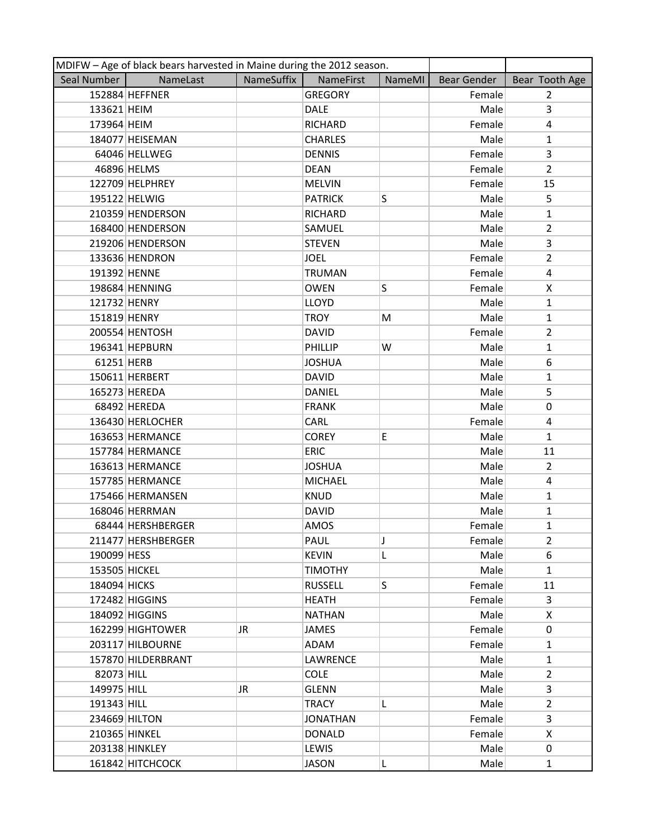|               | MDIFW - Age of black bears harvested in Maine during the 2012 season. |            |                 |        |                    |                |  |  |
|---------------|-----------------------------------------------------------------------|------------|-----------------|--------|--------------------|----------------|--|--|
| Seal Number   | NameLast                                                              | NameSuffix | NameFirst       | NameMI | <b>Bear Gender</b> | Bear Tooth Age |  |  |
|               | 152884 HEFFNER                                                        |            | <b>GREGORY</b>  |        | Female             | $\overline{2}$ |  |  |
| 133621 HEIM   |                                                                       |            | <b>DALE</b>     |        | Male               | 3              |  |  |
| 173964 HEIM   |                                                                       |            | RICHARD         |        | Female             | 4              |  |  |
|               | 184077 HEISEMAN                                                       |            | <b>CHARLES</b>  |        | Male               | $\mathbf{1}$   |  |  |
|               | 64046 HELLWEG                                                         |            | <b>DENNIS</b>   |        | Female             | 3              |  |  |
|               | 46896 HELMS                                                           |            | <b>DEAN</b>     |        | Female             | $\overline{2}$ |  |  |
|               | 122709 HELPHREY                                                       |            | <b>MELVIN</b>   |        | Female             | 15             |  |  |
|               | 195122 HELWIG                                                         |            | <b>PATRICK</b>  | S      | Male               | 5              |  |  |
|               | 210359 HENDERSON                                                      |            | RICHARD         |        | Male               | $\mathbf{1}$   |  |  |
|               | 168400 HENDERSON                                                      |            | SAMUEL          |        | Male               | $\overline{2}$ |  |  |
|               | 219206 HENDERSON                                                      |            | <b>STEVEN</b>   |        | Male               | 3              |  |  |
|               | 133636 HENDRON                                                        |            | <b>JOEL</b>     |        | Female             | $\overline{2}$ |  |  |
| 191392 HENNE  |                                                                       |            | <b>TRUMAN</b>   |        | Female             | 4              |  |  |
|               | 198684 HENNING                                                        |            | <b>OWEN</b>     | S      | Female             | X              |  |  |
| 121732 HENRY  |                                                                       |            | <b>LLOYD</b>    |        | Male               | $\mathbf{1}$   |  |  |
| 151819 HENRY  |                                                                       |            | <b>TROY</b>     | М      | Male               | $\mathbf{1}$   |  |  |
|               | 200554 HENTOSH                                                        |            | <b>DAVID</b>    |        | Female             | $\overline{2}$ |  |  |
|               | 196341 HEPBURN                                                        |            | PHILLIP         | W      | Male               | $\mathbf{1}$   |  |  |
| 61251 HERB    |                                                                       |            | <b>JOSHUA</b>   |        | Male               | 6              |  |  |
|               | 150611 HERBERT                                                        |            | <b>DAVID</b>    |        | Male               | $\mathbf{1}$   |  |  |
|               | 165273 HEREDA                                                         |            | <b>DANIEL</b>   |        | Male               | 5              |  |  |
|               | 68492 HEREDA                                                          |            | <b>FRANK</b>    |        | Male               | 0              |  |  |
|               | 136430 HERLOCHER                                                      |            | CARL            |        | Female             | 4              |  |  |
|               | 163653 HERMANCE                                                       |            | <b>COREY</b>    | E      | Male               | $\mathbf{1}$   |  |  |
|               | 157784 HERMANCE                                                       |            | <b>ERIC</b>     |        | Male               | 11             |  |  |
|               | 163613 HERMANCE                                                       |            | <b>JOSHUA</b>   |        | Male               | $\overline{2}$ |  |  |
|               | 157785 HERMANCE                                                       |            | <b>MICHAEL</b>  |        | Male               | 4              |  |  |
|               | 175466 HERMANSEN                                                      |            | <b>KNUD</b>     |        | Male               | $\mathbf{1}$   |  |  |
|               | 168046 HERRMAN                                                        |            | <b>DAVID</b>    |        | Male               | 1              |  |  |
|               | 68444 HERSHBERGER                                                     |            | AMOS            |        | Female             | $\mathbf{1}$   |  |  |
|               | 211477 HERSHBERGER                                                    |            | PAUL            | J      | Female             | $\overline{2}$ |  |  |
| 190099 HESS   |                                                                       |            | <b>KEVIN</b>    | L      | Male               | 6              |  |  |
| 153505 HICKEL |                                                                       |            | <b>TIMOTHY</b>  |        | Male               | $\mathbf{1}$   |  |  |
| 184094 HICKS  |                                                                       |            | <b>RUSSELL</b>  | S      | Female             | 11             |  |  |
|               | 172482 HIGGINS                                                        |            | <b>HEATH</b>    |        | Female             | 3              |  |  |
|               | 184092 HIGGINS                                                        |            | <b>NATHAN</b>   |        | Male               | X              |  |  |
|               | 162299 HIGHTOWER                                                      | JR.        | JAMES           |        | Female             | 0              |  |  |
|               | 203117 HILBOURNE                                                      |            | ADAM            |        | Female             | 1              |  |  |
|               | 157870 HILDERBRANT                                                    |            | LAWRENCE        |        | Male               | $\mathbf{1}$   |  |  |
| 82073 HILL    |                                                                       |            | <b>COLE</b>     |        | Male               | $\mathbf{2}$   |  |  |
| 149975 HILL   |                                                                       | JR.        | <b>GLENN</b>    |        | Male               | 3              |  |  |
| 191343 HILL   |                                                                       |            | <b>TRACY</b>    | L      | Male               | $\overline{2}$ |  |  |
| 234669 HILTON |                                                                       |            | <b>JONATHAN</b> |        | Female             | 3              |  |  |
| 210365 HINKEL |                                                                       |            | <b>DONALD</b>   |        | Female             | X.             |  |  |
|               | 203138 HINKLEY                                                        |            | LEWIS           |        | Male               | $\mathbf 0$    |  |  |
|               | 161842 HITCHCOCK                                                      |            | <b>JASON</b>    | L      | Male               | $\mathbf{1}$   |  |  |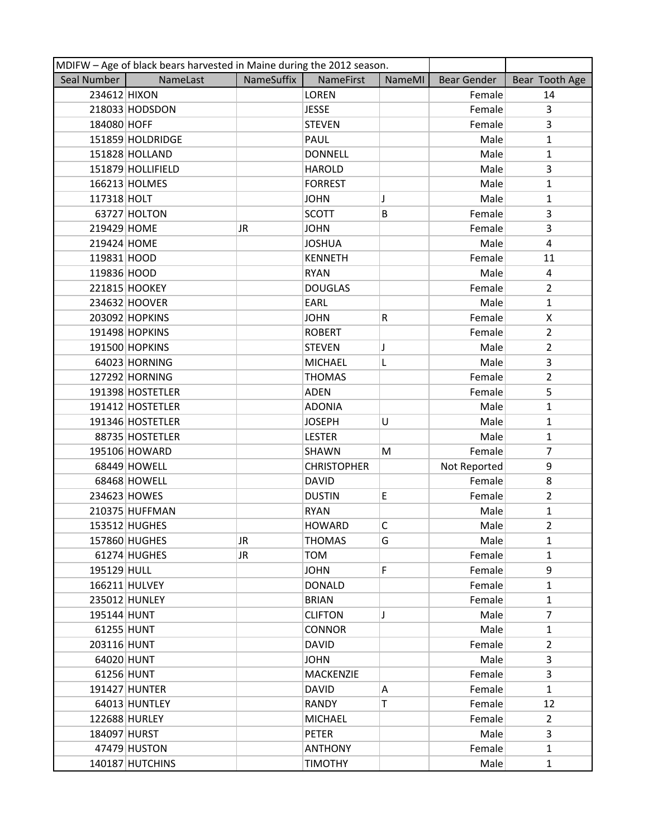|              | MDIFW - Age of black bears harvested in Maine during the 2012 season. |            |                    |              |                    |                |
|--------------|-----------------------------------------------------------------------|------------|--------------------|--------------|--------------------|----------------|
| Seal Number  | NameLast                                                              | NameSuffix | <b>NameFirst</b>   | NameMI       | <b>Bear Gender</b> | Bear Tooth Age |
| 234612 HIXON |                                                                       |            | <b>LOREN</b>       |              | Female             | 14             |
|              | 218033 HODSDON                                                        |            | <b>JESSE</b>       |              | Female             | 3              |
| 184080 HOFF  |                                                                       |            | <b>STEVEN</b>      |              | Female             | $\overline{3}$ |
|              | 151859 HOLDRIDGE                                                      |            | PAUL               |              | Male               | $\mathbf{1}$   |
|              | 151828 HOLLAND                                                        |            | <b>DONNELL</b>     |              | Male               | $\mathbf{1}$   |
|              | 151879 HOLLIFIELD                                                     |            | <b>HAROLD</b>      |              | Male               | 3              |
|              | 166213 HOLMES                                                         |            | <b>FORREST</b>     |              | Male               | $\mathbf{1}$   |
| 117318 HOLT  |                                                                       |            | <b>JOHN</b>        | J            | Male               | $\mathbf{1}$   |
|              | 63727 HOLTON                                                          |            | <b>SCOTT</b>       | B            | Female             | 3              |
| 219429 HOME  |                                                                       | JR         | <b>JOHN</b>        |              | Female             | 3              |
| 219424 HOME  |                                                                       |            | <b>JOSHUA</b>      |              | Male               | 4              |
| 119831 HOOD  |                                                                       |            | <b>KENNETH</b>     |              | Female             | 11             |
| 119836 HOOD  |                                                                       |            | <b>RYAN</b>        |              | Male               | 4              |
|              | 221815 HOOKEY                                                         |            | <b>DOUGLAS</b>     |              | Female             | $\overline{2}$ |
|              | 234632 HOOVER                                                         |            | EARL               |              | Male               | $\mathbf{1}$   |
|              | 203092 HOPKINS                                                        |            | <b>JOHN</b>        | R            | Female             | X              |
|              | 191498 HOPKINS                                                        |            | <b>ROBERT</b>      |              | Female             | $\overline{2}$ |
|              | 191500 HOPKINS                                                        |            | <b>STEVEN</b>      | Ţ            | Male               | $\overline{2}$ |
|              | 64023 HORNING                                                         |            | <b>MICHAEL</b>     | L            | Male               | 3              |
|              | 127292 HORNING                                                        |            | <b>THOMAS</b>      |              | Female             | $\overline{2}$ |
|              | 191398 HOSTETLER                                                      |            | <b>ADEN</b>        |              | Female             | 5              |
|              | 191412 HOSTETLER                                                      |            | <b>ADONIA</b>      |              | Male               | $\mathbf{1}$   |
|              | 191346 HOSTETLER                                                      |            | <b>JOSEPH</b>      | U            | Male               | $\mathbf{1}$   |
|              | 88735 HOSTETLER                                                       |            | <b>LESTER</b>      |              | Male               | $\mathbf{1}$   |
|              | 195106 HOWARD                                                         |            | SHAWN              | M            | Female             | 7              |
|              | 68449 HOWELL                                                          |            | <b>CHRISTOPHER</b> |              | Not Reported       | 9              |
|              | 68468 HOWELL                                                          |            | <b>DAVID</b>       |              | Female             | 8              |
|              | 234623 HOWES                                                          |            | <b>DUSTIN</b>      | E            | Female             | $\overline{2}$ |
|              | 210375 HUFFMAN                                                        |            | <b>RYAN</b>        |              | Male               | 1              |
|              | 153512 HUGHES                                                         |            | <b>HOWARD</b>      | $\mathsf{C}$ | Male               | $\overline{2}$ |
|              | 157860 HUGHES                                                         | JR         | <b>THOMAS</b>      | G            | Male               | $\mathbf{1}$   |
|              | 61274 HUGHES                                                          | JR         | TOM                |              | Female             | $\mathbf{1}$   |
| 195129 HULL  |                                                                       |            | <b>JOHN</b>        | F            | Female             | 9              |
|              | 166211 HULVEY                                                         |            | <b>DONALD</b>      |              | Female             | $\mathbf{1}$   |
|              | 235012 HUNLEY                                                         |            | <b>BRIAN</b>       |              | Female             | $\mathbf{1}$   |
| 195144 HUNT  |                                                                       |            | <b>CLIFTON</b>     | J            | Male               | $\overline{7}$ |
| 61255 HUNT   |                                                                       |            | <b>CONNOR</b>      |              | Male               | $\mathbf{1}$   |
| 203116 HUNT  |                                                                       |            | <b>DAVID</b>       |              | Female             | $\overline{2}$ |
| 64020 HUNT   |                                                                       |            | <b>JOHN</b>        |              | Male               | 3              |
| 61256 HUNT   |                                                                       |            | <b>MACKENZIE</b>   |              | Female             | 3              |
|              | 191427 HUNTER                                                         |            | <b>DAVID</b>       | Α            | Female             | $\mathbf{1}$   |
|              | 64013 HUNTLEY                                                         |            | <b>RANDY</b>       | T            | Female             | 12             |
|              | 122688 HURLEY                                                         |            | <b>MICHAEL</b>     |              | Female             | $\overline{2}$ |
| 184097 HURST |                                                                       |            | <b>PETER</b>       |              | Male               | 3              |
|              | 47479 HUSTON                                                          |            | <b>ANTHONY</b>     |              | Female             | $\mathbf{1}$   |
|              | 140187 HUTCHINS                                                       |            | <b>TIMOTHY</b>     |              | Male               | $\mathbf{1}$   |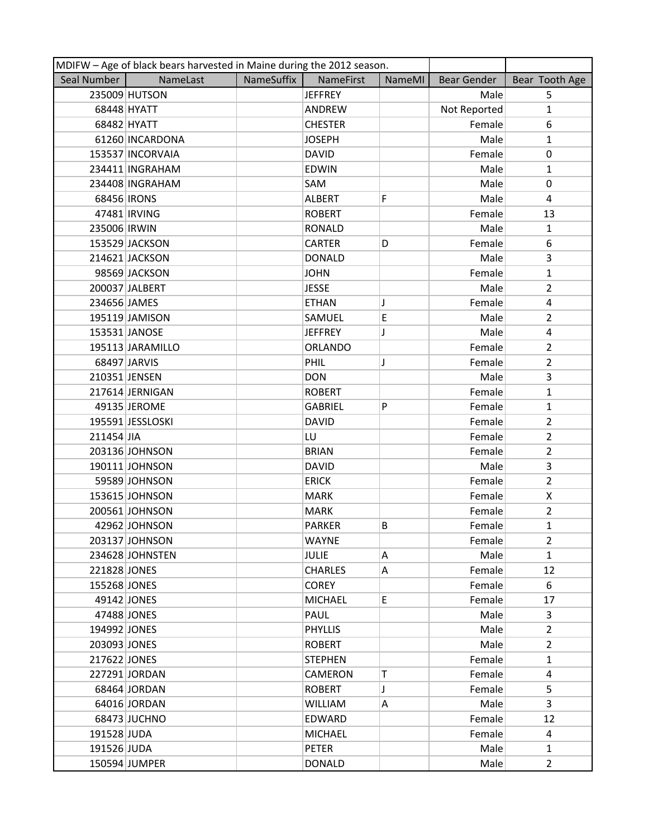|               | MDIFW - Age of black bears harvested in Maine during the 2012 season. |            |                |        |              |                         |
|---------------|-----------------------------------------------------------------------|------------|----------------|--------|--------------|-------------------------|
| Seal Number   | NameLast                                                              | NameSuffix | NameFirst      | NameMI | Bear Gender  | Bear Tooth Age          |
|               | 235009 HUTSON                                                         |            | <b>JEFFREY</b> |        | Male         | 5                       |
|               | 68448 HYATT                                                           |            | ANDREW         |        | Not Reported | $\mathbf{1}$            |
|               | 68482 HYATT                                                           |            | <b>CHESTER</b> |        | Female       | 6                       |
|               | 61260 INCARDONA                                                       |            | <b>JOSEPH</b>  |        | Male         | $\mathbf{1}$            |
|               | 153537 INCORVAIA                                                      |            | <b>DAVID</b>   |        | Female       | 0                       |
|               | 234411 INGRAHAM                                                       |            | <b>EDWIN</b>   |        | Male         | $\mathbf{1}$            |
|               | 234408 INGRAHAM                                                       |            | SAM            |        | Male         | 0                       |
| 68456 IRONS   |                                                                       |            | <b>ALBERT</b>  | F      | Male         | 4                       |
|               | 47481 IRVING                                                          |            | <b>ROBERT</b>  |        | Female       | 13                      |
| 235006 IRWIN  |                                                                       |            | <b>RONALD</b>  |        | Male         | $\mathbf{1}$            |
|               | 153529 JACKSON                                                        |            | <b>CARTER</b>  | D      | Female       | 6                       |
|               | 214621 JACKSON                                                        |            | <b>DONALD</b>  |        | Male         | 3                       |
|               | 98569 JACKSON                                                         |            | <b>JOHN</b>    |        | Female       | $\mathbf{1}$            |
|               | 200037 JALBERT                                                        |            | <b>JESSE</b>   |        | Male         | $\overline{2}$          |
| 234656 JAMES  |                                                                       |            | <b>ETHAN</b>   | J      | Female       | $\overline{\mathbf{4}}$ |
|               | 195119 JAMISON                                                        |            | SAMUEL         | E      | Male         | $\overline{2}$          |
|               | 153531 JANOSE                                                         |            | <b>JEFFREY</b> | J      | Male         | 4                       |
|               | 195113 JARAMILLO                                                      |            | <b>ORLANDO</b> |        | Female       | $\overline{2}$          |
|               | 68497 JARVIS                                                          |            | PHIL           | J      | Female       | $\overline{2}$          |
| 210351 JENSEN |                                                                       |            | <b>DON</b>     |        | Male         | 3                       |
|               | 217614 JERNIGAN                                                       |            | <b>ROBERT</b>  |        | Female       | $\mathbf{1}$            |
|               | 49135 JEROME                                                          |            | <b>GABRIEL</b> | P      | Female       | $\mathbf{1}$            |
|               | 195591 JESSLOSKI                                                      |            | <b>DAVID</b>   |        | Female       | $\overline{2}$          |
| 211454 JIA    |                                                                       |            | LU             |        | Female       | $\overline{2}$          |
|               | 203136 JOHNSON                                                        |            | <b>BRIAN</b>   |        | Female       | $\overline{2}$          |
|               | 190111 JOHNSON                                                        |            | <b>DAVID</b>   |        | Male         | 3                       |
|               | 59589 JOHNSON                                                         |            | <b>ERICK</b>   |        | Female       | $\overline{2}$          |
|               | 153615 JOHNSON                                                        |            | <b>MARK</b>    |        | Female       | X                       |
|               | 200561 JOHNSON                                                        |            | <b>MARK</b>    |        | Female       | $\overline{2}$          |
|               | 42962 JOHNSON                                                         |            | <b>PARKER</b>  | B      | Female       | $\mathbf{1}$            |
|               | 203137 JOHNSON                                                        |            | <b>WAYNE</b>   |        | Female       | $\overline{2}$          |
|               | 234628 JOHNSTEN                                                       |            | <b>JULIE</b>   | Α      | Male         | $\mathbf{1}$            |
| 221828 JONES  |                                                                       |            | <b>CHARLES</b> | Α      | Female       | 12                      |
| 155268 JONES  |                                                                       |            | <b>COREY</b>   |        | Female       | 6                       |
|               | 49142 JONES                                                           |            | <b>MICHAEL</b> | E.     | Female       | 17                      |
|               | 47488 JONES                                                           |            | PAUL           |        | Male         | 3                       |
| 194992 JONES  |                                                                       |            | <b>PHYLLIS</b> |        | Male         | $\overline{2}$          |
| 203093 JONES  |                                                                       |            | <b>ROBERT</b>  |        | Male         | $\overline{2}$          |
| 217622 JONES  |                                                                       |            | <b>STEPHEN</b> |        | Female       | $\mathbf{1}$            |
|               | 227291 JORDAN                                                         |            | CAMERON        | Т      | Female       | 4                       |
|               | 68464 JORDAN                                                          |            | <b>ROBERT</b>  | J      | Female       | 5                       |
|               | 64016 JORDAN                                                          |            | <b>WILLIAM</b> | Α      | Male         | $\overline{3}$          |
|               | 68473 JUCHNO                                                          |            | EDWARD         |        | Female       | 12                      |
| 191528 JUDA   |                                                                       |            | <b>MICHAEL</b> |        | Female       | 4                       |
| 191526 JUDA   |                                                                       |            | <b>PETER</b>   |        | Male         | $\mathbf{1}$            |
|               | 150594 JUMPER                                                         |            | <b>DONALD</b>  |        | Male         | $\overline{2}$          |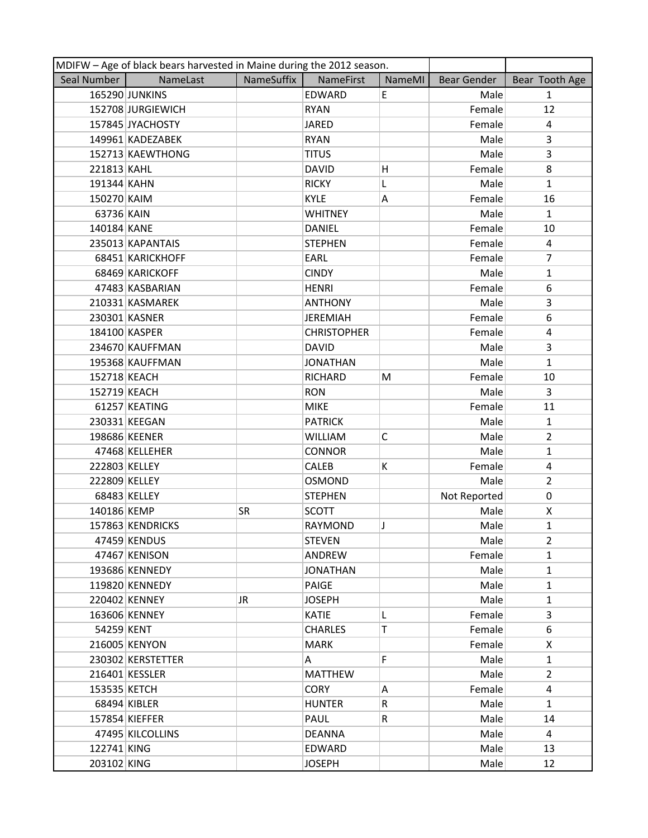|               | MDIFW - Age of black bears harvested in Maine during the 2012 season. |            |                    |        |              |                |  |  |
|---------------|-----------------------------------------------------------------------|------------|--------------------|--------|--------------|----------------|--|--|
| Seal Number   | NameLast                                                              | NameSuffix | NameFirst          | NameMI | Bear Gender  | Bear Tooth Age |  |  |
|               | 165290 JUNKINS                                                        |            | EDWARD             | E      | Male         | $\mathbf{1}$   |  |  |
|               | 152708 JURGIEWICH                                                     |            | <b>RYAN</b>        |        | Female       | 12             |  |  |
|               | 157845 JYACHOSTY                                                      |            | <b>JARED</b>       |        | Female       | 4              |  |  |
|               | 149961 KADEZABEK                                                      |            | <b>RYAN</b>        |        | Male         | 3              |  |  |
|               | 152713 KAEWTHONG                                                      |            | <b>TITUS</b>       |        | Male         | 3              |  |  |
| 221813 KAHL   |                                                                       |            | <b>DAVID</b>       | н      | Female       | 8              |  |  |
| 191344 KAHN   |                                                                       |            | <b>RICKY</b>       | L      | Male         | $\mathbf{1}$   |  |  |
| 150270 KAIM   |                                                                       |            | <b>KYLE</b>        | Α      | Female       | 16             |  |  |
| 63736 KAIN    |                                                                       |            | <b>WHITNEY</b>     |        | Male         | $\mathbf{1}$   |  |  |
| 140184 KANE   |                                                                       |            | <b>DANIEL</b>      |        | Female       | 10             |  |  |
|               | 235013 KAPANTAIS                                                      |            | <b>STEPHEN</b>     |        | Female       | 4              |  |  |
|               | 68451 KARICKHOFF                                                      |            | EARL               |        | Female       | $\overline{7}$ |  |  |
|               | 68469 KARICKOFF                                                       |            | <b>CINDY</b>       |        | Male         | $\mathbf{1}$   |  |  |
|               | 47483 KASBARIAN                                                       |            | <b>HENRI</b>       |        | Female       | 6              |  |  |
|               | 210331 KASMAREK                                                       |            | <b>ANTHONY</b>     |        | Male         | 3              |  |  |
|               | 230301 KASNER                                                         |            | <b>JEREMIAH</b>    |        | Female       | 6              |  |  |
|               | 184100 KASPER                                                         |            | <b>CHRISTOPHER</b> |        | Female       | 4              |  |  |
|               | 234670 KAUFFMAN                                                       |            | <b>DAVID</b>       |        | Male         | 3              |  |  |
|               | 195368 KAUFFMAN                                                       |            | <b>JONATHAN</b>    |        | Male         | $\mathbf{1}$   |  |  |
| 152718 KEACH  |                                                                       |            | <b>RICHARD</b>     | M      | Female       | 10             |  |  |
| 152719 KEACH  |                                                                       |            | <b>RON</b>         |        | Male         | $\overline{3}$ |  |  |
|               | 61257 KEATING                                                         |            | <b>MIKE</b>        |        | Female       | 11             |  |  |
|               | 230331 KEEGAN                                                         |            | <b>PATRICK</b>     |        | Male         | $\mathbf{1}$   |  |  |
|               | 198686 KEENER                                                         |            | <b>WILLIAM</b>     | C      | Male         | $\overline{2}$ |  |  |
|               | 47468 KELLEHER                                                        |            | <b>CONNOR</b>      |        | Male         | $\mathbf{1}$   |  |  |
| 222803 KELLEY |                                                                       |            | CALEB              | K      | Female       | 4              |  |  |
| 222809 KELLEY |                                                                       |            | OSMOND             |        | Male         | $\overline{2}$ |  |  |
|               | 68483 KELLEY                                                          |            | <b>STEPHEN</b>     |        | Not Reported | $\mathbf 0$    |  |  |
| 140186 KEMP   |                                                                       | SR         | <b>SCOTT</b>       |        | Male         | X              |  |  |
|               | 157863 KENDRICKS                                                      |            | RAYMOND            | J      | Male         | $\mathbf{1}$   |  |  |
|               | 47459 KENDUS                                                          |            | <b>STEVEN</b>      |        | Male         | 2              |  |  |
|               | 47467 KENISON                                                         |            | ANDREW             |        | Female       | $\mathbf{1}$   |  |  |
|               | 193686 KENNEDY                                                        |            | <b>JONATHAN</b>    |        | Male         | $\mathbf{1}$   |  |  |
|               | 119820 KENNEDY                                                        |            | <b>PAIGE</b>       |        | Male         | $\mathbf{1}$   |  |  |
|               | 220402 KENNEY                                                         | JR.        | <b>JOSEPH</b>      |        | Male         | $\mathbf{1}$   |  |  |
|               | 163606 KENNEY                                                         |            | <b>KATIE</b>       | L      | Female       | $\overline{3}$ |  |  |
| 54259 KENT    |                                                                       |            | <b>CHARLES</b>     | Т      | Female       | 6              |  |  |
|               | 216005 KENYON                                                         |            | <b>MARK</b>        |        | Female       | X              |  |  |
|               | 230302 KERSTETTER                                                     |            | A                  | F.     | Male         | $\mathbf{1}$   |  |  |
|               | 216401 KESSLER                                                        |            | <b>MATTHEW</b>     |        | Male         | $\overline{2}$ |  |  |
| 153535 KETCH  |                                                                       |            | <b>CORY</b>        | A      | Female       | 4              |  |  |
|               | 68494 KIBLER                                                          |            | <b>HUNTER</b>      | R      | Male         | $\mathbf{1}$   |  |  |
|               | 157854 KIEFFER                                                        |            | PAUL               | R      | Male         | 14             |  |  |
|               | 47495 KILCOLLINS                                                      |            | <b>DEANNA</b>      |        | Male         | 4              |  |  |
| 122741 KING   |                                                                       |            | EDWARD             |        | Male         | 13             |  |  |
| 203102 KING   |                                                                       |            | <b>JOSEPH</b>      |        | Male         | 12             |  |  |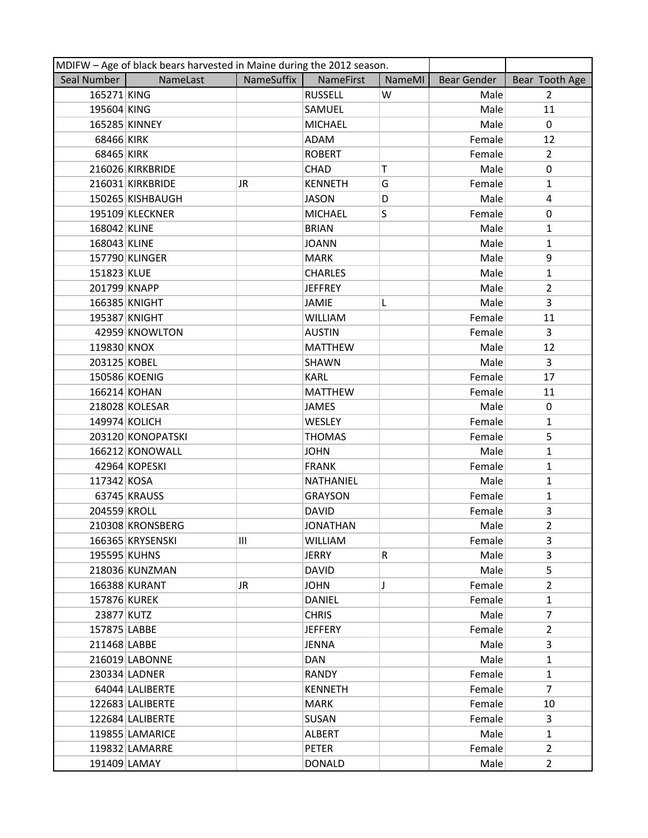|               | MDIFW - Age of black bears harvested in Maine during the 2012 season. |            |                 |        |             |                |  |  |
|---------------|-----------------------------------------------------------------------|------------|-----------------|--------|-------------|----------------|--|--|
| Seal Number   | NameLast                                                              | NameSuffix | NameFirst       | NameMI | Bear Gender | Bear Tooth Age |  |  |
| 165271 KING   |                                                                       |            | <b>RUSSELL</b>  | W      | Male        | $\overline{2}$ |  |  |
| 195604 KING   |                                                                       |            | SAMUEL          |        | Male        | 11             |  |  |
|               | 165285 KINNEY                                                         |            | <b>MICHAEL</b>  |        | Male        | 0              |  |  |
| 68466 KIRK    |                                                                       |            | <b>ADAM</b>     |        | Female      | 12             |  |  |
| 68465 KIRK    |                                                                       |            | <b>ROBERT</b>   |        | Female      | $\overline{2}$ |  |  |
|               | 216026 KIRKBRIDE                                                      |            | CHAD            | Т      | Male        | 0              |  |  |
|               | 216031 KIRKBRIDE                                                      | JR.        | <b>KENNETH</b>  | G      | Female      | $\mathbf{1}$   |  |  |
|               | 150265 KISHBAUGH                                                      |            | <b>JASON</b>    | D      | Male        | $\overline{a}$ |  |  |
|               | 195109 KLECKNER                                                       |            | <b>MICHAEL</b>  | S      | Female      | 0              |  |  |
| 168042 KLINE  |                                                                       |            | <b>BRIAN</b>    |        | Male        | $\mathbf{1}$   |  |  |
| 168043 KLINE  |                                                                       |            | <b>JOANN</b>    |        | Male        | $\mathbf{1}$   |  |  |
|               | 157790 KLINGER                                                        |            | <b>MARK</b>     |        | Male        | 9              |  |  |
| 151823 KLUE   |                                                                       |            | <b>CHARLES</b>  |        | Male        | $\mathbf{1}$   |  |  |
| 201799 KNAPP  |                                                                       |            | <b>JEFFREY</b>  |        | Male        | $\overline{2}$ |  |  |
|               | 166385 KNIGHT                                                         |            | <b>JAMIE</b>    | L      | Male        | 3              |  |  |
|               | 195387 KNIGHT                                                         |            | <b>WILLIAM</b>  |        | Female      | 11             |  |  |
|               | 42959 KNOWLTON                                                        |            | <b>AUSTIN</b>   |        | Female      | 3              |  |  |
| 119830 KNOX   |                                                                       |            | <b>MATTHEW</b>  |        | Male        | 12             |  |  |
| 203125 KOBEL  |                                                                       |            | <b>SHAWN</b>    |        | Male        | 3              |  |  |
|               | 150586 KOENIG                                                         |            | <b>KARL</b>     |        | Female      | 17             |  |  |
| 166214 KOHAN  |                                                                       |            | <b>MATTHEW</b>  |        | Female      | 11             |  |  |
|               | 218028 KOLESAR                                                        |            | <b>JAMES</b>    |        | Male        | 0              |  |  |
| 149974 KOLICH |                                                                       |            | <b>WESLEY</b>   |        | Female      | 1              |  |  |
|               | 203120 KONOPATSKI                                                     |            | <b>THOMAS</b>   |        | Female      | 5              |  |  |
|               | 166212 KONOWALL                                                       |            | <b>JOHN</b>     |        | Male        | $\mathbf{1}$   |  |  |
|               | 42964 KOPESKI                                                         |            | <b>FRANK</b>    |        | Female      | $\mathbf{1}$   |  |  |
| 117342 KOSA   |                                                                       |            | NATHANIEL       |        | Male        | $\mathbf{1}$   |  |  |
|               | 63745 KRAUSS                                                          |            | <b>GRAYSON</b>  |        | Female      | $\mathbf{1}$   |  |  |
| 204559 KROLL  |                                                                       |            | <b>DAVID</b>    |        | Female      | 3              |  |  |
|               | 210308 KRONSBERG                                                      |            | <b>JONATHAN</b> |        | Male        | $\overline{2}$ |  |  |
|               | 166365 KRYSENSKI                                                      | Ш          | <b>WILLIAM</b>  |        | Female      | 3              |  |  |
| 195595 KUHNS  |                                                                       |            | <b>JERRY</b>    | R      | Male        | 3              |  |  |
|               | 218036 KUNZMAN                                                        |            | <b>DAVID</b>    |        | Male        | 5              |  |  |
|               | 166388 KURANT                                                         | JR.        | <b>JOHN</b>     | J      | Female      | $\overline{2}$ |  |  |
| 157876 KUREK  |                                                                       |            | <b>DANIEL</b>   |        | Female      | $\mathbf{1}$   |  |  |
| 23877 KUTZ    |                                                                       |            | <b>CHRIS</b>    |        | Male        | $\overline{7}$ |  |  |
| 157875 LABBE  |                                                                       |            | <b>JEFFERY</b>  |        | Female      | $\overline{2}$ |  |  |
| 211468 LABBE  |                                                                       |            | JENNA           |        | Male        | 3              |  |  |
|               | 216019 LABONNE                                                        |            | DAN             |        | Male        | $\mathbf{1}$   |  |  |
|               | 230334 LADNER                                                         |            | <b>RANDY</b>    |        | Female      | $\mathbf{1}$   |  |  |
|               | 64044 LALIBERTE                                                       |            | <b>KENNETH</b>  |        | Female      | $\overline{7}$ |  |  |
|               | 122683 LALIBERTE                                                      |            | <b>MARK</b>     |        | Female      | 10             |  |  |
|               | 122684 LALIBERTE                                                      |            | <b>SUSAN</b>    |        | Female      | 3              |  |  |
|               | 119855 LAMARICE                                                       |            | <b>ALBERT</b>   |        | Male        | $\mathbf{1}$   |  |  |
|               | 119832 LAMARRE                                                        |            | <b>PETER</b>    |        | Female      | $\overline{2}$ |  |  |
| 191409 LAMAY  |                                                                       |            | <b>DONALD</b>   |        | Male        | $\overline{2}$ |  |  |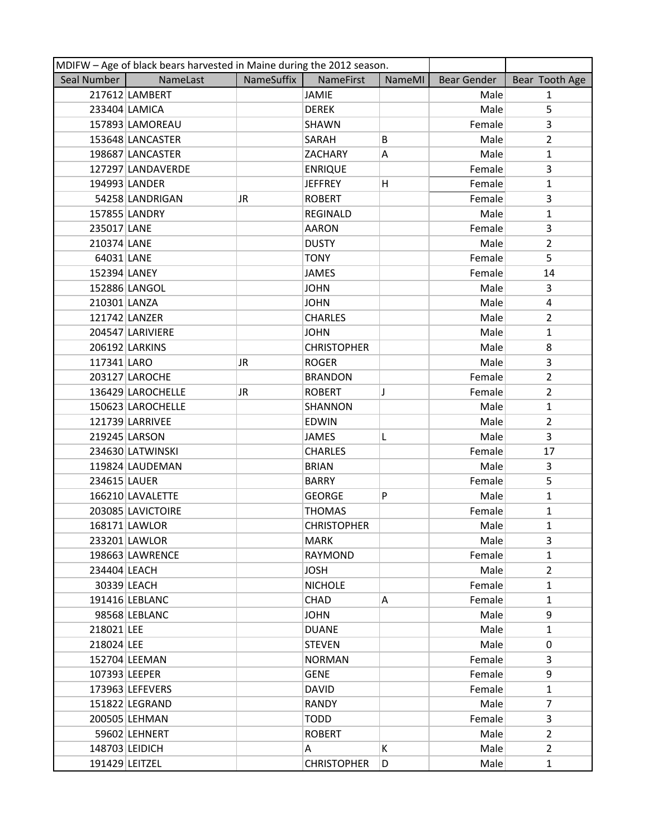|                | MDIFW - Age of black bears harvested in Maine during the 2012 season. |            |                    |        |                    |                |  |  |
|----------------|-----------------------------------------------------------------------|------------|--------------------|--------|--------------------|----------------|--|--|
| Seal Number    | NameLast                                                              | NameSuffix | <b>NameFirst</b>   | NameMI | <b>Bear Gender</b> | Bear Tooth Age |  |  |
|                | 217612 LAMBERT                                                        |            | <b>JAMIE</b>       |        | Male               | $\mathbf{1}$   |  |  |
|                | 233404 LAMICA                                                         |            | <b>DEREK</b>       |        | Male               | 5              |  |  |
|                | 157893 LAMOREAU                                                       |            | <b>SHAWN</b>       |        | Female             | $\overline{3}$ |  |  |
|                | 153648 LANCASTER                                                      |            | SARAH              | B      | Male               | $\overline{2}$ |  |  |
|                | 198687 LANCASTER                                                      |            | ZACHARY            | Α      | Male               | $\mathbf{1}$   |  |  |
|                | 127297 LANDAVERDE                                                     |            | <b>ENRIQUE</b>     |        | Female             | 3              |  |  |
|                | 194993 LANDER                                                         |            | <b>JEFFREY</b>     | Η      | Female             | $\mathbf{1}$   |  |  |
|                | 54258 LANDRIGAN                                                       | JR         | <b>ROBERT</b>      |        | Female             | 3              |  |  |
|                | 157855 LANDRY                                                         |            | REGINALD           |        | Male               | $\mathbf{1}$   |  |  |
| 235017 LANE    |                                                                       |            | <b>AARON</b>       |        | Female             | 3              |  |  |
| 210374 LANE    |                                                                       |            | <b>DUSTY</b>       |        | Male               | $\overline{2}$ |  |  |
| 64031 LANE     |                                                                       |            | <b>TONY</b>        |        | Female             | 5              |  |  |
| 152394 LANEY   |                                                                       |            | <b>JAMES</b>       |        | Female             | 14             |  |  |
|                | 152886 LANGOL                                                         |            | <b>JOHN</b>        |        | Male               | 3              |  |  |
| 210301 LANZA   |                                                                       |            | <b>JOHN</b>        |        | Male               | 4              |  |  |
|                | 121742 LANZER                                                         |            | <b>CHARLES</b>     |        | Male               | $\overline{2}$ |  |  |
|                | 204547 LARIVIERE                                                      |            | <b>JOHN</b>        |        | Male               | $\mathbf{1}$   |  |  |
|                | 206192 LARKINS                                                        |            | <b>CHRISTOPHER</b> |        | Male               | 8              |  |  |
| 117341 LARO    |                                                                       | JR         | <b>ROGER</b>       |        | Male               | 3              |  |  |
|                | 203127 LAROCHE                                                        |            | <b>BRANDON</b>     |        | Female             | $\overline{2}$ |  |  |
|                | 136429 LAROCHELLE                                                     | JR.        | <b>ROBERT</b>      | T      | Female             | $\overline{2}$ |  |  |
|                | 150623 LAROCHELLE                                                     |            | SHANNON            |        | Male               | $\mathbf{1}$   |  |  |
|                | 121739 LARRIVEE                                                       |            | <b>EDWIN</b>       |        | Male               | $\overline{2}$ |  |  |
|                | 219245 LARSON                                                         |            | <b>JAMES</b>       | L      | Male               | 3              |  |  |
|                | 234630 LATWINSKI                                                      |            | <b>CHARLES</b>     |        | Female             | 17             |  |  |
|                | 119824 LAUDEMAN                                                       |            | <b>BRIAN</b>       |        | Male               | 3              |  |  |
| 234615 LAUER   |                                                                       |            | <b>BARRY</b>       |        | Female             | 5              |  |  |
|                | 166210 LAVALETTE                                                      |            | <b>GEORGE</b>      | P      | Male               | $\mathbf{1}$   |  |  |
|                | 203085 LAVICTOIRE                                                     |            | <b>THOMAS</b>      |        | Female             | 1              |  |  |
|                | 168171 LAWLOR                                                         |            | <b>CHRISTOPHER</b> |        | Male               | $\mathbf{1}$   |  |  |
|                | 233201 LAWLOR                                                         |            | <b>MARK</b>        |        | Male               | 3              |  |  |
|                | 198663 LAWRENCE                                                       |            | RAYMOND            |        | Female             | $\mathbf{1}$   |  |  |
| 234404 LEACH   |                                                                       |            | <b>JOSH</b>        |        | Male               | $\overline{2}$ |  |  |
|                | 30339 LEACH                                                           |            | <b>NICHOLE</b>     |        | Female             | $\mathbf{1}$   |  |  |
|                | 191416 LEBLANC                                                        |            | <b>CHAD</b>        | Α      | Female             | $\mathbf{1}$   |  |  |
|                | 98568 LEBLANC                                                         |            | <b>JOHN</b>        |        | Male               | 9              |  |  |
| 218021 LEE     |                                                                       |            | <b>DUANE</b>       |        | Male               | $\mathbf{1}$   |  |  |
| 218024 LEE     |                                                                       |            | <b>STEVEN</b>      |        | Male               | $\mathbf 0$    |  |  |
|                | 152704 LEEMAN                                                         |            | <b>NORMAN</b>      |        | Female             | 3              |  |  |
| 107393 LEEPER  |                                                                       |            | <b>GENE</b>        |        | Female             | 9              |  |  |
|                | 173963 LEFEVERS                                                       |            | <b>DAVID</b>       |        | Female             | $\mathbf{1}$   |  |  |
|                | 151822 LEGRAND                                                        |            | <b>RANDY</b>       |        | Male               | $\overline{7}$ |  |  |
|                | 200505 LEHMAN                                                         |            | <b>TODD</b>        |        | Female             | 3              |  |  |
|                | 59602 LEHNERT                                                         |            | <b>ROBERT</b>      |        | Male               | $\overline{2}$ |  |  |
|                | 148703 LEIDICH                                                        |            | A                  | K      | Male               | $\overline{2}$ |  |  |
| 191429 LEITZEL |                                                                       |            | <b>CHRISTOPHER</b> | D      | Male               | $\mathbf{1}$   |  |  |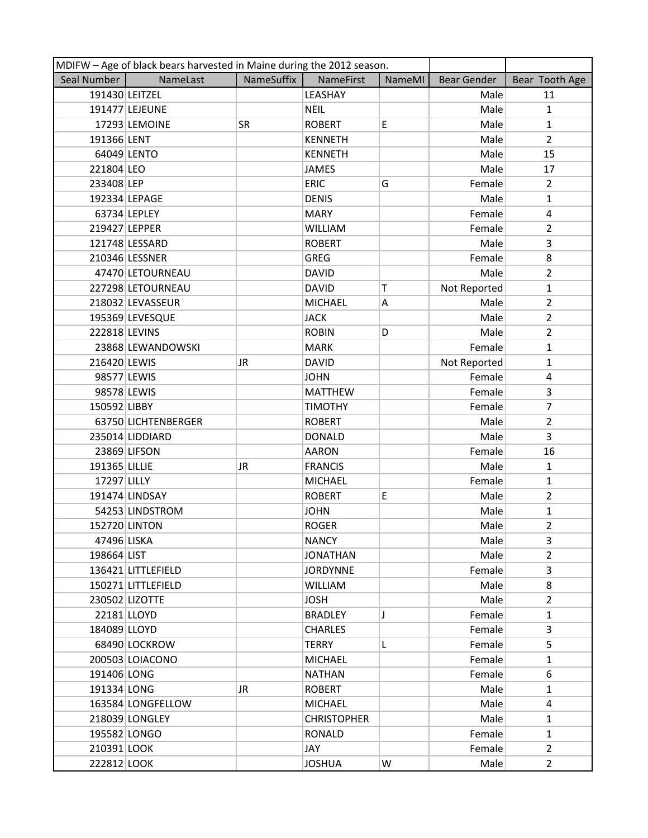|                | MDIFW - Age of black bears harvested in Maine during the 2012 season. |            |                    |               |                    |                         |
|----------------|-----------------------------------------------------------------------|------------|--------------------|---------------|--------------------|-------------------------|
| Seal Number    | NameLast                                                              | NameSuffix | NameFirst          | <b>NameMI</b> | <b>Bear Gender</b> | Bear Tooth Age          |
| 191430 LEITZEL |                                                                       |            | LEASHAY            |               | Male               | 11                      |
|                | 191477 LEJEUNE                                                        |            | <b>NEIL</b>        |               | Male               | $\mathbf{1}$            |
|                | 17293 LEMOINE                                                         | SR         | <b>ROBERT</b>      | E             | Male               | $\mathbf{1}$            |
| 191366 LENT    |                                                                       |            | <b>KENNETH</b>     |               | Male               | $\overline{2}$          |
|                | 64049 LENTO                                                           |            | <b>KENNETH</b>     |               | Male               | 15                      |
| 221804 LEO     |                                                                       |            | <b>JAMES</b>       |               | Male               | 17                      |
| 233408 LEP     |                                                                       |            | <b>ERIC</b>        | G             | Female             | $\overline{2}$          |
| 192334 LEPAGE  |                                                                       |            | <b>DENIS</b>       |               | Male               | $\mathbf{1}$            |
|                | 63734 LEPLEY                                                          |            | <b>MARY</b>        |               | Female             | $\overline{\mathbf{4}}$ |
| 219427 LEPPER  |                                                                       |            | <b>WILLIAM</b>     |               | Female             | $\overline{2}$          |
|                | 121748 LESSARD                                                        |            | <b>ROBERT</b>      |               | Male               | 3                       |
|                | 210346 LESSNER                                                        |            | <b>GREG</b>        |               | Female             | 8                       |
|                | 47470 LETOURNEAU                                                      |            | <b>DAVID</b>       |               | Male               | $\overline{2}$          |
|                | 227298 LETOURNEAU                                                     |            | <b>DAVID</b>       | Т             | Not Reported       | $\mathbf{1}$            |
|                | 218032 LEVASSEUR                                                      |            | <b>MICHAEL</b>     | А             | Male               | $\overline{2}$          |
|                | 195369 LEVESQUE                                                       |            | <b>JACK</b>        |               | Male               | $\overline{2}$          |
| 222818 LEVINS  |                                                                       |            | <b>ROBIN</b>       | D             | Male               | $\overline{2}$          |
|                | 23868 LEWANDOWSKI                                                     |            | <b>MARK</b>        |               | Female             | $\mathbf{1}$            |
| 216420 LEWIS   |                                                                       | JR         | <b>DAVID</b>       |               | Not Reported       | $\mathbf{1}$            |
| 98577 LEWIS    |                                                                       |            | <b>JOHN</b>        |               | Female             | 4                       |
| 98578 LEWIS    |                                                                       |            | <b>MATTHEW</b>     |               | Female             | 3                       |
| 150592 LIBBY   |                                                                       |            | <b>TIMOTHY</b>     |               | Female             | $\overline{7}$          |
|                | 63750 LICHTENBERGER                                                   |            | <b>ROBERT</b>      |               | Male               | $\overline{2}$          |
|                | 235014 LIDDIARD                                                       |            | <b>DONALD</b>      |               | Male               | $\overline{3}$          |
|                | 23869 LIFSON                                                          |            | <b>AARON</b>       |               | Female             | 16                      |
| 191365 LILLIE  |                                                                       | JR         | <b>FRANCIS</b>     |               | Male               | $\mathbf{1}$            |
| 17297 LILLY    |                                                                       |            | <b>MICHAEL</b>     |               | Female             | $\mathbf{1}$            |
|                | 191474 LINDSAY                                                        |            | <b>ROBERT</b>      | E             | Male               | $\overline{2}$          |
|                | 54253 LINDSTROM                                                       |            | <b>JOHN</b>        |               | Male               | $\mathbf{1}$            |
| 152720 LINTON  |                                                                       |            | <b>ROGER</b>       |               | Male               | $\overline{2}$          |
| 47496 LISKA    |                                                                       |            | <b>NANCY</b>       |               | Male               | 3                       |
| 198664 LIST    |                                                                       |            | <b>JONATHAN</b>    |               | Male               | $\mathbf{2}$            |
|                | 136421 LITTLEFIELD                                                    |            | <b>JORDYNNE</b>    |               | Female             | 3                       |
|                | 150271 LITTLEFIELD                                                    |            | <b>WILLIAM</b>     |               | Male               | 8                       |
|                | 230502 LIZOTTE                                                        |            | <b>JOSH</b>        |               | Male               | $\mathbf{2}$            |
|                | 22181 LLOYD                                                           |            | <b>BRADLEY</b>     | J.            | Female             | $\mathbf{1}$            |
| 184089 LLOYD   |                                                                       |            | <b>CHARLES</b>     |               | Female             | 3                       |
|                | 68490 LOCKROW                                                         |            | <b>TERRY</b>       | L             | Female             | 5.                      |
|                | 200503 LOIACONO                                                       |            | <b>MICHAEL</b>     |               | Female             | $\mathbf{1}$            |
| 191406 LONG    |                                                                       |            | <b>NATHAN</b>      |               | Female             | 6                       |
| 191334 LONG    |                                                                       | JR.        | <b>ROBERT</b>      |               | Male               | $\mathbf{1}$            |
|                | 163584 LONGFELLOW                                                     |            | <b>MICHAEL</b>     |               | Male               | 4                       |
|                | 218039 LONGLEY                                                        |            | <b>CHRISTOPHER</b> |               | Male               | $\mathbf{1}$            |
| 195582 LONGO   |                                                                       |            | RONALD             |               | Female             | $\mathbf{1}$            |
| 210391 LOOK    |                                                                       |            | JAY                |               | Female             | $\overline{2}$          |
| 222812 LOOK    |                                                                       |            | <b>JOSHUA</b>      | W             | Male               | $\overline{2}$          |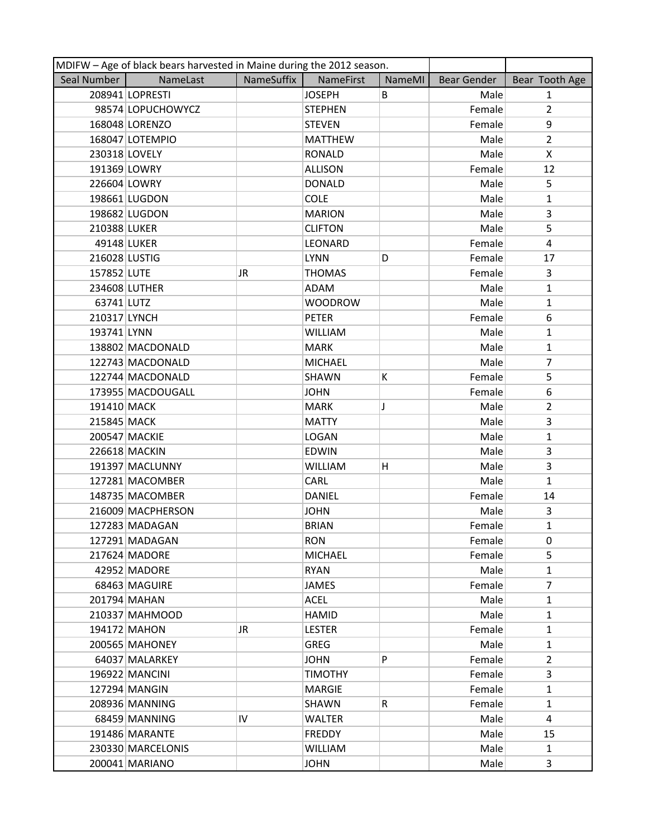|               | MDIFW - Age of black bears harvested in Maine during the 2012 season. |            |                |        |             |                |  |  |
|---------------|-----------------------------------------------------------------------|------------|----------------|--------|-------------|----------------|--|--|
| Seal Number   | NameLast                                                              | NameSuffix | NameFirst      | NameMI | Bear Gender | Bear Tooth Age |  |  |
|               | 208941 LOPRESTI                                                       |            | <b>JOSEPH</b>  | B      | Male        | $\mathbf{1}$   |  |  |
|               | 98574 LOPUCHOWYCZ                                                     |            | <b>STEPHEN</b> |        | Female      | $\overline{2}$ |  |  |
|               | 168048 LORENZO                                                        |            | <b>STEVEN</b>  |        | Female      | 9              |  |  |
|               | 168047 LOTEMPIO                                                       |            | <b>MATTHEW</b> |        | Male        | $\overline{2}$ |  |  |
| 230318 LOVELY |                                                                       |            | <b>RONALD</b>  |        | Male        | X              |  |  |
| 191369 LOWRY  |                                                                       |            | <b>ALLISON</b> |        | Female      | 12             |  |  |
| 226604 LOWRY  |                                                                       |            | <b>DONALD</b>  |        | Male        | 5              |  |  |
|               | 198661 LUGDON                                                         |            | <b>COLE</b>    |        | Male        | $\mathbf{1}$   |  |  |
|               | 198682 LUGDON                                                         |            | <b>MARION</b>  |        | Male        | 3              |  |  |
| 210388 LUKER  |                                                                       |            | <b>CLIFTON</b> |        | Male        | 5              |  |  |
|               | 49148 LUKER                                                           |            | LEONARD        |        | Female      | 4              |  |  |
| 216028 LUSTIG |                                                                       |            | <b>LYNN</b>    | D      | Female      | 17             |  |  |
| 157852 LUTE   |                                                                       | JR         | <b>THOMAS</b>  |        | Female      | 3              |  |  |
|               | 234608 LUTHER                                                         |            | ADAM           |        | Male        | $\mathbf{1}$   |  |  |
| 63741 LUTZ    |                                                                       |            | <b>WOODROW</b> |        | Male        | $\mathbf{1}$   |  |  |
| 210317 LYNCH  |                                                                       |            | <b>PETER</b>   |        | Female      | 6              |  |  |
| 193741 LYNN   |                                                                       |            | <b>WILLIAM</b> |        | Male        | $\mathbf{1}$   |  |  |
|               | 138802 MACDONALD                                                      |            | <b>MARK</b>    |        | Male        | $\mathbf{1}$   |  |  |
|               | 122743 MACDONALD                                                      |            | <b>MICHAEL</b> |        | Male        | 7              |  |  |
|               | 122744 MACDONALD                                                      |            | SHAWN          | K      | Female      | 5              |  |  |
|               | 173955 MACDOUGALL                                                     |            | <b>JOHN</b>    |        | Female      | 6              |  |  |
| 191410 MACK   |                                                                       |            | <b>MARK</b>    | J      | Male        | $\overline{2}$ |  |  |
| 215845 MACK   |                                                                       |            | <b>MATTY</b>   |        | Male        | 3              |  |  |
|               | 200547 MACKIE                                                         |            | <b>LOGAN</b>   |        | Male        | $\mathbf{1}$   |  |  |
|               | 226618 MACKIN                                                         |            | <b>EDWIN</b>   |        | Male        | 3              |  |  |
|               | 191397 MACLUNNY                                                       |            | WILLIAM        | н      | Male        | 3              |  |  |
|               | 127281 MACOMBER                                                       |            | CARL           |        | Male        | $\mathbf{1}$   |  |  |
|               | 148735 MACOMBER                                                       |            | <b>DANIEL</b>  |        | Female      | 14             |  |  |
|               | 216009 MACPHERSON                                                     |            | <b>JOHN</b>    |        | Male        | 3              |  |  |
|               | 127283 MADAGAN                                                        |            | <b>BRIAN</b>   |        | Female      | $\mathbf{1}$   |  |  |
|               | 127291 MADAGAN                                                        |            | <b>RON</b>     |        | Female      | $\mathbf{0}$   |  |  |
|               | 217624 MADORE                                                         |            | <b>MICHAEL</b> |        | Female      | 5.             |  |  |
|               | 42952 MADORE                                                          |            | <b>RYAN</b>    |        | Male        | $\mathbf{1}$   |  |  |
|               | 68463 MAGUIRE                                                         |            | JAMES          |        | Female      | $\overline{7}$ |  |  |
|               | 201794 MAHAN                                                          |            | <b>ACEL</b>    |        | Male        | $\mathbf{1}$   |  |  |
|               | 210337 MAHMOOD                                                        |            | <b>HAMID</b>   |        | Male        | $\mathbf{1}$   |  |  |
|               | 194172 MAHON                                                          | JR         | <b>LESTER</b>  |        | Female      | $\mathbf{1}$   |  |  |
|               | 200565 MAHONEY                                                        |            | <b>GREG</b>    |        | Male        | $\mathbf{1}$   |  |  |
|               | 64037 MALARKEY                                                        |            | <b>JOHN</b>    | P      | Female      | $\overline{2}$ |  |  |
|               | 196922 MANCINI                                                        |            | <b>TIMOTHY</b> |        | Female      | 3              |  |  |
|               | 127294 MANGIN                                                         |            | <b>MARGIE</b>  |        | Female      | $\mathbf{1}$   |  |  |
|               | 208936 MANNING                                                        |            | SHAWN          | R      | Female      | $\mathbf{1}$   |  |  |
|               | 68459 MANNING                                                         | IV         | <b>WALTER</b>  |        | Male        | 4              |  |  |
|               | 191486 MARANTE                                                        |            | <b>FREDDY</b>  |        | Male        | 15             |  |  |
|               | 230330 MARCELONIS                                                     |            | <b>WILLIAM</b> |        | Male        | $\mathbf{1}$   |  |  |
|               | 200041 MARIANO                                                        |            | <b>JOHN</b>    |        | Male        | 3              |  |  |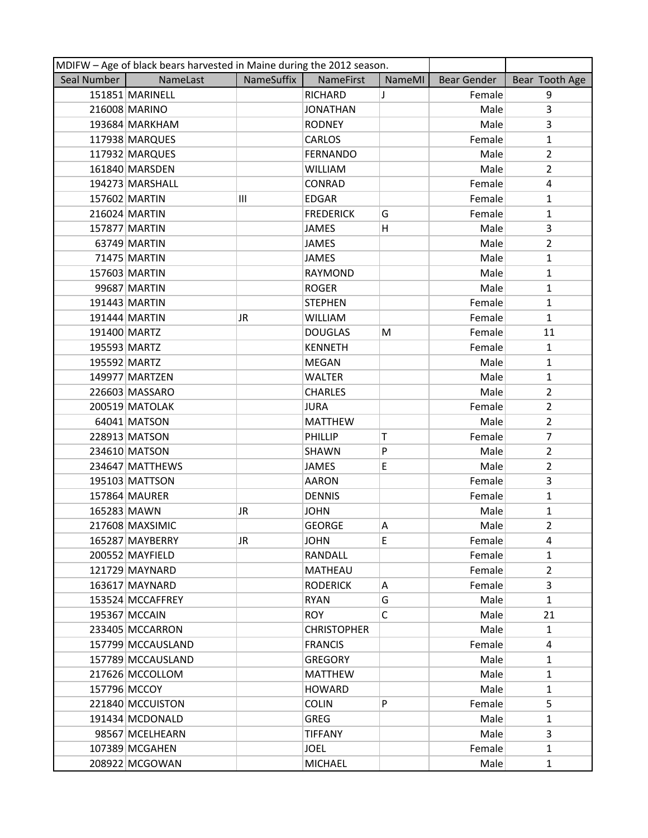|              | MDIFW - Age of black bears harvested in Maine during the 2012 season. |            |                    |        |             |                |
|--------------|-----------------------------------------------------------------------|------------|--------------------|--------|-------------|----------------|
| Seal Number  | NameLast                                                              | NameSuffix | NameFirst          | NameMI | Bear Gender | Bear Tooth Age |
|              | 151851 MARINELL                                                       |            | <b>RICHARD</b>     | J      | Female      | 9              |
|              | 216008 MARINO                                                         |            | <b>JONATHAN</b>    |        | Male        | 3              |
|              | 193684 MARKHAM                                                        |            | <b>RODNEY</b>      |        | Male        | $\overline{3}$ |
|              | 117938 MARQUES                                                        |            | <b>CARLOS</b>      |        | Female      | $\mathbf{1}$   |
|              | 117932 MARQUES                                                        |            | <b>FERNANDO</b>    |        | Male        | $\overline{2}$ |
|              | 161840 MARSDEN                                                        |            | <b>WILLIAM</b>     |        | Male        | $\overline{2}$ |
|              | 194273 MARSHALL                                                       |            | CONRAD             |        | Female      | 4              |
|              | 157602 MARTIN                                                         | III        | <b>EDGAR</b>       |        | Female      | $\mathbf{1}$   |
|              | 216024 MARTIN                                                         |            | <b>FREDERICK</b>   | G      | Female      | $\mathbf{1}$   |
|              | 157877 MARTIN                                                         |            | JAMES              | Η      | Male        | 3              |
|              | 63749 MARTIN                                                          |            | JAMES              |        | Male        | $\overline{2}$ |
|              | 71475 MARTIN                                                          |            | <b>JAMES</b>       |        | Male        | $\mathbf{1}$   |
|              | 157603 MARTIN                                                         |            | RAYMOND            |        | Male        | $\mathbf{1}$   |
|              | 99687 MARTIN                                                          |            | <b>ROGER</b>       |        | Male        | $\mathbf{1}$   |
|              | 191443 MARTIN                                                         |            | <b>STEPHEN</b>     |        | Female      | $\mathbf{1}$   |
|              | 191444 MARTIN                                                         | JR         | <b>WILLIAM</b>     |        | Female      | $\mathbf{1}$   |
| 191400 MARTZ |                                                                       |            | <b>DOUGLAS</b>     | М      | Female      | 11             |
| 195593 MARTZ |                                                                       |            | <b>KENNETH</b>     |        | Female      | $\mathbf{1}$   |
| 195592 MARTZ |                                                                       |            | MEGAN              |        | Male        | $\mathbf{1}$   |
|              | 149977 MARTZEN                                                        |            | <b>WALTER</b>      |        | Male        | $\mathbf{1}$   |
|              | 226603 MASSARO                                                        |            | <b>CHARLES</b>     |        | Male        | $\overline{2}$ |
|              | 200519 MATOLAK                                                        |            | <b>JURA</b>        |        | Female      | $\overline{2}$ |
|              | 64041 MATSON                                                          |            | <b>MATTHEW</b>     |        | Male        | $\overline{2}$ |
|              | 228913 MATSON                                                         |            | PHILLIP            | Т      | Female      | 7              |
|              | 234610 MATSON                                                         |            | SHAWN              | P      | Male        | $\overline{2}$ |
|              | 234647 MATTHEWS                                                       |            | JAMES              | E      | Male        | $\overline{2}$ |
|              | 195103 MATTSON                                                        |            | <b>AARON</b>       |        | Female      | $\overline{3}$ |
|              | 157864 MAURER                                                         |            | <b>DENNIS</b>      |        | Female      | $\mathbf{1}$   |
| 165283 MAWN  |                                                                       | JR         | <b>JOHN</b>        |        | Male        | $\mathbf{1}$   |
|              | 217608 MAXSIMIC                                                       |            | <b>GEORGE</b>      | Α      | Male        | $\overline{2}$ |
|              | 165287 MAYBERRY                                                       | JR         | <b>JOHN</b>        | E      | Female      | 4              |
|              | 200552 MAYFIELD                                                       |            | RANDALL            |        | Female      | 1              |
|              | 121729 MAYNARD                                                        |            | MATHEAU            |        | Female      | $\overline{2}$ |
|              | 163617 MAYNARD                                                        |            | <b>RODERICK</b>    | A      | Female      | 3              |
|              | 153524 MCCAFFREY                                                      |            | <b>RYAN</b>        | G      | Male        | $\mathbf{1}$   |
|              | 195367 MCCAIN                                                         |            | <b>ROY</b>         | C      | Male        | 21             |
|              | 233405 MCCARRON                                                       |            | <b>CHRISTOPHER</b> |        | Male        | 1              |
|              | 157799 MCCAUSLAND                                                     |            | <b>FRANCIS</b>     |        | Female      | 4              |
|              | 157789 MCCAUSLAND                                                     |            | <b>GREGORY</b>     |        | Male        | $\mathbf{1}$   |
|              | 217626 MCCOLLOM                                                       |            | <b>MATTHEW</b>     |        | Male        | 1              |
|              | 157796 MCCOY                                                          |            | <b>HOWARD</b>      |        | Male        | $\mathbf{1}$   |
|              | 221840 MCCUISTON                                                      |            | <b>COLIN</b>       | P      | Female      | 5              |
|              | 191434 MCDONALD                                                       |            | <b>GREG</b>        |        | Male        | $\mathbf{1}$   |
|              | 98567 MCELHEARN                                                       |            | <b>TIFFANY</b>     |        | Male        | 3              |
|              | 107389 MCGAHEN                                                        |            | <b>JOEL</b>        |        | Female      | $\mathbf{1}$   |
|              | 208922 MCGOWAN                                                        |            | <b>MICHAEL</b>     |        | Male        | $\mathbf{1}$   |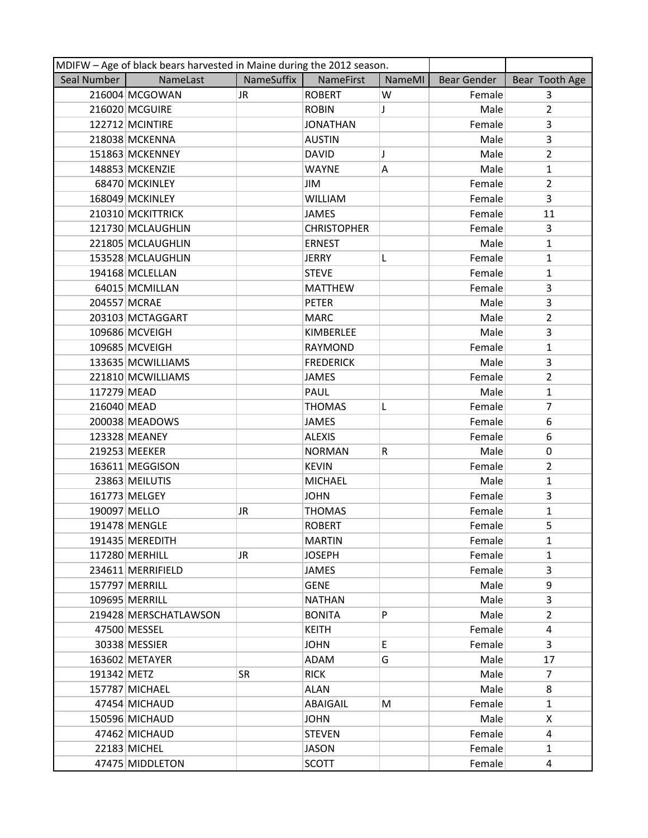| MDIFW - Age of black bears harvested in Maine during the 2012 season. |                       |            |                    |        |                    |                |
|-----------------------------------------------------------------------|-----------------------|------------|--------------------|--------|--------------------|----------------|
| Seal Number                                                           | NameLast              | NameSuffix | NameFirst          | NameMI | <b>Bear Gender</b> | Bear Tooth Age |
|                                                                       | 216004 MCGOWAN        | JR.        | <b>ROBERT</b>      | W      | Female             | 3              |
|                                                                       | 216020 MCGUIRE        |            | <b>ROBIN</b>       | J      | Male               | $\overline{2}$ |
|                                                                       | 122712 MCINTIRE       |            | <b>JONATHAN</b>    |        | Female             | 3              |
|                                                                       | 218038 MCKENNA        |            | <b>AUSTIN</b>      |        | Male               | 3              |
|                                                                       | 151863 MCKENNEY       |            | <b>DAVID</b>       | J      | Male               | $\overline{2}$ |
|                                                                       | 148853 MCKENZIE       |            | <b>WAYNE</b>       | Α      | Male               | $\mathbf{1}$   |
|                                                                       | 68470 MCKINLEY        |            | JIM                |        | Female             | $\overline{2}$ |
|                                                                       | 168049 MCKINLEY       |            | <b>WILLIAM</b>     |        | Female             | 3              |
|                                                                       | 210310 MCKITTRICK     |            | <b>JAMES</b>       |        | Female             | 11             |
|                                                                       | 121730 MCLAUGHLIN     |            | <b>CHRISTOPHER</b> |        | Female             | 3              |
|                                                                       | 221805 MCLAUGHLIN     |            | <b>ERNEST</b>      |        | Male               | $\mathbf{1}$   |
|                                                                       | 153528 MCLAUGHLIN     |            | <b>JERRY</b>       | L      | Female             | $\mathbf{1}$   |
|                                                                       | 194168 MCLELLAN       |            | <b>STEVE</b>       |        | Female             | $\mathbf{1}$   |
|                                                                       | 64015 MCMILLAN        |            | <b>MATTHEW</b>     |        | Female             | 3              |
|                                                                       | 204557 MCRAE          |            | <b>PETER</b>       |        | Male               | 3              |
|                                                                       | 203103 MCTAGGART      |            | <b>MARC</b>        |        | Male               | $\overline{2}$ |
|                                                                       | 109686 MCVEIGH        |            | <b>KIMBERLEE</b>   |        | Male               | 3              |
|                                                                       | 109685 MCVEIGH        |            | RAYMOND            |        | Female             | $\mathbf{1}$   |
|                                                                       | 133635 MCWILLIAMS     |            | <b>FREDERICK</b>   |        | Male               | 3              |
|                                                                       | 221810 MCWILLIAMS     |            | JAMES              |        | Female             | $\overline{2}$ |
| 117279 MEAD                                                           |                       |            | PAUL               |        | Male               | $\mathbf{1}$   |
| 216040 MEAD                                                           |                       |            | <b>THOMAS</b>      | L      | Female             | $\overline{7}$ |
|                                                                       | 200038 MEADOWS        |            | JAMES              |        | Female             | 6              |
|                                                                       | 123328 MEANEY         |            | <b>ALEXIS</b>      |        | Female             | 6              |
|                                                                       | 219253 MEEKER         |            | <b>NORMAN</b>      | R      | Male               | 0              |
|                                                                       | 163611 MEGGISON       |            | <b>KEVIN</b>       |        | Female             | $\overline{2}$ |
|                                                                       | 23863 MEILUTIS        |            | <b>MICHAEL</b>     |        | Male               | $\mathbf{1}$   |
|                                                                       | 161773 MELGEY         |            | <b>JOHN</b>        |        | Female             | 3              |
| 190097 MELLO                                                          |                       | JR.        | <b>THOMAS</b>      |        | Female             | $\mathbf{1}$   |
|                                                                       | 191478 MENGLE         |            | <b>ROBERT</b>      |        | Female             | 5              |
|                                                                       | 191435 MEREDITH       |            | <b>MARTIN</b>      |        | Female             | $\mathbf{1}$   |
|                                                                       | 117280 MERHILL        | JR.        | <b>JOSEPH</b>      |        | Female             | $\mathbf{1}$   |
|                                                                       | 234611 MERRIFIELD     |            | JAMES              |        | Female             | $\overline{3}$ |
|                                                                       | 157797 MERRILL        |            | <b>GENE</b>        |        | Male               | 9              |
|                                                                       | 109695 MERRILL        |            | <b>NATHAN</b>      |        | Male               | 3              |
|                                                                       | 219428 MERSCHATLAWSON |            | <b>BONITA</b>      | P      | Male               | $\overline{2}$ |
|                                                                       | 47500 MESSEL          |            | <b>KEITH</b>       |        | Female             | 4              |
|                                                                       | 30338 MESSIER         |            | <b>JOHN</b>        | E.     | Female             | 3              |
|                                                                       | 163602 METAYER        |            | ADAM               | G      | Male               | 17             |
| 191342 METZ                                                           |                       | <b>SR</b>  | <b>RICK</b>        |        | Male               | $\overline{7}$ |
|                                                                       | 157787 MICHAEL        |            | <b>ALAN</b>        |        | Male               | 8              |
|                                                                       | 47454 MICHAUD         |            | ABAIGAIL           | M      | Female             | $\mathbf{1}$   |
|                                                                       | 150596 MICHAUD        |            | <b>JOHN</b>        |        | Male               | X              |
|                                                                       | 47462 MICHAUD         |            | <b>STEVEN</b>      |        | Female             | 4              |
|                                                                       | 22183 MICHEL          |            | JASON              |        | Female             | $\mathbf{1}$   |
|                                                                       | 47475 MIDDLETON       |            | <b>SCOTT</b>       |        | Female             | 4              |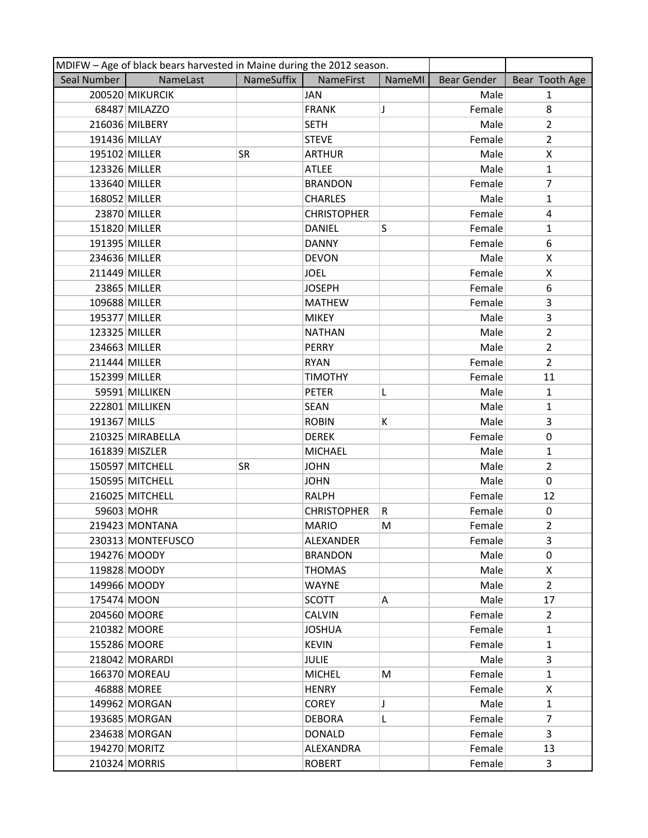| MDIFW - Age of black bears harvested in Maine during the 2012 season. |                   |            |                    |        |                    |                |  |
|-----------------------------------------------------------------------|-------------------|------------|--------------------|--------|--------------------|----------------|--|
| Seal Number                                                           | NameLast          | NameSuffix | <b>NameFirst</b>   | NameMI | <b>Bear Gender</b> | Bear Tooth Age |  |
|                                                                       | 200520 MIKURCIK   |            | <b>JAN</b>         |        | Male               | $\mathbf{1}$   |  |
|                                                                       | 68487 MILAZZO     |            | <b>FRANK</b>       | J      | Female             | 8              |  |
|                                                                       | 216036 MILBERY    |            | <b>SETH</b>        |        | Male               | $\overline{2}$ |  |
|                                                                       | 191436 MILLAY     |            | <b>STEVE</b>       |        | Female             | $\overline{2}$ |  |
| 195102 MILLER                                                         |                   | <b>SR</b>  | <b>ARTHUR</b>      |        | Male               | X              |  |
| 123326 MILLER                                                         |                   |            | <b>ATLEE</b>       |        | Male               | $\mathbf{1}$   |  |
| 133640 MILLER                                                         |                   |            | <b>BRANDON</b>     |        | Female             | $\overline{7}$ |  |
| 168052 MILLER                                                         |                   |            | <b>CHARLES</b>     |        | Male               | $\mathbf{1}$   |  |
|                                                                       | 23870 MILLER      |            | <b>CHRISTOPHER</b> |        | Female             | 4              |  |
| 151820 MILLER                                                         |                   |            | <b>DANIEL</b>      | S      | Female             | $\mathbf{1}$   |  |
| 191395 MILLER                                                         |                   |            | <b>DANNY</b>       |        | Female             | 6              |  |
| 234636 MILLER                                                         |                   |            | <b>DEVON</b>       |        | Male               | X              |  |
| 211449 MILLER                                                         |                   |            | <b>JOEL</b>        |        | Female             | X              |  |
|                                                                       | 23865 MILLER      |            | <b>JOSEPH</b>      |        | Female             | 6              |  |
| 109688 MILLER                                                         |                   |            | <b>MATHEW</b>      |        | Female             | 3              |  |
| 195377 MILLER                                                         |                   |            | <b>MIKEY</b>       |        | Male               | 3              |  |
| 123325 MILLER                                                         |                   |            | <b>NATHAN</b>      |        | Male               | $\overline{2}$ |  |
| 234663 MILLER                                                         |                   |            | <b>PERRY</b>       |        | Male               | $\overline{2}$ |  |
| 211444 MILLER                                                         |                   |            | <b>RYAN</b>        |        | Female             | $\overline{2}$ |  |
| 152399 MILLER                                                         |                   |            | <b>TIMOTHY</b>     |        | Female             | 11             |  |
|                                                                       | 59591 MILLIKEN    |            | <b>PETER</b>       | L      | Male               | $\mathbf{1}$   |  |
|                                                                       | 222801 MILLIKEN   |            | <b>SEAN</b>        |        | Male               | $\mathbf{1}$   |  |
| 191367 MILLS                                                          |                   |            | <b>ROBIN</b>       | K      | Male               | 3              |  |
|                                                                       | 210325 MIRABELLA  |            | <b>DEREK</b>       |        | Female             | 0              |  |
|                                                                       | 161839 MISZLER    |            | <b>MICHAEL</b>     |        | Male               | $\mathbf{1}$   |  |
|                                                                       | 150597 MITCHELL   | SR         | <b>JOHN</b>        |        | Male               | $\overline{2}$ |  |
|                                                                       | 150595 MITCHELL   |            | <b>JOHN</b>        |        | Male               | 0              |  |
|                                                                       | 216025 MITCHELL   |            | <b>RALPH</b>       |        | Female             | 12             |  |
|                                                                       | 59603 MOHR        |            | <b>CHRISTOPHER</b> | R      | Female             | 0              |  |
|                                                                       | 219423 MONTANA    |            | <b>MARIO</b>       | M      | Female             | $\overline{2}$ |  |
|                                                                       | 230313 MONTEFUSCO |            | ALEXANDER          |        | Female             | 3              |  |
|                                                                       | 194276 MOODY      |            | <b>BRANDON</b>     |        | Male               | 0              |  |
|                                                                       | 119828 MOODY      |            | <b>THOMAS</b>      |        | Male               | X              |  |
|                                                                       | 149966 MOODY      |            | <b>WAYNE</b>       |        | Male               | $\overline{2}$ |  |
| 175474 MOON                                                           |                   |            | <b>SCOTT</b>       | Α      | Male               | 17             |  |
|                                                                       | 204560 MOORE      |            | <b>CALVIN</b>      |        | Female             | $\overline{2}$ |  |
|                                                                       | 210382 MOORE      |            | <b>JOSHUA</b>      |        | Female             | $\mathbf{1}$   |  |
|                                                                       | 155286 MOORE      |            | <b>KEVIN</b>       |        | Female             | 1              |  |
|                                                                       | 218042 MORARDI    |            | <b>JULIE</b>       |        | Male               | 3              |  |
|                                                                       | 166370 MOREAU     |            | <b>MICHEL</b>      | M      | Female             | $\mathbf{1}$   |  |
|                                                                       | 46888 MOREE       |            | <b>HENRY</b>       |        | Female             | X              |  |
|                                                                       | 149962 MORGAN     |            | <b>COREY</b>       | J      | Male               | $\mathbf{1}$   |  |
|                                                                       | 193685 MORGAN     |            | <b>DEBORA</b>      | L      | Female             | $\overline{7}$ |  |
|                                                                       | 234638 MORGAN     |            | <b>DONALD</b>      |        | Female             | 3              |  |
|                                                                       | 194270 MORITZ     |            | ALEXANDRA          |        | Female             | 13             |  |
|                                                                       | 210324 MORRIS     |            | <b>ROBERT</b>      |        | Female             | 3              |  |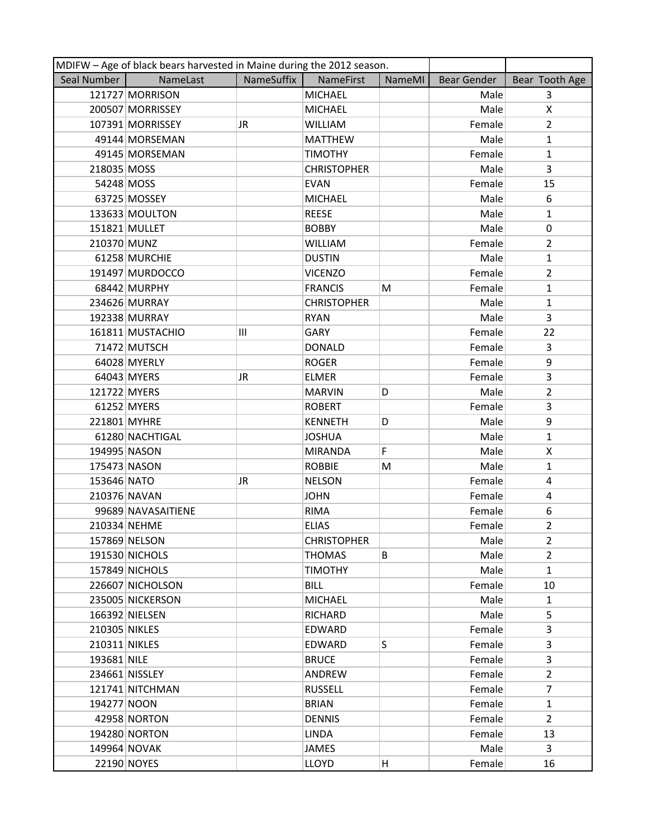| MDIFW - Age of black bears harvested in Maine during the 2012 season. |                    |            |                    |               |             |                |
|-----------------------------------------------------------------------|--------------------|------------|--------------------|---------------|-------------|----------------|
| Seal Number                                                           | NameLast           | NameSuffix | <b>NameFirst</b>   | <b>NameMI</b> | Bear Gender | Bear Tooth Age |
|                                                                       | 121727 MORRISON    |            | <b>MICHAEL</b>     |               | Male        | 3              |
|                                                                       | 200507 MORRISSEY   |            | <b>MICHAEL</b>     |               | Male        | X              |
|                                                                       | 107391 MORRISSEY   | JR.        | <b>WILLIAM</b>     |               | Female      | $\overline{2}$ |
|                                                                       | 49144 MORSEMAN     |            | <b>MATTHEW</b>     |               | Male        | $\mathbf{1}$   |
|                                                                       | 49145 MORSEMAN     |            | <b>TIMOTHY</b>     |               | Female      | 1              |
| 218035 MOSS                                                           |                    |            | <b>CHRISTOPHER</b> |               | Male        | 3              |
| 54248 MOSS                                                            |                    |            | <b>EVAN</b>        |               | Female      | 15             |
|                                                                       | 63725 MOSSEY       |            | <b>MICHAEL</b>     |               | Male        | 6              |
|                                                                       | 133633 MOULTON     |            | <b>REESE</b>       |               | Male        | $\mathbf{1}$   |
|                                                                       | 151821 MULLET      |            | <b>BOBBY</b>       |               | Male        | 0              |
| 210370 MUNZ                                                           |                    |            | <b>WILLIAM</b>     |               | Female      | $\overline{2}$ |
|                                                                       | 61258 MURCHIE      |            | <b>DUSTIN</b>      |               | Male        | $\mathbf{1}$   |
|                                                                       | 191497 MURDOCCO    |            | <b>VICENZO</b>     |               | Female      | $\overline{2}$ |
|                                                                       | 68442 MURPHY       |            | <b>FRANCIS</b>     | M             | Female      | $\mathbf{1}$   |
|                                                                       | 234626 MURRAY      |            | <b>CHRISTOPHER</b> |               | Male        | $\mathbf{1}$   |
|                                                                       | 192338 MURRAY      |            | <b>RYAN</b>        |               | Male        | 3              |
|                                                                       | 161811 MUSTACHIO   | III        | GARY               |               | Female      | 22             |
|                                                                       | 71472 MUTSCH       |            | <b>DONALD</b>      |               | Female      | 3              |
|                                                                       | 64028 MYERLY       |            | <b>ROGER</b>       |               | Female      | 9              |
|                                                                       | 64043 MYERS        | JR         | <b>ELMER</b>       |               | Female      | 3              |
| 121722 MYERS                                                          |                    |            | <b>MARVIN</b>      | D             | Male        | $\overline{2}$ |
|                                                                       | 61252 MYERS        |            | <b>ROBERT</b>      |               | Female      | 3              |
| 221801 MYHRE                                                          |                    |            | <b>KENNETH</b>     | D             | Male        | 9              |
|                                                                       | 61280 NACHTIGAL    |            | <b>JOSHUA</b>      |               | Male        | $\mathbf{1}$   |
| 194995 NASON                                                          |                    |            | <b>MIRANDA</b>     | F             | Male        | X              |
| 175473 NASON                                                          |                    |            | <b>ROBBIE</b>      | M             | Male        | $\mathbf{1}$   |
| 153646 NATO                                                           |                    | JR.        | <b>NELSON</b>      |               | Female      | 4              |
| 210376 NAVAN                                                          |                    |            | <b>JOHN</b>        |               | Female      | 4              |
|                                                                       | 99689 NAVASAITIENE |            | <b>RIMA</b>        |               | Female      | 6              |
|                                                                       | 210334 NEHME       |            | <b>ELIAS</b>       |               | Female      | $\overline{2}$ |
|                                                                       | 157869 NELSON      |            | <b>CHRISTOPHER</b> |               | Male        | $\overline{2}$ |
|                                                                       | 191530 NICHOLS     |            | <b>THOMAS</b>      | B             | Male        | $\overline{2}$ |
|                                                                       | 157849 NICHOLS     |            | <b>TIMOTHY</b>     |               | Male        | $\mathbf{1}$   |
|                                                                       | 226607 NICHOLSON   |            | <b>BILL</b>        |               | Female      | 10             |
|                                                                       | 235005 NICKERSON   |            | <b>MICHAEL</b>     |               | Male        | $\mathbf{1}$   |
|                                                                       | 166392 NIELSEN     |            | RICHARD            |               | Male        | 5              |
| 210305 NIKLES                                                         |                    |            | EDWARD             |               | Female      | 3              |
| 210311 NIKLES                                                         |                    |            | EDWARD             | S             | Female      | 3              |
| 193681 NILE                                                           |                    |            | <b>BRUCE</b>       |               | Female      | 3              |
|                                                                       | 234661 NISSLEY     |            | ANDREW             |               | Female      | $\overline{2}$ |
|                                                                       | 121741 NITCHMAN    |            | <b>RUSSELL</b>     |               | Female      | $\overline{7}$ |
| 194277 NOON                                                           |                    |            | <b>BRIAN</b>       |               | Female      | $\mathbf{1}$   |
|                                                                       | 42958 NORTON       |            | <b>DENNIS</b>      |               | Female      | $\overline{2}$ |
|                                                                       | 194280 NORTON      |            | <b>LINDA</b>       |               | Female      | 13             |
|                                                                       | 149964 NOVAK       |            | JAMES              |               | Male        | 3              |
|                                                                       | 22190 NOYES        |            | <b>LLOYD</b>       | н             | Female      | 16             |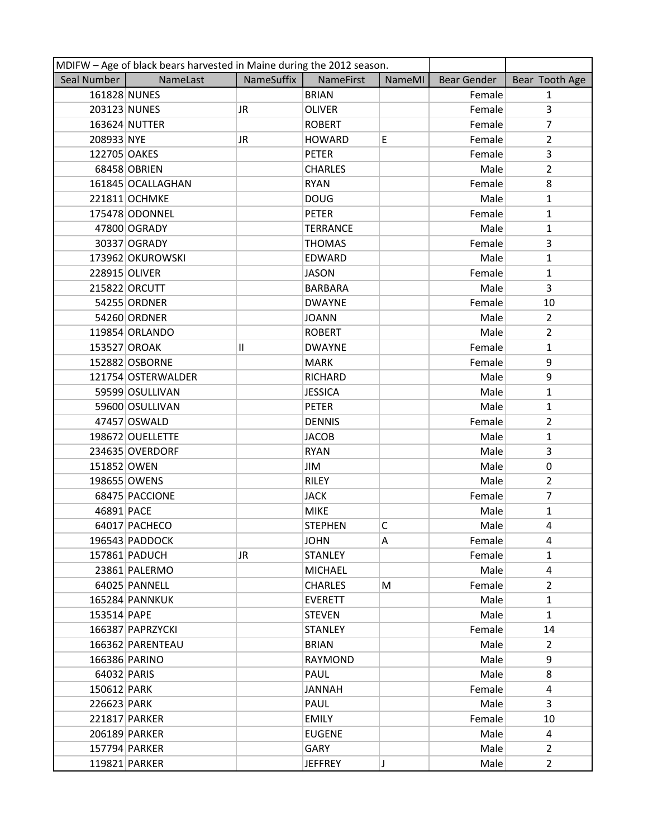| MDIFW - Age of black bears harvested in Maine during the 2012 season. |                    |              |                 |        |                    |                |
|-----------------------------------------------------------------------|--------------------|--------------|-----------------|--------|--------------------|----------------|
| Seal Number                                                           | NameLast           | NameSuffix   | NameFirst       | NameMI | <b>Bear Gender</b> | Bear Tooth Age |
| 161828 NUNES                                                          |                    |              | <b>BRIAN</b>    |        | Female             | $\mathbf{1}$   |
| 203123 NUNES                                                          |                    | JR           | <b>OLIVER</b>   |        | Female             | 3              |
|                                                                       | 163624 NUTTER      |              | <b>ROBERT</b>   |        | Female             | 7              |
| 208933 NYE                                                            |                    | JR           | <b>HOWARD</b>   | E      | Female             | $\overline{2}$ |
| 122705 OAKES                                                          |                    |              | <b>PETER</b>    |        | Female             | 3              |
|                                                                       | 68458 OBRIEN       |              | <b>CHARLES</b>  |        | Male               | $\overline{2}$ |
|                                                                       | 161845 OCALLAGHAN  |              | <b>RYAN</b>     |        | Female             | 8              |
|                                                                       | 221811 OCHMKE      |              | <b>DOUG</b>     |        | Male               | $\mathbf{1}$   |
|                                                                       | 175478 ODONNEL     |              | <b>PETER</b>    |        | Female             | $\mathbf{1}$   |
|                                                                       | 47800 OGRADY       |              | <b>TERRANCE</b> |        | Male               | $\mathbf{1}$   |
|                                                                       | 30337 OGRADY       |              | <b>THOMAS</b>   |        | Female             | 3              |
|                                                                       | 173962 OKUROWSKI   |              | EDWARD          |        | Male               | $\mathbf{1}$   |
| 228915 OLIVER                                                         |                    |              | <b>JASON</b>    |        | Female             | $\mathbf{1}$   |
|                                                                       | 215822 ORCUTT      |              | <b>BARBARA</b>  |        | Male               | 3              |
|                                                                       | 54255 ORDNER       |              | <b>DWAYNE</b>   |        | Female             | 10             |
|                                                                       | 54260 ORDNER       |              | <b>JOANN</b>    |        | Male               | $\overline{2}$ |
|                                                                       | 119854 ORLANDO     |              | <b>ROBERT</b>   |        | Male               | $\overline{2}$ |
| 153527 OROAK                                                          |                    | $\mathbf{H}$ | <b>DWAYNE</b>   |        | Female             | $\mathbf{1}$   |
|                                                                       | 152882 OSBORNE     |              | <b>MARK</b>     |        | Female             | 9              |
|                                                                       | 121754 OSTERWALDER |              | RICHARD         |        | Male               | 9              |
|                                                                       | 59599 OSULLIVAN    |              | <b>JESSICA</b>  |        | Male               | 1              |
|                                                                       | 59600 OSULLIVAN    |              | <b>PETER</b>    |        | Male               | $\mathbf{1}$   |
|                                                                       | 47457 OSWALD       |              | <b>DENNIS</b>   |        | Female             | $\overline{2}$ |
|                                                                       | 198672 OUELLETTE   |              | <b>JACOB</b>    |        | Male               | $\mathbf{1}$   |
|                                                                       | 234635 OVERDORF    |              | <b>RYAN</b>     |        | Male               |                |
|                                                                       |                    |              |                 |        |                    | 3              |
| 151852 OWEN                                                           |                    |              | JIM             |        | Male               | $\mathbf 0$    |
|                                                                       | 198655 OWENS       |              | <b>RILEY</b>    |        | Male               | $\overline{2}$ |
|                                                                       | 68475 PACCIONE     |              | <b>JACK</b>     |        | Female             | $\overline{7}$ |
| 46891 PACE                                                            |                    |              | <b>MIKE</b>     |        | Male               | $\mathbf{1}$   |
|                                                                       | 64017 PACHECO      |              | <b>STEPHEN</b>  | с      | Male               | 4              |
|                                                                       | 196543 PADDOCK     |              | <b>JOHN</b>     | Α      | Female             | 4              |
|                                                                       | 157861 PADUCH      | JR           | <b>STANLEY</b>  |        | Female             | 1              |
|                                                                       | 23861 PALERMO      |              | <b>MICHAEL</b>  |        | Male               | 4              |
|                                                                       | 64025 PANNELL      |              | <b>CHARLES</b>  | M      | Female             | $\overline{2}$ |
|                                                                       | 165284 PANNKUK     |              | <b>EVERETT</b>  |        | Male               | $\mathbf{1}$   |
| 153514 PAPE                                                           |                    |              | <b>STEVEN</b>   |        | Male               | $\mathbf{1}$   |
|                                                                       | 166387 PAPRZYCKI   |              | <b>STANLEY</b>  |        | Female             | 14             |
|                                                                       | 166362 PARENTEAU   |              | <b>BRIAN</b>    |        | Male               | $\overline{2}$ |
|                                                                       | 166386 PARINO      |              | <b>RAYMOND</b>  |        | Male               | 9              |
| 64032 PARIS                                                           |                    |              | PAUL            |        | Male               | 8              |
| 150612 PARK                                                           |                    |              | JANNAH          |        | Female             | 4              |
| 226623 PARK                                                           |                    |              | PAUL            |        | Male               | 3              |
|                                                                       | 221817 PARKER      |              | <b>EMILY</b>    |        | Female             | 10             |
|                                                                       | 206189 PARKER      |              | <b>EUGENE</b>   |        | Male               | 4              |
|                                                                       | 157794 PARKER      |              | GARY            |        | Male               | $\overline{2}$ |
|                                                                       | 119821 PARKER      |              | <b>JEFFREY</b>  | J      | Male               | $\overline{2}$ |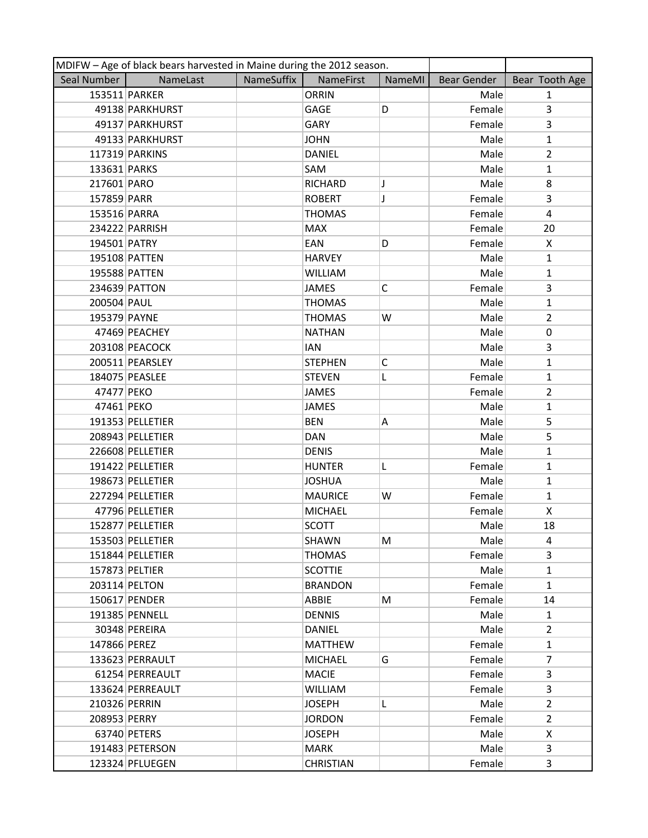|               | MDIFW - Age of black bears harvested in Maine during the 2012 season. |                   |                  |               |             |                |
|---------------|-----------------------------------------------------------------------|-------------------|------------------|---------------|-------------|----------------|
| Seal Number   | NameLast                                                              | <b>NameSuffix</b> | NameFirst        | <b>NameMI</b> | Bear Gender | Bear Tooth Age |
|               | 153511 PARKER                                                         |                   | <b>ORRIN</b>     |               | Male        | $\mathbf{1}$   |
|               | 49138 PARKHURST                                                       |                   | GAGE             | D             | Female      | 3              |
|               | 49137 PARKHURST                                                       |                   | GARY             |               | Female      | $\overline{3}$ |
|               | 49133 PARKHURST                                                       |                   | <b>JOHN</b>      |               | Male        | $\mathbf{1}$   |
|               | 117319 PARKINS                                                        |                   | <b>DANIEL</b>    |               | Male        | $\overline{2}$ |
| 133631 PARKS  |                                                                       |                   | SAM              |               | Male        | $\mathbf{1}$   |
| 217601 PARO   |                                                                       |                   | <b>RICHARD</b>   | J             | Male        | 8              |
| 157859 PARR   |                                                                       |                   | <b>ROBERT</b>    | J             | Female      | 3              |
| 153516 PARRA  |                                                                       |                   | <b>THOMAS</b>    |               | Female      | $\overline{4}$ |
|               | 234222 PARRISH                                                        |                   | <b>MAX</b>       |               | Female      | 20             |
| 194501 PATRY  |                                                                       |                   | EAN              | D             | Female      | X              |
|               | 195108 PATTEN                                                         |                   | <b>HARVEY</b>    |               | Male        | $\mathbf{1}$   |
|               | 195588 PATTEN                                                         |                   | <b>WILLIAM</b>   |               | Male        | $\mathbf{1}$   |
|               | 234639 PATTON                                                         |                   | <b>JAMES</b>     | C             | Female      | 3              |
| 200504 PAUL   |                                                                       |                   | <b>THOMAS</b>    |               | Male        | $\mathbf{1}$   |
| 195379 PAYNE  |                                                                       |                   | <b>THOMAS</b>    | W             | Male        | $\overline{2}$ |
|               | 47469 PEACHEY                                                         |                   | <b>NATHAN</b>    |               | Male        | 0              |
|               | 203108 PEACOCK                                                        |                   | <b>IAN</b>       |               | Male        | 3              |
|               | 200511 PEARSLEY                                                       |                   | <b>STEPHEN</b>   | $\mathsf{C}$  | Male        | $\mathbf{1}$   |
|               | 184075 PEASLEE                                                        |                   | <b>STEVEN</b>    | L             | Female      | $\mathbf{1}$   |
| 47477 PEKO    |                                                                       |                   | <b>JAMES</b>     |               | Female      | $\overline{2}$ |
| 47461 PEKO    |                                                                       |                   | <b>JAMES</b>     |               | Male        | $\mathbf{1}$   |
|               | 191353 PELLETIER                                                      |                   | <b>BEN</b>       | Α             | Male        | 5              |
|               | 208943 PELLETIER                                                      |                   | <b>DAN</b>       |               | Male        | 5              |
|               | 226608 PELLETIER                                                      |                   | <b>DENIS</b>     |               | Male        | $\mathbf{1}$   |
|               | 191422 PELLETIER                                                      |                   | <b>HUNTER</b>    | L             | Female      | $\mathbf{1}$   |
|               | 198673 PELLETIER                                                      |                   | <b>JOSHUA</b>    |               | Male        | $\mathbf{1}$   |
|               | 227294 PELLETIER                                                      |                   | <b>MAURICE</b>   | W             | Female      | $\mathbf{1}$   |
|               | 47796 PELLETIER                                                       |                   | <b>MICHAEL</b>   |               | Female      | X              |
|               | 152877 PELLETIER                                                      |                   | <b>SCOTT</b>     |               | Male        | 18             |
|               | 153503 PELLETIER                                                      |                   | <b>SHAWN</b>     | M             | Male        | 4              |
|               | 151844 PELLETIER                                                      |                   | THOMAS           |               | Female      | 3              |
|               | 157873 PELTIER                                                        |                   | <b>SCOTTIE</b>   |               | Male        | $\mathbf{1}$   |
|               | 203114 PELTON                                                         |                   | <b>BRANDON</b>   |               | Female      | $\mathbf{1}$   |
|               | 150617 PENDER                                                         |                   | ABBIE            | М             | Female      | 14             |
|               | 191385 PENNELL                                                        |                   | <b>DENNIS</b>    |               | Male        | $\mathbf{1}$   |
|               | 30348 PEREIRA                                                         |                   | <b>DANIEL</b>    |               | Male        | $\overline{2}$ |
| 147866 PEREZ  |                                                                       |                   | <b>MATTHEW</b>   |               | Female      | $\mathbf{1}$   |
|               | 133623 PERRAULT                                                       |                   | <b>MICHAEL</b>   | G             | Female      | $\overline{7}$ |
|               | 61254 PERREAULT                                                       |                   | <b>MACIE</b>     |               | Female      | 3              |
|               | 133624 PERREAULT                                                      |                   | WILLIAM          |               | Female      | 3              |
| 210326 PERRIN |                                                                       |                   | <b>JOSEPH</b>    | L             | Male        | $\overline{2}$ |
| 208953 PERRY  |                                                                       |                   | <b>JORDON</b>    |               | Female      | $\overline{2}$ |
|               | 63740 PETERS                                                          |                   | <b>JOSEPH</b>    |               | Male        | X              |
|               | 191483 PETERSON                                                       |                   | <b>MARK</b>      |               | Male        | 3              |
|               | 123324 PFLUEGEN                                                       |                   | <b>CHRISTIAN</b> |               | Female      | 3              |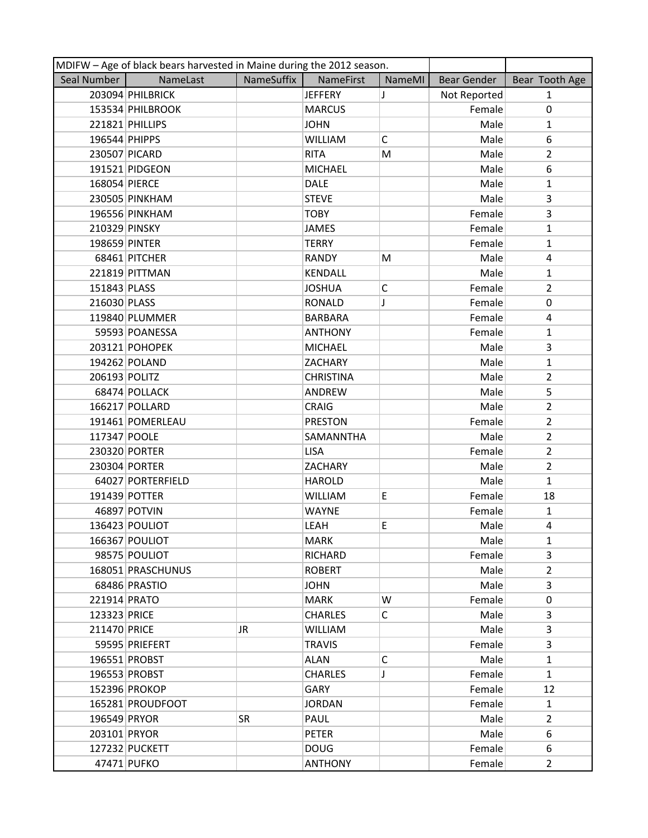|               | MDIFW - Age of black bears harvested in Maine during the 2012 season. |            |                  |              |              |                |
|---------------|-----------------------------------------------------------------------|------------|------------------|--------------|--------------|----------------|
| Seal Number   | NameLast                                                              | NameSuffix | NameFirst        | NameMI       | Bear Gender  | Bear Tooth Age |
|               | 203094 PHILBRICK                                                      |            | <b>JEFFERY</b>   | J            | Not Reported | $\mathbf{1}$   |
|               | 153534 PHILBROOK                                                      |            | <b>MARCUS</b>    |              | Female       | $\pmb{0}$      |
|               | 221821 PHILLIPS                                                       |            | <b>JOHN</b>      |              | Male         | $\mathbf{1}$   |
| 196544 PHIPPS |                                                                       |            | <b>WILLIAM</b>   | C            | Male         | 6              |
| 230507 PICARD |                                                                       |            | <b>RITA</b>      | M            | Male         | $\overline{2}$ |
|               | 191521 PIDGEON                                                        |            | <b>MICHAEL</b>   |              | Male         | 6              |
| 168054 PIERCE |                                                                       |            | <b>DALE</b>      |              | Male         | $\mathbf{1}$   |
|               | 230505 PINKHAM                                                        |            | <b>STEVE</b>     |              | Male         | 3              |
|               | 196556 PINKHAM                                                        |            | <b>TOBY</b>      |              | Female       | $\overline{3}$ |
| 210329 PINSKY |                                                                       |            | <b>JAMES</b>     |              | Female       | $\mathbf{1}$   |
| 198659 PINTER |                                                                       |            | <b>TERRY</b>     |              | Female       | $\mathbf{1}$   |
|               | 68461 PITCHER                                                         |            | <b>RANDY</b>     | M            | Male         | 4              |
|               | 221819 PITTMAN                                                        |            | <b>KENDALL</b>   |              | Male         | $\mathbf{1}$   |
| 151843 PLASS  |                                                                       |            | <b>JOSHUA</b>    | C            | Female       | $\overline{2}$ |
| 216030 PLASS  |                                                                       |            | <b>RONALD</b>    | T            | Female       | $\mathbf 0$    |
|               | 119840 PLUMMER                                                        |            | <b>BARBARA</b>   |              | Female       | 4              |
|               | 59593 POANESSA                                                        |            | <b>ANTHONY</b>   |              | Female       | 1              |
|               | 203121 POHOPEK                                                        |            | <b>MICHAEL</b>   |              | Male         | 3              |
|               | 194262 POLAND                                                         |            | ZACHARY          |              | Male         | $\mathbf{1}$   |
| 206193 POLITZ |                                                                       |            | <b>CHRISTINA</b> |              | Male         | $\overline{2}$ |
|               | 68474 POLLACK                                                         |            | ANDREW           |              | Male         | 5              |
|               | 166217 POLLARD                                                        |            | <b>CRAIG</b>     |              | Male         | $\overline{2}$ |
|               | 191461 POMERLEAU                                                      |            | <b>PRESTON</b>   |              | Female       | $\overline{2}$ |
| 117347 POOLE  |                                                                       |            | SAMANNTHA        |              | Male         | $\overline{2}$ |
|               | 230320 PORTER                                                         |            | <b>LISA</b>      |              | Female       | $\overline{2}$ |
|               | 230304 PORTER                                                         |            | ZACHARY          |              | Male         | $\overline{2}$ |
|               | 64027 PORTERFIELD                                                     |            | <b>HAROLD</b>    |              | Male         | $\mathbf{1}$   |
|               | 191439 POTTER                                                         |            | <b>WILLIAM</b>   | E            | Female       | 18             |
|               | 46897 POTVIN                                                          |            | <b>WAYNE</b>     |              | Female       | $\mathbf{1}$   |
|               | 136423 POULIOT                                                        |            | LEAH             | E            | Male         | 4              |
|               | 166367 POULIOT                                                        |            | <b>MARK</b>      |              | Male         | $\mathbf{1}$   |
|               | 98575 POULIOT                                                         |            | RICHARD          |              | Female       | 3              |
|               | 168051 PRASCHUNUS                                                     |            | <b>ROBERT</b>    |              | Male         | $\overline{2}$ |
|               | 68486 PRASTIO                                                         |            | <b>JOHN</b>      |              | Male         | 3              |
| 221914 PRATO  |                                                                       |            | <b>MARK</b>      | W            | Female       | 0              |
| 123323 PRICE  |                                                                       |            | <b>CHARLES</b>   | C            | Male         | $\overline{3}$ |
| 211470 PRICE  |                                                                       | JR         | <b>WILLIAM</b>   |              | Male         | 3              |
|               | 59595 PRIEFERT                                                        |            | <b>TRAVIS</b>    |              | Female       | 3              |
|               | 196551 PROBST                                                         |            | <b>ALAN</b>      | $\mathsf{C}$ | Male         | $\mathbf{1}$   |
|               | 196553 PROBST                                                         |            | <b>CHARLES</b>   | J            | Female       | $\mathbf{1}$   |
|               | 152396 PROKOP                                                         |            | <b>GARY</b>      |              | Female       | 12             |
|               | 165281 PROUDFOOT                                                      |            | <b>JORDAN</b>    |              | Female       | $\mathbf{1}$   |
| 196549 PRYOR  |                                                                       | <b>SR</b>  | PAUL             |              | Male         | $\overline{2}$ |
| 203101 PRYOR  |                                                                       |            | <b>PETER</b>     |              | Male         | 6              |
|               | 127232 PUCKETT                                                        |            | <b>DOUG</b>      |              | Female       | 6              |
|               | 47471 PUFKO                                                           |            | <b>ANTHONY</b>   |              | Female       | $\overline{2}$ |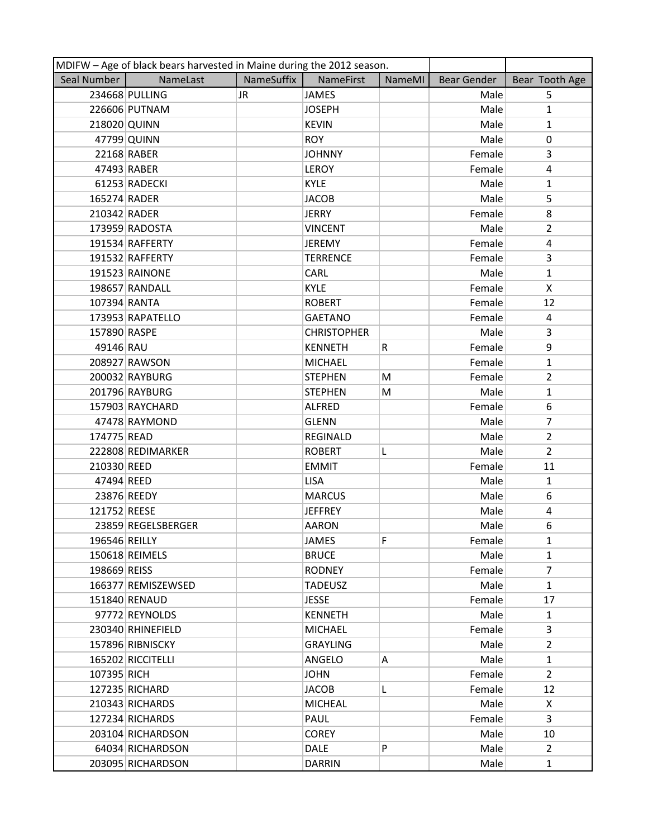| MDIFW - Age of black bears harvested in Maine during the 2012 season. |                    |            |                    |        |             |                       |  |
|-----------------------------------------------------------------------|--------------------|------------|--------------------|--------|-------------|-----------------------|--|
| Seal Number                                                           | NameLast           | NameSuffix | NameFirst          | NameMI | Bear Gender | Bear Tooth Age        |  |
|                                                                       | 234668 PULLING     | JR.        | <b>JAMES</b>       |        | Male        | 5                     |  |
|                                                                       | 226606 PUTNAM      |            | <b>JOSEPH</b>      |        | Male        | $\mathbf{1}$          |  |
| 218020 QUINN                                                          |                    |            | <b>KEVIN</b>       |        | Male        | $\mathbf{1}$          |  |
|                                                                       | 47799 QUINN        |            | <b>ROY</b>         |        | Male        | 0                     |  |
|                                                                       | 22168 RABER        |            | <b>JOHNNY</b>      |        | Female      | 3                     |  |
|                                                                       | 47493 RABER        |            | <b>LEROY</b>       |        | Female      | 4                     |  |
|                                                                       | 61253 RADECKI      |            | <b>KYLE</b>        |        | Male        | $\mathbf{1}$          |  |
| 165274 RADER                                                          |                    |            | <b>JACOB</b>       |        | Male        | 5                     |  |
| 210342 RADER                                                          |                    |            | <b>JERRY</b>       |        | Female      | 8                     |  |
|                                                                       | 173959 RADOSTA     |            | <b>VINCENT</b>     |        | Male        | $\overline{2}$        |  |
|                                                                       | 191534 RAFFERTY    |            | <b>JEREMY</b>      |        | Female      | 4                     |  |
|                                                                       | 191532 RAFFERTY    |            | <b>TERRENCE</b>    |        | Female      | $\overline{3}$        |  |
|                                                                       | 191523 RAINONE     |            | CARL               |        | Male        | $\mathbf{1}$          |  |
|                                                                       | 198657 RANDALL     |            | <b>KYLE</b>        |        | Female      | X                     |  |
| 107394 RANTA                                                          |                    |            | <b>ROBERT</b>      |        | Female      | 12                    |  |
|                                                                       | 173953 RAPATELLO   |            | <b>GAETANO</b>     |        | Female      | $\overline{4}$        |  |
| 157890 RASPE                                                          |                    |            | <b>CHRISTOPHER</b> |        | Male        | 3                     |  |
| 49146 RAU                                                             |                    |            | <b>KENNETH</b>     | R      | Female      | 9                     |  |
|                                                                       | 208927 RAWSON      |            | <b>MICHAEL</b>     |        | Female      | $\mathbf{1}$          |  |
|                                                                       | 200032 RAYBURG     |            | <b>STEPHEN</b>     | М      | Female      | $\overline{2}$        |  |
|                                                                       | 201796 RAYBURG     |            | <b>STEPHEN</b>     | M      | Male        | $\mathbf{1}$          |  |
|                                                                       | 157903 RAYCHARD    |            | <b>ALFRED</b>      |        | Female      | 6                     |  |
|                                                                       | 47478 RAYMOND      |            | <b>GLENN</b>       |        | Male        | 7                     |  |
| 174775 READ                                                           |                    |            | <b>REGINALD</b>    |        | Male        | $\overline{2}$        |  |
|                                                                       | 222808 REDIMARKER  |            | <b>ROBERT</b>      | L      | Male        | $\overline{2}$        |  |
| 210330 REED                                                           |                    |            | <b>EMMIT</b>       |        | Female      | 11                    |  |
| 47494 REED                                                            |                    |            | <b>LISA</b>        |        | Male        | $\mathbf{1}$          |  |
|                                                                       | 23876 REEDY        |            | <b>MARCUS</b>      |        | Male        | 6                     |  |
| 121752 REESE                                                          |                    |            | <b>JEFFREY</b>     |        | Male        | 4                     |  |
|                                                                       | 23859 REGELSBERGER |            | <b>AARON</b>       |        | Male        | 6                     |  |
| 196546 REILLY                                                         |                    |            | JAMES              | F      | Female      | $\mathbf{1}$          |  |
|                                                                       | 150618 REIMELS     |            | <b>BRUCE</b>       |        | Male        | $\mathbf{1}$          |  |
| 198669 REISS                                                          |                    |            | <b>RODNEY</b>      |        | Female      | $\overline{7}$        |  |
|                                                                       | 166377 REMISZEWSED |            | <b>TADEUSZ</b>     |        | Male        | $\mathbf{1}$          |  |
|                                                                       | 151840 RENAUD      |            | <b>JESSE</b>       |        | Female      | 17                    |  |
|                                                                       | 97772 REYNOLDS     |            | <b>KENNETH</b>     |        | Male        | $\mathbf{1}$          |  |
|                                                                       | 230340 RHINEFIELD  |            | <b>MICHAEL</b>     |        | Female      | 3                     |  |
|                                                                       | 157896 RIBNISCKY   |            | <b>GRAYLING</b>    |        | Male        | $\mathbf{2}^{\prime}$ |  |
|                                                                       | 165202 RICCITELLI  |            | ANGELO             | Α      | Male        | $\mathbf{1}$          |  |
| 107395 RICH                                                           |                    |            | <b>JOHN</b>        |        | Female      | $\overline{2}$        |  |
|                                                                       | 127235 RICHARD     |            | <b>JACOB</b>       | L      | Female      | 12                    |  |
|                                                                       | 210343 RICHARDS    |            | <b>MICHEAL</b>     |        | Male        | X                     |  |
|                                                                       | 127234 RICHARDS    |            | PAUL               |        | Female      | 3                     |  |
|                                                                       | 203104 RICHARDSON  |            | <b>COREY</b>       |        | Male        | 10                    |  |
|                                                                       | 64034 RICHARDSON   |            | <b>DALE</b>        | P      | Male        | $\overline{2}$        |  |
|                                                                       | 203095 RICHARDSON  |            | <b>DARRIN</b>      |        | Male        | $\mathbf{1}$          |  |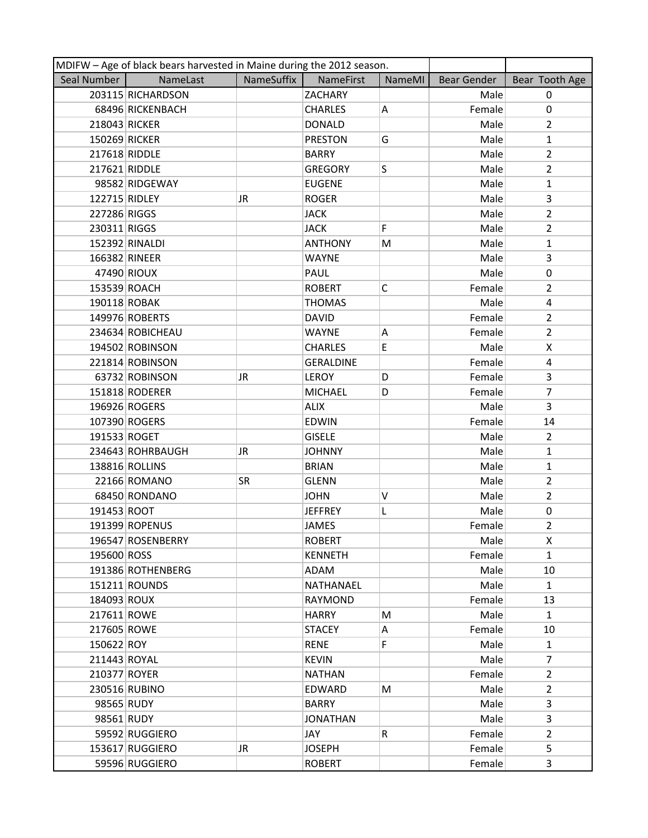|               | MDIFW - Age of black bears harvested in Maine during the 2012 season. |            |                  |        |                    |                |
|---------------|-----------------------------------------------------------------------|------------|------------------|--------|--------------------|----------------|
| Seal Number   | NameLast                                                              | NameSuffix | NameFirst        | NameMI | <b>Bear Gender</b> | Bear Tooth Age |
|               | 203115 RICHARDSON                                                     |            | ZACHARY          |        | Male               | $\Omega$       |
|               | 68496 RICKENBACH                                                      |            | <b>CHARLES</b>   | Α      | Female             | $\pmb{0}$      |
| 218043 RICKER |                                                                       |            | <b>DONALD</b>    |        | Male               | $\overline{2}$ |
| 150269 RICKER |                                                                       |            | <b>PRESTON</b>   | G      | Male               | $\mathbf{1}$   |
| 217618 RIDDLE |                                                                       |            | <b>BARRY</b>     |        | Male               | $\overline{2}$ |
| 217621 RIDDLE |                                                                       |            | <b>GREGORY</b>   | S      | Male               | $\overline{2}$ |
|               | 98582 RIDGEWAY                                                        |            | <b>EUGENE</b>    |        | Male               | $\mathbf{1}$   |
| 122715 RIDLEY |                                                                       | JR         | <b>ROGER</b>     |        | Male               | 3              |
| 227286 RIGGS  |                                                                       |            | <b>JACK</b>      |        | Male               | $\overline{2}$ |
| 230311 RIGGS  |                                                                       |            | <b>JACK</b>      | F      | Male               | $\overline{2}$ |
|               | 152392 RINALDI                                                        |            | <b>ANTHONY</b>   | M      | Male               | $\mathbf{1}$   |
| 166382 RINEER |                                                                       |            | <b>WAYNE</b>     |        | Male               | $\overline{3}$ |
|               | 47490 RIOUX                                                           |            | PAUL             |        | Male               | $\pmb{0}$      |
| 153539 ROACH  |                                                                       |            | <b>ROBERT</b>    | C      | Female             | $\overline{2}$ |
| 190118 ROBAK  |                                                                       |            | <b>THOMAS</b>    |        | Male               | 4              |
|               | 149976 ROBERTS                                                        |            | <b>DAVID</b>     |        | Female             | $\overline{2}$ |
|               | 234634 ROBICHEAU                                                      |            | <b>WAYNE</b>     | А      | Female             | $\overline{2}$ |
|               | 194502 ROBINSON                                                       |            | <b>CHARLES</b>   | E,     | Male               | X              |
|               | 221814 ROBINSON                                                       |            | <b>GERALDINE</b> |        | Female             | 4              |
|               | 63732 ROBINSON                                                        | JR         | <b>LEROY</b>     | D      | Female             | 3              |
|               | 151818 RODERER                                                        |            | <b>MICHAEL</b>   | D      | Female             | $\overline{7}$ |
|               | 196926 ROGERS                                                         |            | <b>ALIX</b>      |        | Male               | 3              |
|               | 107390 ROGERS                                                         |            | <b>EDWIN</b>     |        | Female             | 14             |
| 191533 ROGET  |                                                                       |            | <b>GISELE</b>    |        | Male               | $\overline{2}$ |
|               | 234643 ROHRBAUGH                                                      | JR         | <b>JOHNNY</b>    |        | Male               | $\mathbf{1}$   |
|               | 138816 ROLLINS                                                        |            | <b>BRIAN</b>     |        | Male               | $\mathbf{1}$   |
|               | 22166 ROMANO                                                          | <b>SR</b>  | <b>GLENN</b>     |        | Male               | $\overline{2}$ |
|               | 68450 RONDANO                                                         |            | <b>JOHN</b>      | V      | Male               | $\overline{2}$ |
| 191453 ROOT   |                                                                       |            | <b>JEFFREY</b>   | L      | Male               | 0              |
|               | 191399 ROPENUS                                                        |            | <b>JAMES</b>     |        | Female             | $\overline{2}$ |
|               | 196547 ROSENBERRY                                                     |            | <b>ROBERT</b>    |        | Male               | X              |
| 195600 ROSS   |                                                                       |            | <b>KENNETH</b>   |        | Female             | $\mathbf{1}$   |
|               | 191386 ROTHENBERG                                                     |            | ADAM             |        | Male               | 10             |
|               | 151211 ROUNDS                                                         |            | NATHANAEL        |        | Male               | $\mathbf{1}$   |
| 184093 ROUX   |                                                                       |            | RAYMOND          |        | Female             | 13             |
| 217611 ROWE   |                                                                       |            | <b>HARRY</b>     | M      | Male               | $\mathbf{1}$   |
| 217605 ROWE   |                                                                       |            | <b>STACEY</b>    | A      | Female             | 10             |
| 150622 ROY    |                                                                       |            | <b>RENE</b>      | F.     | Male               | $\mathbf{1}$   |
| 211443 ROYAL  |                                                                       |            | <b>KEVIN</b>     |        | Male               | $\overline{7}$ |
| 210377 ROYER  |                                                                       |            | <b>NATHAN</b>    |        | Female             | $\overline{2}$ |
|               | 230516 RUBINO                                                         |            | EDWARD           | M      | Male               | $\overline{2}$ |
| 98565 RUDY    |                                                                       |            | <b>BARRY</b>     |        | Male               | 3              |
| 98561 RUDY    |                                                                       |            | <b>JONATHAN</b>  |        | Male               | 3              |
|               | 59592 RUGGIERO                                                        |            | JAY              | R      | Female             | $\overline{2}$ |
|               | 153617 RUGGIERO                                                       | JR         | <b>JOSEPH</b>    |        | Female             | 5              |
|               | 59596 RUGGIERO                                                        |            | <b>ROBERT</b>    |        | Female             | 3              |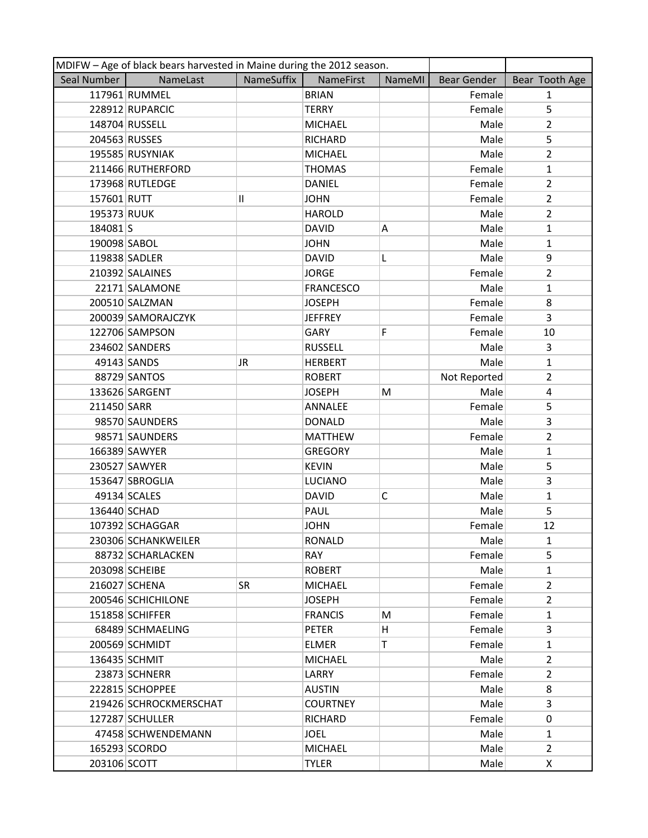|               | MDIFW - Age of black bears harvested in Maine during the 2012 season. |            |                  |              |              |                |
|---------------|-----------------------------------------------------------------------|------------|------------------|--------------|--------------|----------------|
| Seal Number   | NameLast                                                              | NameSuffix | <b>NameFirst</b> | NameMI       | Bear Gender  | Bear Tooth Age |
|               | 117961 RUMMEL                                                         |            | <b>BRIAN</b>     |              | Female       | $\mathbf{1}$   |
|               | 228912 RUPARCIC                                                       |            | <b>TERRY</b>     |              | Female       | 5              |
|               | 148704 RUSSELL                                                        |            | <b>MICHAEL</b>   |              | Male         | $\overline{2}$ |
| 204563 RUSSES |                                                                       |            | <b>RICHARD</b>   |              | Male         | 5              |
|               | 195585 RUSYNIAK                                                       |            | <b>MICHAEL</b>   |              | Male         | $\overline{2}$ |
|               | 211466 RUTHERFORD                                                     |            | <b>THOMAS</b>    |              | Female       | $\mathbf{1}$   |
|               | 173968 RUTLEDGE                                                       |            | <b>DANIEL</b>    |              | Female       | $\overline{2}$ |
| 157601 RUTT   |                                                                       | Ш          | <b>JOHN</b>      |              | Female       | $\overline{2}$ |
| 195373 RUUK   |                                                                       |            | <b>HAROLD</b>    |              | Male         | $\overline{2}$ |
| 184081S       |                                                                       |            | <b>DAVID</b>     | Α            | Male         | $\mathbf{1}$   |
| 190098 SABOL  |                                                                       |            | <b>JOHN</b>      |              | Male         | $\mathbf{1}$   |
|               | 119838 SADLER                                                         |            | <b>DAVID</b>     | L            | Male         | 9              |
|               | 210392 SALAINES                                                       |            | <b>JORGE</b>     |              | Female       | $\overline{2}$ |
|               | 22171 SALAMONE                                                        |            | <b>FRANCESCO</b> |              | Male         | $\mathbf{1}$   |
|               | 200510 SALZMAN                                                        |            | <b>JOSEPH</b>    |              | Female       | 8              |
|               | 200039 SAMORAJCZYK                                                    |            | <b>JEFFREY</b>   |              | Female       | 3              |
|               | 122706 SAMPSON                                                        |            | GARY             | F            | Female       | 10             |
|               | 234602 SANDERS                                                        |            | <b>RUSSELL</b>   |              | Male         | 3              |
|               | 49143 SANDS                                                           | JR         | <b>HERBERT</b>   |              | Male         | $\mathbf{1}$   |
|               | 88729 SANTOS                                                          |            | <b>ROBERT</b>    |              | Not Reported | $\overline{2}$ |
|               | 133626 SARGENT                                                        |            | <b>JOSEPH</b>    | M            | Male         | $\overline{4}$ |
| 211450 SARR   |                                                                       |            | ANNALEE          |              | Female       | 5              |
|               | 98570 SAUNDERS                                                        |            | <b>DONALD</b>    |              | Male         | 3              |
|               | 98571 SAUNDERS                                                        |            | <b>MATTHEW</b>   |              | Female       | $\overline{2}$ |
|               | 166389 SAWYER                                                         |            | <b>GREGORY</b>   |              | Male         | $\mathbf{1}$   |
|               | 230527 SAWYER                                                         |            | <b>KEVIN</b>     |              | Male         | 5              |
|               | 153647 SBROGLIA                                                       |            | <b>LUCIANO</b>   |              | Male         | 3              |
|               | 49134 SCALES                                                          |            | <b>DAVID</b>     | $\mathsf{C}$ | Male         | $\mathbf{1}$   |
| 136440 SCHAD  |                                                                       |            | PAUL             |              | Male         | 5              |
|               | 107392 SCHAGGAR                                                       |            | <b>JOHN</b>      |              | Female       | 12             |
|               | 230306 SCHANKWEILER                                                   |            | <b>RONALD</b>    |              | Male         | $\mathbf{1}$   |
|               | 88732 SCHARLACKEN                                                     |            | <b>RAY</b>       |              | Female       | 5              |
|               | 203098 SCHEIBE                                                        |            | <b>ROBERT</b>    |              | Male         | $\mathbf{1}$   |
|               | 216027 SCHENA                                                         | <b>SR</b>  | <b>MICHAEL</b>   |              | Female       | $\overline{2}$ |
|               | 200546 SCHICHILONE                                                    |            | <b>JOSEPH</b>    |              | Female       | $\overline{2}$ |
|               | 151858 SCHIFFER                                                       |            | <b>FRANCIS</b>   | M            | Female       | $\mathbf{1}$   |
|               | 68489 SCHMAELING                                                      |            | <b>PETER</b>     | н            | Female       | 3              |
|               | 200569 SCHMIDT                                                        |            | <b>ELMER</b>     | Τ            | Female       | $\mathbf{1}$   |
|               | 136435 SCHMIT                                                         |            | <b>MICHAEL</b>   |              | Male         | $\overline{2}$ |
|               | 23873 SCHNERR                                                         |            | LARRY            |              | Female       | $\overline{2}$ |
|               | 222815 SCHOPPEE                                                       |            | <b>AUSTIN</b>    |              | Male         | 8              |
|               | 219426 SCHROCKMERSCHAT                                                |            | <b>COURTNEY</b>  |              | Male         | $\overline{3}$ |
|               | 127287 SCHULLER                                                       |            | <b>RICHARD</b>   |              | Female       | 0              |
|               | 47458 SCHWENDEMANN                                                    |            | <b>JOEL</b>      |              | Male         | $\mathbf{1}$   |
|               | 165293 SCORDO                                                         |            | <b>MICHAEL</b>   |              | Male         | $\overline{2}$ |
| 203106 SCOTT  |                                                                       |            | <b>TYLER</b>     |              | Male         | X              |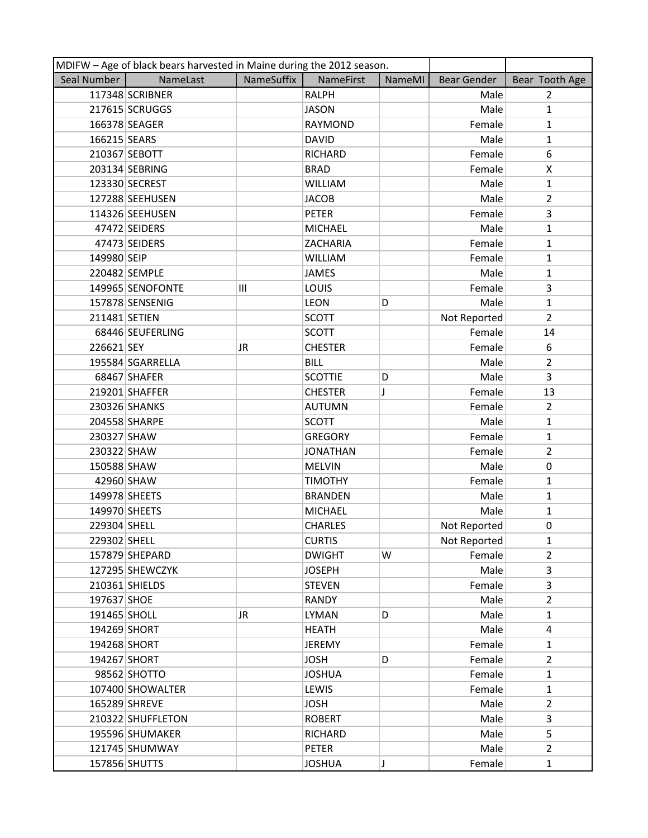| MDIFW - Age of black bears harvested in Maine during the 2012 season. |                   |            |                  |               |                    |                |
|-----------------------------------------------------------------------|-------------------|------------|------------------|---------------|--------------------|----------------|
| Seal Number                                                           | NameLast          | NameSuffix | <b>NameFirst</b> | <b>NameMI</b> | <b>Bear Gender</b> | Bear Tooth Age |
|                                                                       | 117348 SCRIBNER   |            | <b>RALPH</b>     |               | Male               | $\overline{2}$ |
|                                                                       | 217615 SCRUGGS    |            | <b>JASON</b>     |               | Male               | $\mathbf{1}$   |
|                                                                       | 166378 SEAGER     |            | <b>RAYMOND</b>   |               | Female             | $\mathbf{1}$   |
| 166215 SEARS                                                          |                   |            | <b>DAVID</b>     |               | Male               | $\mathbf{1}$   |
|                                                                       | 210367 SEBOTT     |            | <b>RICHARD</b>   |               | Female             | 6              |
|                                                                       | 203134 SEBRING    |            | <b>BRAD</b>      |               | Female             | X              |
|                                                                       | 123330 SECREST    |            | <b>WILLIAM</b>   |               | Male               | $\mathbf{1}$   |
|                                                                       | 127288 SEEHUSEN   |            | <b>JACOB</b>     |               | Male               | $\overline{2}$ |
|                                                                       | 114326 SEEHUSEN   |            | <b>PETER</b>     |               | Female             | 3              |
|                                                                       | 47472 SEIDERS     |            | <b>MICHAEL</b>   |               | Male               | $\mathbf{1}$   |
|                                                                       | 47473 SEIDERS     |            | ZACHARIA         |               | Female             | $\mathbf{1}$   |
| 149980 SEIP                                                           |                   |            | <b>WILLIAM</b>   |               | Female             | $\mathbf{1}$   |
|                                                                       | 220482 SEMPLE     |            | <b>JAMES</b>     |               | Male               | $\mathbf{1}$   |
|                                                                       | 149965 SENOFONTE  | Ш          | <b>LOUIS</b>     |               | Female             | 3              |
|                                                                       | 157878 SENSENIG   |            | <b>LEON</b>      | D             | Male               | $\mathbf{1}$   |
| 211481 SETIEN                                                         |                   |            | <b>SCOTT</b>     |               | Not Reported       | $\overline{2}$ |
|                                                                       | 68446 SEUFERLING  |            | <b>SCOTT</b>     |               | Female             | 14             |
| 226621 SEY                                                            |                   | JR.        | <b>CHESTER</b>   |               | Female             | 6              |
|                                                                       | 195584 SGARRELLA  |            | <b>BILL</b>      |               | Male               | $\overline{2}$ |
|                                                                       | 68467 SHAFER      |            | <b>SCOTTIE</b>   | D             | Male               | 3              |
|                                                                       | 219201 SHAFFER    |            | <b>CHESTER</b>   | T             | Female             | 13             |
|                                                                       | 230326 SHANKS     |            | <b>AUTUMN</b>    |               | Female             | $\overline{2}$ |
|                                                                       | 204558 SHARPE     |            | <b>SCOTT</b>     |               | Male               | $\mathbf{1}$   |
| 230327 SHAW                                                           |                   |            | <b>GREGORY</b>   |               | Female             | $\mathbf{1}$   |
| 230322 SHAW                                                           |                   |            | <b>JONATHAN</b>  |               | Female             | $\overline{2}$ |
| 150588 SHAW                                                           |                   |            | <b>MELVIN</b>    |               | Male               | 0              |
|                                                                       | 42960 SHAW        |            | <b>TIMOTHY</b>   |               | Female             | $\mathbf{1}$   |
| 149978 SHEETS                                                         |                   |            | <b>BRANDEN</b>   |               | Male               | $\mathbf{1}$   |
| 149970 SHEETS                                                         |                   |            | <b>MICHAEL</b>   |               | Male               | $\mathbf{1}$   |
| 229304 SHELL                                                          |                   |            | <b>CHARLES</b>   |               | Not Reported       | $\mathbf 0$    |
| 229302 SHELL                                                          |                   |            | <b>CURTIS</b>    |               | Not Reported       | $\mathbf{1}$   |
|                                                                       | 157879 SHEPARD    |            | <b>DWIGHT</b>    | W             | Female             | $\overline{2}$ |
|                                                                       | 127295 SHEWCZYK   |            | <b>JOSEPH</b>    |               | Male               | 3              |
|                                                                       | 210361 SHIELDS    |            | <b>STEVEN</b>    |               | Female             | 3              |
| 197637 SHOE                                                           |                   |            | <b>RANDY</b>     |               | Male               | $\overline{2}$ |
| 191465 SHOLL                                                          |                   | JR.        | <b>LYMAN</b>     | D             | Male               | $\mathbf{1}$   |
| 194269 SHORT                                                          |                   |            | <b>HEATH</b>     |               | Male               | 4              |
| 194268 SHORT                                                          |                   |            | <b>JEREMY</b>    |               | Female             | 1              |
| 194267 SHORT                                                          |                   |            | <b>JOSH</b>      | D             | Female             | $\overline{2}$ |
|                                                                       | 98562 SHOTTO      |            | <b>JOSHUA</b>    |               | Female             | $\mathbf{1}$   |
|                                                                       | 107400 SHOWALTER  |            | LEWIS            |               | Female             | $\mathbf{1}$   |
|                                                                       | 165289 SHREVE     |            | <b>JOSH</b>      |               | Male               | $\overline{2}$ |
|                                                                       | 210322 SHUFFLETON |            | <b>ROBERT</b>    |               | Male               | 3              |
|                                                                       | 195596 SHUMAKER   |            | RICHARD          |               | Male               | 5              |
|                                                                       | 121745 SHUMWAY    |            | PETER            |               | Male               | $\overline{2}$ |
|                                                                       | 157856 SHUTTS     |            | <b>JOSHUA</b>    | J             | Female             | $\mathbf{1}$   |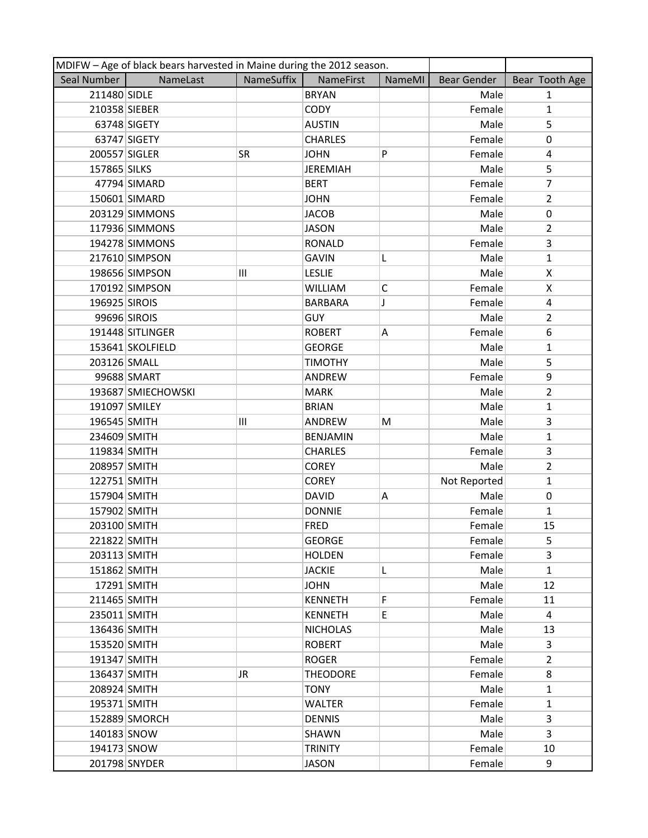| MDIFW - Age of black bears harvested in Maine during the 2012 season. |                    |            |                 |              |                    |                |
|-----------------------------------------------------------------------|--------------------|------------|-----------------|--------------|--------------------|----------------|
| Seal Number                                                           | NameLast           | NameSuffix | NameFirst       | NameMI       | <b>Bear Gender</b> | Bear Tooth Age |
| 211480 SIDLE                                                          |                    |            | <b>BRYAN</b>    |              | Male               | $\mathbf{1}$   |
| 210358 SIEBER                                                         |                    |            | <b>CODY</b>     |              | Female             | $\mathbf{1}$   |
|                                                                       | 63748 SIGETY       |            | <b>AUSTIN</b>   |              | Male               | 5              |
|                                                                       | 63747 SIGETY       |            | <b>CHARLES</b>  |              | Female             | 0              |
| 200557 SIGLER                                                         |                    | SR         | <b>JOHN</b>     | P            | Female             | 4              |
| 157865 SILKS                                                          |                    |            | <b>JEREMIAH</b> |              | Male               | 5              |
|                                                                       | 47794 SIMARD       |            | <b>BERT</b>     |              | Female             | $\overline{7}$ |
|                                                                       | 150601 SIMARD      |            | <b>JOHN</b>     |              | Female             | $\overline{2}$ |
|                                                                       | 203129 SIMMONS     |            | <b>JACOB</b>    |              | Male               | $\pmb{0}$      |
|                                                                       | 117936 SIMMONS     |            | <b>JASON</b>    |              | Male               | $\overline{2}$ |
|                                                                       | 194278 SIMMONS     |            | <b>RONALD</b>   |              | Female             | 3              |
|                                                                       | 217610 SIMPSON     |            | <b>GAVIN</b>    | L            | Male               | $\mathbf{1}$   |
|                                                                       | 198656 SIMPSON     | Ш          | <b>LESLIE</b>   |              | Male               | X              |
|                                                                       | 170192 SIMPSON     |            | <b>WILLIAM</b>  | $\mathsf{C}$ | Female             | X              |
| 196925 SIROIS                                                         |                    |            | <b>BARBARA</b>  | J            | Female             | $\overline{4}$ |
|                                                                       | 99696 SIROIS       |            | <b>GUY</b>      |              | Male               | $\overline{2}$ |
|                                                                       | 191448 SITLINGER   |            | <b>ROBERT</b>   | Α            | Female             | 6              |
|                                                                       | 153641 SKOLFIELD   |            | <b>GEORGE</b>   |              | Male               | $\mathbf{1}$   |
| 203126 SMALL                                                          |                    |            | <b>TIMOTHY</b>  |              | Male               | 5              |
|                                                                       | 99688 SMART        |            | ANDREW          |              | Female             | 9              |
|                                                                       | 193687 SMIECHOWSKI |            | <b>MARK</b>     |              | Male               | $\overline{2}$ |
| 191097 SMILEY                                                         |                    |            | <b>BRIAN</b>    |              | Male               | $\mathbf{1}$   |
| 196545 SMITH                                                          |                    | Ш          | ANDREW          | M            | Male               | 3              |
| 234609 SMITH                                                          |                    |            | <b>BENJAMIN</b> |              | Male               | $\mathbf{1}$   |
| 119834 SMITH                                                          |                    |            | <b>CHARLES</b>  |              | Female             | 3              |
| 208957 SMITH                                                          |                    |            | <b>COREY</b>    |              | Male               | $\overline{2}$ |
| 122751 SMITH                                                          |                    |            | <b>COREY</b>    |              | Not Reported       | $\mathbf{1}$   |
| 157904 SMITH                                                          |                    |            | <b>DAVID</b>    | Α            | Male               | $\pmb{0}$      |
| 157902 SMITH                                                          |                    |            | <b>DONNIE</b>   |              | Female             | $\mathbf{1}$   |
| 203100 SMITH                                                          |                    |            | <b>FRED</b>     |              | Female             | 15             |
| 221822 SMITH                                                          |                    |            | <b>GEORGE</b>   |              | Female             | 5              |
| 203113 SMITH                                                          |                    |            | <b>HOLDEN</b>   |              | Female             | 3              |
| 151862 SMITH                                                          |                    |            | <b>JACKIE</b>   | L            | Male               | $\mathbf{1}$   |
|                                                                       | 17291 SMITH        |            | <b>JOHN</b>     |              | Male               | 12             |
| 211465 SMITH                                                          |                    |            | <b>KENNETH</b>  | F            | Female             | 11             |
| 235011 SMITH                                                          |                    |            | <b>KENNETH</b>  | E            | Male               | 4              |
| 136436 SMITH                                                          |                    |            | <b>NICHOLAS</b> |              | Male               | 13             |
| 153520 SMITH                                                          |                    |            | <b>ROBERT</b>   |              | Male               | 3              |
| 191347 SMITH                                                          |                    |            | <b>ROGER</b>    |              | Female             | $\overline{2}$ |
| 136437 SMITH                                                          |                    | JR         | <b>THEODORE</b> |              | Female             | 8              |
| 208924 SMITH                                                          |                    |            | <b>TONY</b>     |              | Male               | $\mathbf{1}$   |
| 195371 SMITH                                                          |                    |            | <b>WALTER</b>   |              | Female             | $\mathbf{1}$   |
|                                                                       | 152889 SMORCH      |            | <b>DENNIS</b>   |              | Male               | 3              |
| 140183 SNOW                                                           |                    |            | SHAWN           |              | Male               | 3              |
| 194173 SNOW                                                           |                    |            | <b>TRINITY</b>  |              | Female             | 10             |
|                                                                       | 201798 SNYDER      |            | <b>JASON</b>    |              | Female             | 9              |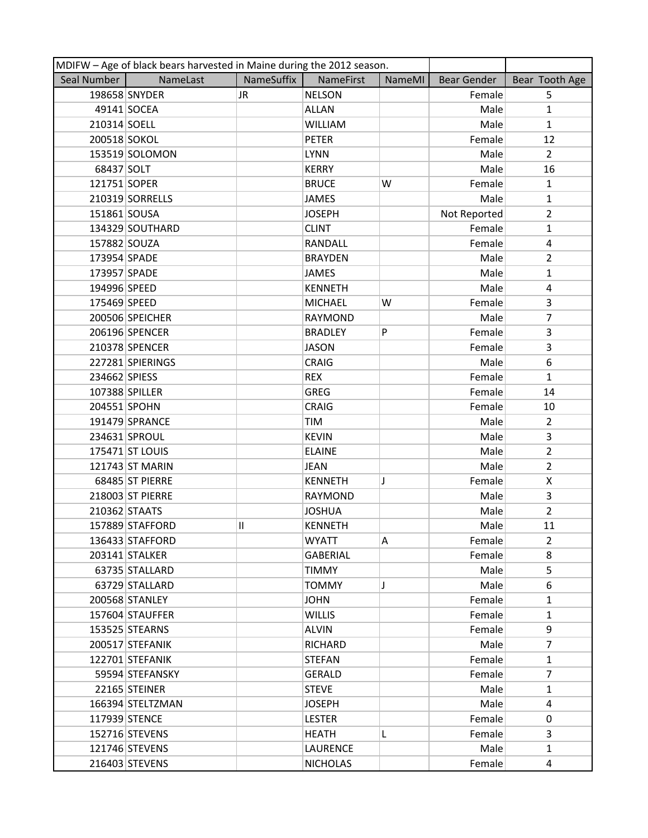| MDIFW - Age of black bears harvested in Maine during the 2012 season. |                  |            |                 |               |              |                |  |
|-----------------------------------------------------------------------|------------------|------------|-----------------|---------------|--------------|----------------|--|
| Seal Number                                                           | NameLast         | NameSuffix | NameFirst       | <b>NameMI</b> | Bear Gender  | Bear Tooth Age |  |
|                                                                       | 198658 SNYDER    | JR.        | <b>NELSON</b>   |               | Female       | 5              |  |
|                                                                       | 49141 SOCEA      |            | <b>ALLAN</b>    |               | Male         | $\mathbf{1}$   |  |
| 210314 SOELL                                                          |                  |            | WILLIAM         |               | Male         | $\mathbf{1}$   |  |
| 200518 SOKOL                                                          |                  |            | <b>PETER</b>    |               | Female       | 12             |  |
|                                                                       | 153519 SOLOMON   |            | <b>LYNN</b>     |               | Male         | $\overline{2}$ |  |
| 68437 SOLT                                                            |                  |            | <b>KERRY</b>    |               | Male         | 16             |  |
| 121751 SOPER                                                          |                  |            | <b>BRUCE</b>    | W             | Female       | $\mathbf{1}$   |  |
|                                                                       | 210319 SORRELLS  |            | JAMES           |               | Male         | $\mathbf{1}$   |  |
| 151861 SOUSA                                                          |                  |            | <b>JOSEPH</b>   |               | Not Reported | $\overline{2}$ |  |
|                                                                       | 134329 SOUTHARD  |            | <b>CLINT</b>    |               | Female       | $\mathbf{1}$   |  |
| 157882 SOUZA                                                          |                  |            | RANDALL         |               | Female       | 4              |  |
| 173954 SPADE                                                          |                  |            | <b>BRAYDEN</b>  |               | Male         | $\overline{2}$ |  |
| 173957 SPADE                                                          |                  |            | JAMES           |               | Male         | $\mathbf{1}$   |  |
| 194996 SPEED                                                          |                  |            | <b>KENNETH</b>  |               | Male         | 4              |  |
| 175469 SPEED                                                          |                  |            | <b>MICHAEL</b>  | W             | Female       | 3              |  |
|                                                                       | 200506 SPEICHER  |            | RAYMOND         |               | Male         | $\overline{7}$ |  |
|                                                                       | 206196 SPENCER   |            | <b>BRADLEY</b>  | P             | Female       | 3              |  |
|                                                                       | 210378 SPENCER   |            | <b>JASON</b>    |               | Female       | 3              |  |
|                                                                       | 227281 SPIERINGS |            | <b>CRAIG</b>    |               | Male         | 6              |  |
| 234662 SPIESS                                                         |                  |            | <b>REX</b>      |               | Female       | $\mathbf{1}$   |  |
|                                                                       | 107388 SPILLER   |            | <b>GREG</b>     |               | Female       | 14             |  |
| 204551 SPOHN                                                          |                  |            | <b>CRAIG</b>    |               | Female       | 10             |  |
|                                                                       | 191479 SPRANCE   |            | TIM             |               | Male         | $\overline{2}$ |  |
|                                                                       | 234631 SPROUL    |            | <b>KEVIN</b>    |               | Male         | 3              |  |
|                                                                       | 175471 ST LOUIS  |            | <b>ELAINE</b>   |               | Male         | $\overline{2}$ |  |
|                                                                       | 121743 ST MARIN  |            | <b>JEAN</b>     |               | Male         | $\overline{2}$ |  |
|                                                                       | 68485 ST PIERRE  |            | <b>KENNETH</b>  | J             | Female       | X              |  |
|                                                                       | 218003 ST PIERRE |            | <b>RAYMOND</b>  |               | Male         | 3              |  |
|                                                                       | 210362 STAATS    |            | <b>JOSHUA</b>   |               | Male         | $\overline{2}$ |  |
|                                                                       | 157889 STAFFORD  | 11         | <b>KENNETH</b>  |               | Male         | 11             |  |
|                                                                       | 136433 STAFFORD  |            | <b>WYATT</b>    | А             | Female       | 2              |  |
|                                                                       | 203141 STALKER   |            | <b>GABERIAL</b> |               | Female       | 8              |  |
|                                                                       | 63735 STALLARD   |            | <b>TIMMY</b>    |               | Male         | 5              |  |
|                                                                       | 63729 STALLARD   |            | <b>TOMMY</b>    | J             | Male         | 6              |  |
|                                                                       | 200568 STANLEY   |            | <b>JOHN</b>     |               | Female       | $\mathbf{1}$   |  |
|                                                                       | 157604 STAUFFER  |            | <b>WILLIS</b>   |               | Female       | $\mathbf{1}$   |  |
|                                                                       | 153525 STEARNS   |            | <b>ALVIN</b>    |               | Female       | 9              |  |
|                                                                       | 200517 STEFANIK  |            | <b>RICHARD</b>  |               | Male         | 7              |  |
|                                                                       | 122701 STEFANIK  |            | STEFAN          |               | Female       | $\mathbf{1}$   |  |
|                                                                       | 59594 STEFANSKY  |            | <b>GERALD</b>   |               | Female       | 7              |  |
|                                                                       | 22165 STEINER    |            | <b>STEVE</b>    |               | Male         | $\mathbf{1}$   |  |
|                                                                       | 166394 STELTZMAN |            | <b>JOSEPH</b>   |               | Male         | 4              |  |
|                                                                       | 117939 STENCE    |            | <b>LESTER</b>   |               | Female       | 0              |  |
|                                                                       | 152716 STEVENS   |            | <b>HEATH</b>    | L             | Female       | 3              |  |
|                                                                       | 121746 STEVENS   |            | LAURENCE        |               | Male         | $\mathbf{1}$   |  |
|                                                                       | 216403 STEVENS   |            | <b>NICHOLAS</b> |               | Female       | 4              |  |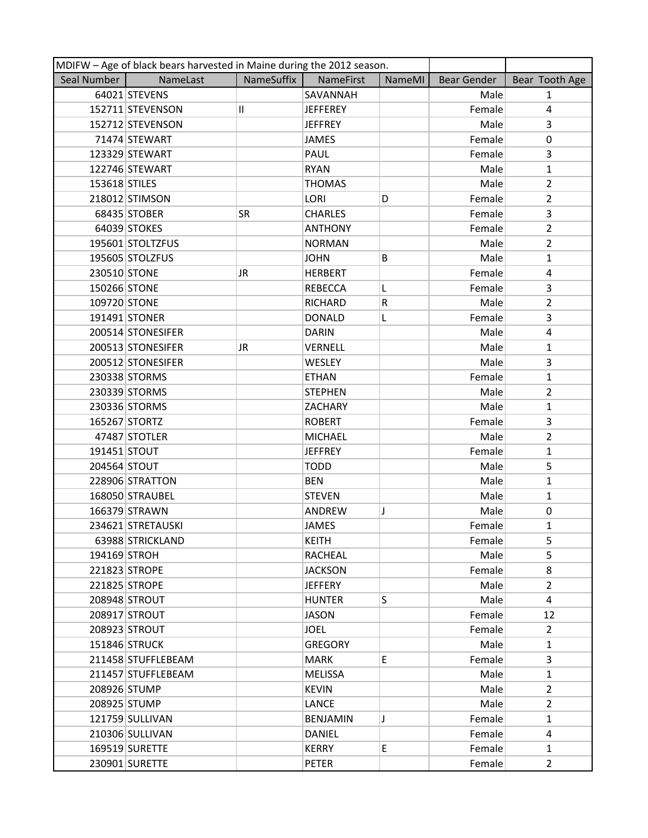| MDIFW - Age of black bears harvested in Maine during the 2012 season. |                    |               |                  |        |                    |                |
|-----------------------------------------------------------------------|--------------------|---------------|------------------|--------|--------------------|----------------|
| Seal Number                                                           | NameLast           | NameSuffix    | <b>NameFirst</b> | NameMI | <b>Bear Gender</b> | Bear Tooth Age |
|                                                                       | 64021 STEVENS      |               | SAVANNAH         |        | Male               | 1              |
|                                                                       | 152711 STEVENSON   | $\mathbf{II}$ | <b>JEFFEREY</b>  |        | Female             | 4              |
|                                                                       | 152712 STEVENSON   |               | <b>JEFFREY</b>   |        | Male               | 3              |
|                                                                       | 71474 STEWART      |               | <b>JAMES</b>     |        | Female             | 0              |
|                                                                       | 123329 STEWART     |               | PAUL             |        | Female             | 3              |
|                                                                       | 122746 STEWART     |               | <b>RYAN</b>      |        | Male               | $\mathbf{1}$   |
| 153618 STILES                                                         |                    |               | <b>THOMAS</b>    |        | Male               | $\overline{2}$ |
|                                                                       | 218012 STIMSON     |               | LORI             | D      | Female             | $\overline{2}$ |
|                                                                       | 68435 STOBER       | <b>SR</b>     | <b>CHARLES</b>   |        | Female             | 3              |
|                                                                       | 64039 STOKES       |               | <b>ANTHONY</b>   |        | Female             | $\overline{2}$ |
|                                                                       | 195601 STOLTZFUS   |               | <b>NORMAN</b>    |        | Male               | $\overline{2}$ |
|                                                                       | 195605 STOLZFUS    |               | <b>JOHN</b>      | B      | Male               | $\mathbf{1}$   |
| 230510 STONE                                                          |                    | <b>JR</b>     | <b>HERBERT</b>   |        | Female             | 4              |
| 150266 STONE                                                          |                    |               | <b>REBECCA</b>   | L      | Female             | 3              |
| 109720 STONE                                                          |                    |               | RICHARD          | R      | Male               | $\overline{2}$ |
|                                                                       | 191491 STONER      |               | <b>DONALD</b>    | L      | Female             | 3              |
|                                                                       | 200514 STONESIFER  |               | <b>DARIN</b>     |        | Male               | 4              |
|                                                                       | 200513 STONESIFER  | JR            | VERNELL          |        | Male               | $\mathbf{1}$   |
|                                                                       | 200512 STONESIFER  |               | <b>WESLEY</b>    |        | Male               | 3              |
|                                                                       | 230338 STORMS      |               | <b>ETHAN</b>     |        | Female             | $\mathbf{1}$   |
|                                                                       | 230339 STORMS      |               | <b>STEPHEN</b>   |        | Male               | $\overline{2}$ |
|                                                                       | 230336 STORMS      |               | <b>ZACHARY</b>   |        | Male               | 1              |
|                                                                       | 165267 STORTZ      |               | <b>ROBERT</b>    |        | Female             | 3              |
|                                                                       | 47487 STOTLER      |               | <b>MICHAEL</b>   |        | Male               | $\overline{2}$ |
| 191451 STOUT                                                          |                    |               | <b>JEFFREY</b>   |        | Female             | 1              |
| 204564 STOUT                                                          |                    |               | <b>TODD</b>      |        | Male               | 5              |
|                                                                       | 228906 STRATTON    |               | <b>BEN</b>       |        | Male               | $\mathbf{1}$   |
|                                                                       | 168050 STRAUBEL    |               | <b>STEVEN</b>    |        | Male               | 1              |
|                                                                       | 166379 STRAWN      |               | ANDREW           | J      | Male               | 0              |
|                                                                       | 234621 STRETAUSKI  |               | <b>JAMES</b>     |        | Female             | $\mathbf{1}$   |
|                                                                       | 63988 STRICKLAND   |               | <b>KEITH</b>     |        | Female             | 5              |
| 194169 STROH                                                          |                    |               | RACHEAL          |        | Male               | 5              |
|                                                                       | 221823 STROPE      |               | <b>JACKSON</b>   |        | Female             | 8              |
|                                                                       | 221825 STROPE      |               | <b>JEFFERY</b>   |        | Male               | $\overline{2}$ |
|                                                                       | 208948 STROUT      |               | <b>HUNTER</b>    | S.     | Male               | 4              |
|                                                                       | 208917 STROUT      |               | <b>JASON</b>     |        | Female             | 12             |
|                                                                       | 208923 STROUT      |               | JOEL             |        | Female             | $\overline{2}$ |
|                                                                       | 151846 STRUCK      |               | <b>GREGORY</b>   |        | Male               | $\mathbf{1}$   |
|                                                                       | 211458 STUFFLEBEAM |               | <b>MARK</b>      | E      | Female             | 3              |
|                                                                       | 211457 STUFFLEBEAM |               | MELISSA          |        | Male               | $\mathbf{1}$   |
|                                                                       | 208926 STUMP       |               | <b>KEVIN</b>     |        | Male               | $\mathbf{2}$   |
|                                                                       | 208925 STUMP       |               | LANCE            |        | Male               | $\overline{2}$ |
|                                                                       | 121759 SULLIVAN    |               | <b>BENJAMIN</b>  | J      | Female             | $\mathbf{1}$   |
|                                                                       | 210306 SULLIVAN    |               | DANIEL           |        | Female             | 4              |
|                                                                       | 169519 SURETTE     |               | <b>KERRY</b>     | E      | Female             | $\mathbf{1}$   |
|                                                                       | 230901 SURETTE     |               | PETER            |        | Female             | $\overline{2}$ |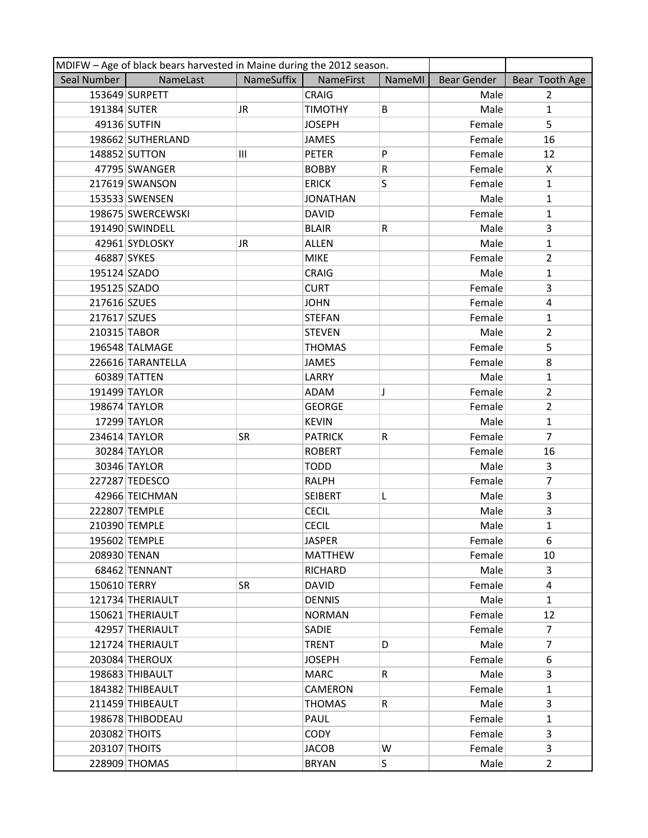| MDIFW - Age of black bears harvested in Maine during the 2012 season. |                   |            |                  |        |             |                |  |
|-----------------------------------------------------------------------|-------------------|------------|------------------|--------|-------------|----------------|--|
| Seal Number                                                           | NameLast          | NameSuffix | <b>NameFirst</b> | NameMI | Bear Gender | Bear Tooth Age |  |
|                                                                       | 153649 SURPETT    |            | <b>CRAIG</b>     |        | Male        | $\overline{2}$ |  |
| 191384 SUTER                                                          |                   | JR         | <b>TIMOTHY</b>   | B      | Male        | $\mathbf{1}$   |  |
|                                                                       | 49136 SUTFIN      |            | <b>JOSEPH</b>    |        | Female      | 5              |  |
|                                                                       | 198662 SUTHERLAND |            | <b>JAMES</b>     |        | Female      | 16             |  |
|                                                                       | 148852 SUTTON     | Ш          | <b>PETER</b>     | P      | Female      | 12             |  |
|                                                                       | 47795 SWANGER     |            | <b>BOBBY</b>     | R      | Female      | X              |  |
|                                                                       | 217619 SWANSON    |            | <b>ERICK</b>     | S      | Female      | $\mathbf{1}$   |  |
|                                                                       | 153533 SWENSEN    |            | <b>JONATHAN</b>  |        | Male        | $\mathbf{1}$   |  |
|                                                                       | 198675 SWERCEWSKI |            | <b>DAVID</b>     |        | Female      | $\mathbf{1}$   |  |
|                                                                       | 191490 SWINDELL   |            | <b>BLAIR</b>     | R      | Male        | 3              |  |
|                                                                       | 42961 SYDLOSKY    | JR.        | <b>ALLEN</b>     |        | Male        | $\mathbf{1}$   |  |
| 46887 SYKES                                                           |                   |            | <b>MIKE</b>      |        | Female      | $\overline{2}$ |  |
| 195124 SZADO                                                          |                   |            | <b>CRAIG</b>     |        | Male        | $\mathbf{1}$   |  |
| 195125 SZADO                                                          |                   |            | <b>CURT</b>      |        | Female      | $\overline{3}$ |  |
| 217616 SZUES                                                          |                   |            | <b>JOHN</b>      |        | Female      | $\overline{4}$ |  |
| 217617 SZUES                                                          |                   |            | <b>STEFAN</b>    |        | Female      | $\mathbf{1}$   |  |
| 210315 TABOR                                                          |                   |            | <b>STEVEN</b>    |        | Male        | $\overline{2}$ |  |
|                                                                       | 196548 TALMAGE    |            | <b>THOMAS</b>    |        | Female      | 5              |  |
|                                                                       | 226616 TARANTELLA |            | JAMES            |        | Female      | 8              |  |
|                                                                       | 60389 TATTEN      |            | LARRY            |        | Male        | $\mathbf{1}$   |  |
|                                                                       | 191499 TAYLOR     |            | <b>ADAM</b>      | J      | Female      | $\overline{2}$ |  |
|                                                                       | 198674 TAYLOR     |            | <b>GEORGE</b>    |        | Female      | $\overline{2}$ |  |
|                                                                       | 17299 TAYLOR      |            | <b>KEVIN</b>     |        | Male        | $\mathbf{1}$   |  |
|                                                                       | 234614 TAYLOR     | <b>SR</b>  | <b>PATRICK</b>   | R      | Female      | $\overline{7}$ |  |
|                                                                       | 30284 TAYLOR      |            | <b>ROBERT</b>    |        | Female      | 16             |  |
|                                                                       | 30346 TAYLOR      |            | <b>TODD</b>      |        | Male        | 3              |  |
|                                                                       | 227287 TEDESCO    |            | <b>RALPH</b>     |        | Female      | 7              |  |
|                                                                       | 42966 TEICHMAN    |            | <b>SEIBERT</b>   | L      | Male        | 3              |  |
|                                                                       | 222807 TEMPLE     |            | <b>CECIL</b>     |        | Male        | 3              |  |
|                                                                       | 210390 TEMPLE     |            | <b>CECIL</b>     |        | Male        | $\mathbf{1}$   |  |
|                                                                       | 195602 TEMPLE     |            | <b>JASPER</b>    |        | Female      | 6              |  |
| 208930 TENAN                                                          |                   |            | <b>MATTHEW</b>   |        | Female      | 10             |  |
|                                                                       | 68462 TENNANT     |            | <b>RICHARD</b>   |        | Male        | 3              |  |
| 150610 TERRY                                                          |                   | <b>SR</b>  | <b>DAVID</b>     |        | Female      | 4              |  |
|                                                                       | 121734 THERIAULT  |            | <b>DENNIS</b>    |        | Male        | $\mathbf{1}$   |  |
|                                                                       | 150621 THERIAULT  |            | <b>NORMAN</b>    |        | Female      | 12             |  |
|                                                                       | 42957 THERIAULT   |            | <b>SADIE</b>     |        | Female      | $\overline{7}$ |  |
|                                                                       | 121724 THERIAULT  |            | <b>TRENT</b>     | D      | Male        | $\overline{7}$ |  |
|                                                                       | 203084 THEROUX    |            | <b>JOSEPH</b>    |        | Female      | 6              |  |
|                                                                       | 198683 THIBAULT   |            | <b>MARC</b>      | R      | Male        | 3              |  |
|                                                                       | 184382 THIBEAULT  |            | <b>CAMERON</b>   |        | Female      | $\mathbf{1}$   |  |
|                                                                       | 211459 THIBEAULT  |            | <b>THOMAS</b>    | R      | Male        | 3              |  |
|                                                                       | 198678 THIBODEAU  |            | PAUL             |        | Female      | $\mathbf{1}$   |  |
| 203082 THOITS                                                         |                   |            | <b>CODY</b>      |        | Female      | 3              |  |
| 203107 THOITS                                                         |                   |            | <b>JACOB</b>     | W      | Female      | 3              |  |
|                                                                       | 228909 THOMAS     |            | <b>BRYAN</b>     | S      | Male        | $\overline{2}$ |  |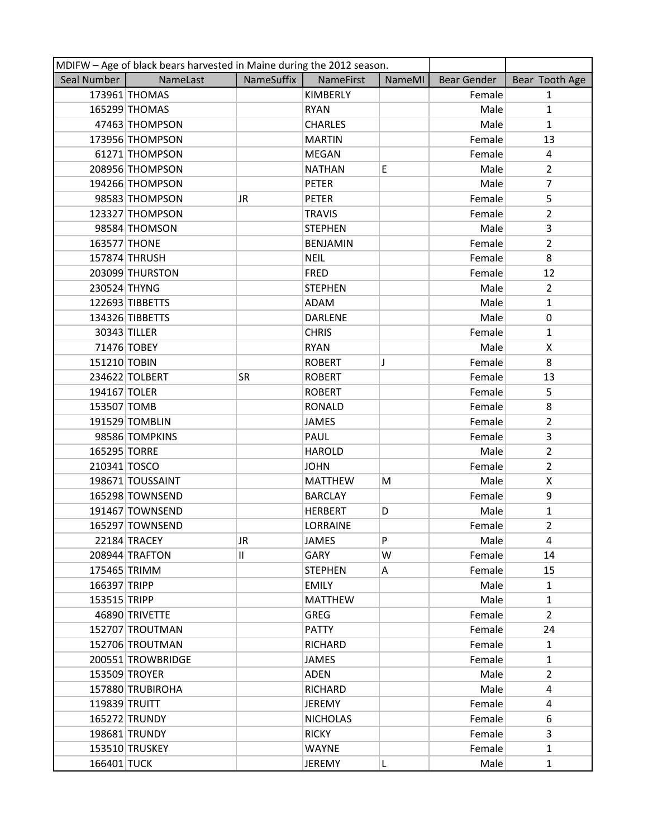| MDIFW - Age of black bears harvested in Maine during the 2012 season. |                   |                   |                 |        |             |                |  |
|-----------------------------------------------------------------------|-------------------|-------------------|-----------------|--------|-------------|----------------|--|
| Seal Number                                                           | NameLast          | <b>NameSuffix</b> | NameFirst       | NameMI | Bear Gender | Bear Tooth Age |  |
|                                                                       | 173961 THOMAS     |                   | KIMBERLY        |        | Female      | $\mathbf{1}$   |  |
|                                                                       | 165299 THOMAS     |                   | <b>RYAN</b>     |        | Male        | $\mathbf{1}$   |  |
|                                                                       | 47463 THOMPSON    |                   | <b>CHARLES</b>  |        | Male        | $\mathbf{1}$   |  |
|                                                                       | 173956 THOMPSON   |                   | <b>MARTIN</b>   |        | Female      | 13             |  |
|                                                                       | 61271 THOMPSON    |                   | <b>MEGAN</b>    |        | Female      | 4              |  |
|                                                                       | 208956 THOMPSON   |                   | <b>NATHAN</b>   | E      | Male        | $\overline{2}$ |  |
|                                                                       | 194266 THOMPSON   |                   | <b>PETER</b>    |        | Male        | 7              |  |
|                                                                       | 98583 THOMPSON    | JR                | <b>PETER</b>    |        | Female      | 5              |  |
|                                                                       | 123327 THOMPSON   |                   | <b>TRAVIS</b>   |        | Female      | $\overline{2}$ |  |
|                                                                       | 98584 THOMSON     |                   | <b>STEPHEN</b>  |        | Male        | 3              |  |
| 163577 THONE                                                          |                   |                   | <b>BENJAMIN</b> |        | Female      | $\overline{2}$ |  |
|                                                                       | 157874 THRUSH     |                   | <b>NEIL</b>     |        | Female      | 8              |  |
|                                                                       | 203099 THURSTON   |                   | <b>FRED</b>     |        | Female      | 12             |  |
| 230524 THYNG                                                          |                   |                   | <b>STEPHEN</b>  |        | Male        | $\overline{2}$ |  |
|                                                                       | 122693 TIBBETTS   |                   | <b>ADAM</b>     |        | Male        | $\mathbf{1}$   |  |
|                                                                       | 134326 TIBBETTS   |                   | <b>DARLENE</b>  |        | Male        | $\mathbf 0$    |  |
| 30343 TILLER                                                          |                   |                   | <b>CHRIS</b>    |        | Female      | $\mathbf{1}$   |  |
|                                                                       | 71476 TOBEY       |                   | <b>RYAN</b>     |        | Male        | X              |  |
| 151210 TOBIN                                                          |                   |                   | <b>ROBERT</b>   | J      | Female      | 8              |  |
|                                                                       | 234622 TOLBERT    | <b>SR</b>         | <b>ROBERT</b>   |        | Female      | 13             |  |
| 194167 TOLER                                                          |                   |                   | <b>ROBERT</b>   |        | Female      | 5              |  |
| 153507 TOMB                                                           |                   |                   | <b>RONALD</b>   |        | Female      | 8              |  |
|                                                                       | 191529 TOMBLIN    |                   | JAMES           |        | Female      | $\overline{2}$ |  |
|                                                                       | 98586 TOMPKINS    |                   | PAUL            |        | Female      | 3              |  |
| 165295 TORRE                                                          |                   |                   | <b>HAROLD</b>   |        | Male        | $\overline{2}$ |  |
| 210341 TOSCO                                                          |                   |                   | <b>JOHN</b>     |        | Female      | $\overline{2}$ |  |
|                                                                       | 198671 TOUSSAINT  |                   | <b>MATTHEW</b>  | Μ      | Male        | X              |  |
|                                                                       | 165298 TOWNSEND   |                   | <b>BARCLAY</b>  |        | Female      | 9              |  |
|                                                                       | 191467 TOWNSEND   |                   | <b>HERBERT</b>  | D      | Male        | $\mathbf{1}$   |  |
|                                                                       | 165297 TOWNSEND   |                   | <b>LORRAINE</b> |        | Female      | $\overline{2}$ |  |
|                                                                       | 22184 TRACEY      | JR                | JAMES           | P      | Male        | 4              |  |
|                                                                       | 208944 TRAFTON    | Ш.                | GARY            | W      | Female      | 14             |  |
| 175465 TRIMM                                                          |                   |                   | <b>STEPHEN</b>  | Α      | Female      | 15             |  |
| 166397 TRIPP                                                          |                   |                   | <b>EMILY</b>    |        | Male        | 1              |  |
| 153515 TRIPP                                                          |                   |                   | <b>MATTHEW</b>  |        | Male        | $\mathbf{1}$   |  |
|                                                                       | 46890 TRIVETTE    |                   | <b>GREG</b>     |        | Female      | $\overline{2}$ |  |
|                                                                       | 152707 TROUTMAN   |                   | <b>PATTY</b>    |        | Female      | 24             |  |
|                                                                       | 152706 TROUTMAN   |                   | <b>RICHARD</b>  |        | Female      | $\mathbf{1}$   |  |
|                                                                       | 200551 TROWBRIDGE |                   | <b>JAMES</b>    |        | Female      | $\mathbf{1}$   |  |
|                                                                       | 153509 TROYER     |                   | ADEN            |        | Male        | $\overline{2}$ |  |
|                                                                       | 157880 TRUBIROHA  |                   | <b>RICHARD</b>  |        | Male        | 4              |  |
| 119839 TRUITT                                                         |                   |                   | <b>JEREMY</b>   |        | Female      | 4              |  |
|                                                                       | 165272 TRUNDY     |                   | <b>NICHOLAS</b> |        | Female      | 6              |  |
|                                                                       | 198681 TRUNDY     |                   | <b>RICKY</b>    |        | Female      | 3              |  |
|                                                                       | 153510 TRUSKEY    |                   | <b>WAYNE</b>    |        | Female      | $\mathbf{1}$   |  |
| 166401 TUCK                                                           |                   |                   | <b>JEREMY</b>   | L      | Male        | $\mathbf{1}$   |  |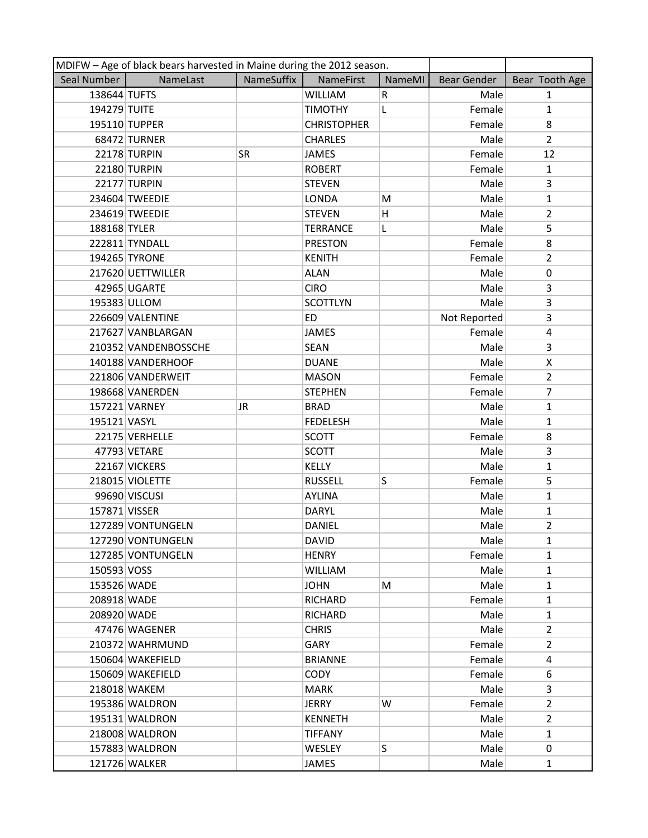| MDIFW - Age of black bears harvested in Maine during the 2012 season. |                      |            |                    |        |              |                |
|-----------------------------------------------------------------------|----------------------|------------|--------------------|--------|--------------|----------------|
| Seal Number                                                           | NameLast             | NameSuffix | <b>NameFirst</b>   | NameMI | Bear Gender  | Bear Tooth Age |
| 138644 TUFTS                                                          |                      |            | <b>WILLIAM</b>     | R      | Male         | $\mathbf{1}$   |
| 194279 TUITE                                                          |                      |            | <b>TIMOTHY</b>     | L      | Female       | $\mathbf{1}$   |
|                                                                       | 195110 TUPPER        |            | <b>CHRISTOPHER</b> |        | Female       | 8              |
|                                                                       | 68472 TURNER         |            | <b>CHARLES</b>     |        | Male         | $\overline{2}$ |
|                                                                       | <b>22178 TURPIN</b>  | <b>SR</b>  | <b>JAMES</b>       |        | Female       | 12             |
|                                                                       | 22180 TURPIN         |            | <b>ROBERT</b>      |        | Female       | $\mathbf{1}$   |
|                                                                       | <b>22177 TURPIN</b>  |            | <b>STEVEN</b>      |        | Male         | 3              |
|                                                                       | 234604 TWEEDIE       |            | <b>LONDA</b>       | M      | Male         | $\mathbf{1}$   |
|                                                                       | 234619 TWEEDIE       |            | <b>STEVEN</b>      | н      | Male         | $\overline{2}$ |
| 188168 TYLER                                                          |                      |            | <b>TERRANCE</b>    | L      | Male         | 5              |
|                                                                       | 222811 TYNDALL       |            | <b>PRESTON</b>     |        | Female       | 8              |
|                                                                       | 194265 TYRONE        |            | <b>KENITH</b>      |        | Female       | $\overline{2}$ |
|                                                                       | 217620 UETTWILLER    |            | <b>ALAN</b>        |        | Male         | $\mathbf 0$    |
|                                                                       | 42965 UGARTE         |            | <b>CIRO</b>        |        | Male         | 3              |
| 195383 ULLOM                                                          |                      |            | <b>SCOTTLYN</b>    |        | Male         | 3              |
|                                                                       | 226609 VALENTINE     |            | ED                 |        | Not Reported | 3              |
|                                                                       | 217627 VANBLARGAN    |            | <b>JAMES</b>       |        | Female       | 4              |
|                                                                       | 210352 VANDENBOSSCHE |            | <b>SEAN</b>        |        | Male         | 3              |
|                                                                       | 140188 VANDERHOOF    |            | <b>DUANE</b>       |        | Male         | X              |
|                                                                       | 221806 VANDERWEIT    |            | <b>MASON</b>       |        | Female       | $\overline{2}$ |
|                                                                       | 198668 VANERDEN      |            | <b>STEPHEN</b>     |        | Female       | $\overline{7}$ |
|                                                                       | 157221 VARNEY        | JR         | <b>BRAD</b>        |        | Male         | $\mathbf{1}$   |
| 195121 VASYL                                                          |                      |            | <b>FEDELESH</b>    |        | Male         | $\mathbf{1}$   |
|                                                                       | 22175 VERHELLE       |            | <b>SCOTT</b>       |        | Female       | 8              |
|                                                                       | 47793 VETARE         |            | <b>SCOTT</b>       |        | Male         | 3              |
|                                                                       | 22167 VICKERS        |            | <b>KELLY</b>       |        | Male         | $\mathbf{1}$   |
|                                                                       | 218015 VIOLETTE      |            | <b>RUSSELL</b>     | S      | Female       | 5              |
|                                                                       | 99690 VISCUSI        |            | <b>AYLINA</b>      |        | Male         | $\mathbf{1}$   |
| 157871 VISSER                                                         |                      |            | <b>DARYL</b>       |        | Male         | 1              |
|                                                                       | 127289 VONTUNGELN    |            | <b>DANIEL</b>      |        | Male         | $\overline{2}$ |
|                                                                       | 127290 VONTUNGELN    |            | <b>DAVID</b>       |        | Male         | $\mathbf{1}$   |
|                                                                       | 127285 VONTUNGELN    |            | <b>HENRY</b>       |        | Female       | $\mathbf{1}$   |
| 150593 VOSS                                                           |                      |            | <b>WILLIAM</b>     |        | Male         | $\mathbf{1}$   |
| 153526 WADE                                                           |                      |            | <b>JOHN</b>        | M      | Male         | $\mathbf{1}$   |
| 208918 WADE                                                           |                      |            | <b>RICHARD</b>     |        | Female       | $\mathbf{1}$   |
| 208920 WADE                                                           |                      |            | <b>RICHARD</b>     |        | Male         | $\mathbf{1}$   |
|                                                                       | 47476 WAGENER        |            | <b>CHRIS</b>       |        | Male         | $\overline{2}$ |
|                                                                       | 210372 WAHRMUND      |            | <b>GARY</b>        |        | Female       | $\overline{2}$ |
|                                                                       | 150604 WAKEFIELD     |            | <b>BRIANNE</b>     |        | Female       | 4              |
|                                                                       | 150609 WAKEFIELD     |            | <b>CODY</b>        |        | Female       | 6              |
|                                                                       | 218018 WAKEM         |            | <b>MARK</b>        |        | Male         | 3              |
|                                                                       | 195386 WALDRON       |            | JERRY              | W      | Female       | $\overline{2}$ |
|                                                                       | 195131 WALDRON       |            | <b>KENNETH</b>     |        | Male         | $\overline{2}$ |
|                                                                       | 218008 WALDRON       |            | <b>TIFFANY</b>     |        | Male         | $\mathbf{1}$   |
|                                                                       | 157883 WALDRON       |            | <b>WESLEY</b>      | S      | Male         | $\Omega$       |
|                                                                       | 121726 WALKER        |            | JAMES              |        | Male         | $\mathbf{1}$   |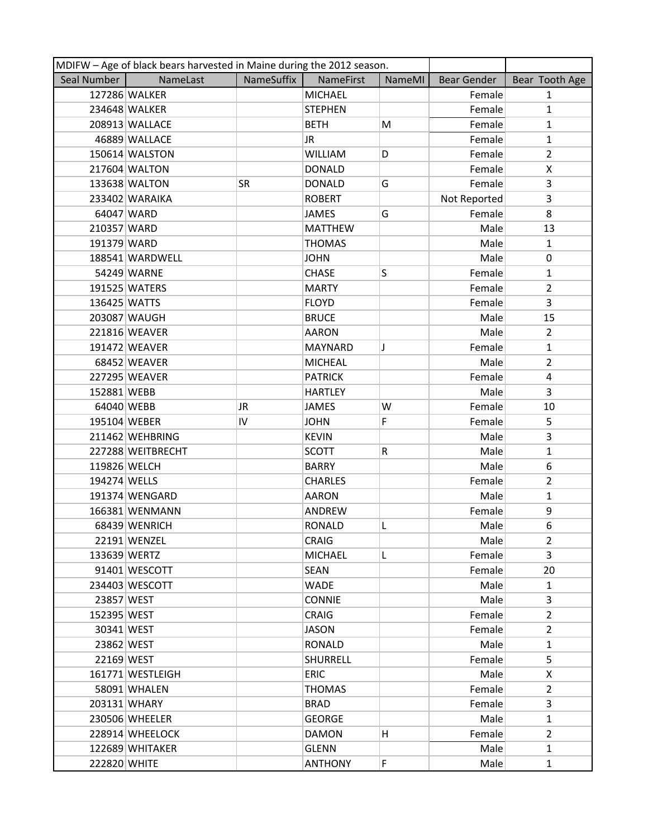| MDIFW - Age of black bears harvested in Maine during the 2012 season. |                   |            |                |        |              |                |
|-----------------------------------------------------------------------|-------------------|------------|----------------|--------|--------------|----------------|
| Seal Number                                                           | NameLast          | NameSuffix | NameFirst      | NameMI | Bear Gender  | Bear Tooth Age |
|                                                                       | 127286 WALKER     |            | <b>MICHAEL</b> |        | Female       | $\mathbf{1}$   |
|                                                                       | 234648 WALKER     |            | <b>STEPHEN</b> |        | Female       | $\mathbf{1}$   |
|                                                                       | 208913 WALLACE    |            | <b>BETH</b>    | M      | Female       | $\mathbf{1}$   |
|                                                                       | 46889 WALLACE     |            | JR.            |        | Female       | $\mathbf{1}$   |
|                                                                       | 150614 WALSTON    |            | <b>WILLIAM</b> | D      | Female       | $\overline{2}$ |
|                                                                       | 217604 WALTON     |            | <b>DONALD</b>  |        | Female       | X              |
|                                                                       | 133638 WALTON     | <b>SR</b>  | <b>DONALD</b>  | G      | Female       | 3              |
|                                                                       | 233402 WARAIKA    |            | <b>ROBERT</b>  |        | Not Reported | 3              |
|                                                                       | 64047 WARD        |            | <b>JAMES</b>   | G      | Female       | 8              |
| 210357 WARD                                                           |                   |            | <b>MATTHEW</b> |        | Male         | 13             |
| 191379 WARD                                                           |                   |            | <b>THOMAS</b>  |        | Male         | $\mathbf{1}$   |
|                                                                       | 188541 WARDWELL   |            | <b>JOHN</b>    |        | Male         | 0              |
|                                                                       | 54249 WARNE       |            | <b>CHASE</b>   | S      | Female       | $\mathbf{1}$   |
|                                                                       | 191525 WATERS     |            | <b>MARTY</b>   |        | Female       | $\overline{2}$ |
| 136425 WATTS                                                          |                   |            | <b>FLOYD</b>   |        | Female       | $\overline{3}$ |
|                                                                       | 203087 WAUGH      |            | <b>BRUCE</b>   |        | Male         | 15             |
|                                                                       | 221816 WEAVER     |            | <b>AARON</b>   |        | Male         | $\overline{2}$ |
|                                                                       | 191472 WEAVER     |            | <b>MAYNARD</b> | J      | Female       | $\mathbf{1}$   |
|                                                                       | 68452 WEAVER      |            | <b>MICHEAL</b> |        | Male         | $\overline{2}$ |
|                                                                       | 227295 WEAVER     |            | <b>PATRICK</b> |        | Female       | 4              |
| 152881 WEBB                                                           |                   |            | <b>HARTLEY</b> |        | Male         | 3              |
| 64040 WEBB                                                            |                   | JR         | <b>JAMES</b>   | W      | Female       | 10             |
| 195104 WEBER                                                          |                   | IV         | <b>JOHN</b>    | F.     | Female       | 5              |
|                                                                       | 211462 WEHBRING   |            | <b>KEVIN</b>   |        | Male         | 3              |
|                                                                       | 227288 WEITBRECHT |            | <b>SCOTT</b>   | R      | Male         | 1              |
| 119826 WELCH                                                          |                   |            | <b>BARRY</b>   |        | Male         | 6              |
| 194274 WELLS                                                          |                   |            | <b>CHARLES</b> |        | Female       | $\overline{2}$ |
|                                                                       | 191374 WENGARD    |            | <b>AARON</b>   |        | Male         | $\mathbf{1}$   |
|                                                                       | 166381 WENMANN    |            | ANDREW         |        | Female       | 9              |
|                                                                       | 68439 WENRICH     |            | <b>RONALD</b>  | L      | Male         | 6              |
|                                                                       | 22191 WENZEL      |            | <b>CRAIG</b>   |        | Male         | 2              |
| 133639 WERTZ                                                          |                   |            | <b>MICHAEL</b> | L.     | Female       | 3              |
|                                                                       | 91401 WESCOTT     |            | <b>SEAN</b>    |        | Female       | 20             |
|                                                                       | 234403 WESCOTT    |            | <b>WADE</b>    |        | Male         | 1              |
| 23857 WEST                                                            |                   |            | <b>CONNIE</b>  |        | Male         | 3              |
| 152395 WEST                                                           |                   |            | <b>CRAIG</b>   |        | Female       | $\overline{2}$ |
| 30341 WEST                                                            |                   |            | JASON          |        | Female       | $\overline{2}$ |
| 23862 WEST                                                            |                   |            | RONALD         |        | Male         | $\mathbf{1}$   |
| 22169 WEST                                                            |                   |            | SHURRELL       |        | Female       | 5              |
|                                                                       | 161771 WESTLEIGH  |            | <b>ERIC</b>    |        | Male         | X              |
|                                                                       | 58091 WHALEN      |            | <b>THOMAS</b>  |        | Female       | $\overline{2}$ |
|                                                                       | 203131 WHARY      |            | <b>BRAD</b>    |        | Female       | 3              |
|                                                                       | 230506 WHEELER    |            | <b>GEORGE</b>  |        | Male         | $\mathbf{1}$   |
|                                                                       | 228914 WHEELOCK   |            | <b>DAMON</b>   | н      | Female       | $\overline{2}$ |
|                                                                       | 122689 WHITAKER   |            | <b>GLENN</b>   |        | Male         | $\mathbf{1}$   |
| 222820 WHITE                                                          |                   |            | <b>ANTHONY</b> | F.     | Male         | $\mathbf{1}$   |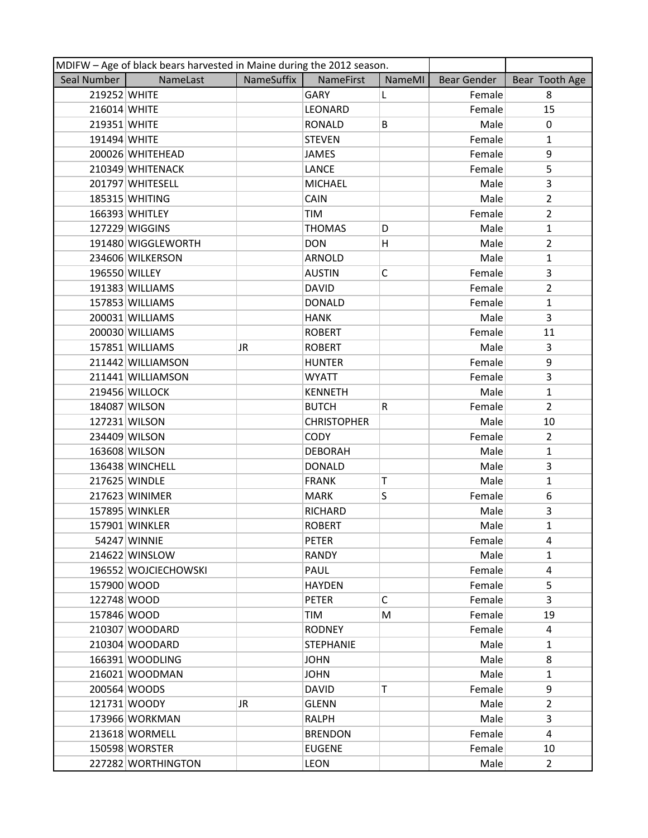| MDIFW - Age of black bears harvested in Maine during the 2012 season. |                      |            |                    |             |             |                |  |
|-----------------------------------------------------------------------|----------------------|------------|--------------------|-------------|-------------|----------------|--|
| Seal Number                                                           | NameLast             | NameSuffix | <b>NameFirst</b>   | NameMI      | Bear Gender | Bear Tooth Age |  |
| 219252 WHITE                                                          |                      |            | GARY               | L           | Female      | 8              |  |
| 216014 WHITE                                                          |                      |            | LEONARD            |             | Female      | 15             |  |
| 219351 WHITE                                                          |                      |            | <b>RONALD</b>      | B           | Male        | 0              |  |
| 191494 WHITE                                                          |                      |            | <b>STEVEN</b>      |             | Female      | $\mathbf{1}$   |  |
|                                                                       | 200026 WHITEHEAD     |            | JAMES              |             | Female      | 9              |  |
|                                                                       | 210349 WHITENACK     |            | LANCE              |             | Female      | 5              |  |
|                                                                       | 201797 WHITESELL     |            | <b>MICHAEL</b>     |             | Male        | 3              |  |
|                                                                       | 185315 WHITING       |            | CAIN               |             | Male        | $\overline{2}$ |  |
|                                                                       | 166393 WHITLEY       |            | <b>TIM</b>         |             | Female      | $\overline{2}$ |  |
|                                                                       | 127229 WIGGINS       |            | <b>THOMAS</b>      | D           | Male        | $\mathbf{1}$   |  |
|                                                                       | 191480 WIGGLEWORTH   |            | <b>DON</b>         | H.          | Male        | $\overline{2}$ |  |
|                                                                       | 234606 WILKERSON     |            | <b>ARNOLD</b>      |             | Male        | $\mathbf{1}$   |  |
| 196550 WILLEY                                                         |                      |            | <b>AUSTIN</b>      | $\mathsf C$ | Female      | 3              |  |
|                                                                       | 191383 WILLIAMS      |            | <b>DAVID</b>       |             | Female      | $\overline{2}$ |  |
|                                                                       | 157853 WILLIAMS      |            | <b>DONALD</b>      |             | Female      | $\mathbf{1}$   |  |
|                                                                       | 200031 WILLIAMS      |            | <b>HANK</b>        |             | Male        | 3              |  |
|                                                                       | 200030 WILLIAMS      |            | <b>ROBERT</b>      |             | Female      | 11             |  |
|                                                                       | 157851 WILLIAMS      | JR.        | <b>ROBERT</b>      |             | Male        | 3              |  |
|                                                                       | 211442 WILLIAMSON    |            | <b>HUNTER</b>      |             | Female      | 9              |  |
|                                                                       | 211441 WILLIAMSON    |            | <b>WYATT</b>       |             | Female      | 3              |  |
|                                                                       | 219456 WILLOCK       |            | <b>KENNETH</b>     |             | Male        | $\mathbf{1}$   |  |
|                                                                       | 184087 WILSON        |            | <b>BUTCH</b>       | R           | Female      | $\overline{2}$ |  |
|                                                                       | 127231 WILSON        |            | <b>CHRISTOPHER</b> |             | Male        | 10             |  |
|                                                                       | 234409 WILSON        |            | <b>CODY</b>        |             | Female      | $\overline{2}$ |  |
|                                                                       | 163608 WILSON        |            | <b>DEBORAH</b>     |             | Male        | $\mathbf{1}$   |  |
|                                                                       | 136438 WINCHELL      |            | <b>DONALD</b>      |             | Male        | 3              |  |
|                                                                       | 217625 WINDLE        |            | <b>FRANK</b>       | Т           | Male        | $\mathbf{1}$   |  |
|                                                                       | 217623 WINIMER       |            | <b>MARK</b>        | S           | Female      | 6              |  |
|                                                                       | 157895 WINKLER       |            | RICHARD            |             | Male        | 3              |  |
|                                                                       | 157901 WINKLER       |            | <b>ROBERT</b>      |             | Male        | $\mathbf{1}$   |  |
|                                                                       | 54247 WINNIE         |            | <b>PETER</b>       |             | Female      | 4              |  |
|                                                                       | 214622 WINSLOW       |            | <b>RANDY</b>       |             | Male        | $\mathbf{1}$   |  |
|                                                                       | 196552 WOJCIECHOWSKI |            | PAUL               |             | Female      | 4              |  |
| 157900 WOOD                                                           |                      |            | <b>HAYDEN</b>      |             | Female      | 5              |  |
| 122748 WOOD                                                           |                      |            | <b>PETER</b>       | C           | Female      | 3              |  |
| 157846 WOOD                                                           |                      |            | TIM                | M           | Female      | 19             |  |
|                                                                       | 210307 WOODARD       |            | <b>RODNEY</b>      |             | Female      | 4              |  |
|                                                                       | 210304 WOODARD       |            | <b>STEPHANIE</b>   |             | Male        | $\mathbf{1}$   |  |
|                                                                       | 166391 WOODLING      |            | <b>JOHN</b>        |             | Male        | 8              |  |
|                                                                       | 216021 WOODMAN       |            | <b>JOHN</b>        |             | Male        | $\mathbf{1}$   |  |
|                                                                       | 200564 WOODS         |            | <b>DAVID</b>       | T           | Female      | 9              |  |
|                                                                       | 121731 WOODY         | JR         | <b>GLENN</b>       |             | Male        | $\overline{2}$ |  |
|                                                                       | 173966 WORKMAN       |            | RALPH              |             | Male        | 3              |  |
|                                                                       | 213618 WORMELL       |            | <b>BRENDON</b>     |             | Female      | 4              |  |
|                                                                       | 150598 WORSTER       |            | <b>EUGENE</b>      |             | Female      | 10             |  |
|                                                                       | 227282 WORTHINGTON   |            | <b>LEON</b>        |             | Male        | $\mathbf{2}$   |  |